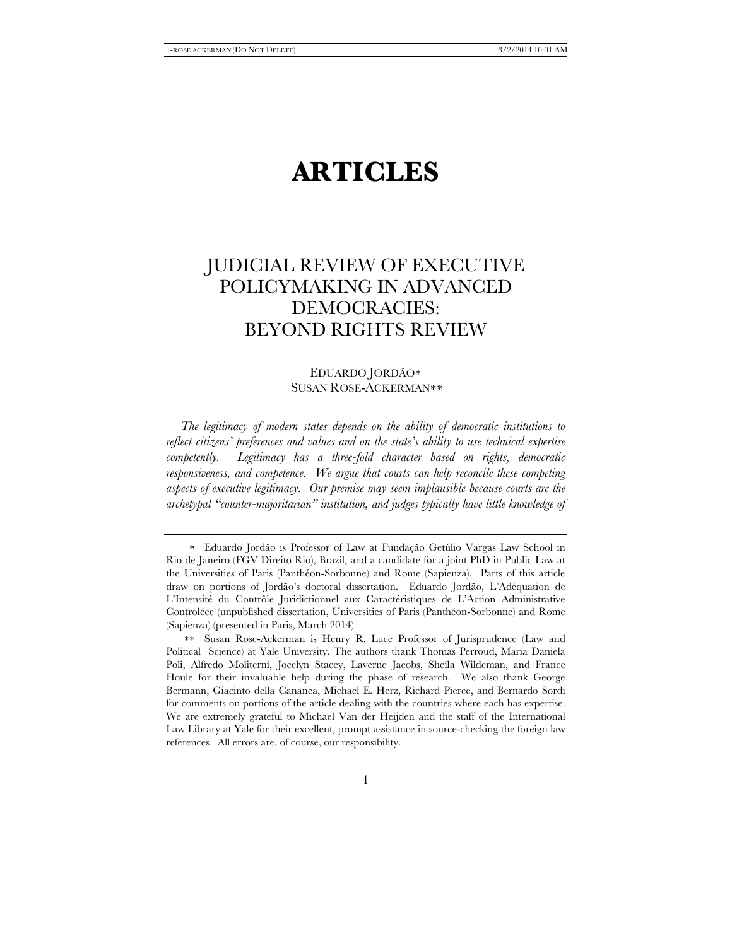# **ARTICLES**

# JUDICIAL REVIEW OF EXECUTIVE POLICYMAKING IN ADVANCED DEMOCRACIES: BEYOND RIGHTS REVIEW

# EDUARDO JORDÃO SUSAN ROSE-ACKERMAN

*The legitimacy of modern states depends on the ability of democratic institutions to reflect citizens' preferences and values and on the state's ability to use technical expertise competently. Legitimacy has a three-fold character based on rights, democratic responsiveness, and competence. We argue that courts can help reconcile these competing aspects of executive legitimacy. Our premise may seem implausible because courts are the archetypal "counter-majoritarian" institution, and judges typically have little knowledge of* 

Eduardo Jordão is Professor of Law at Fundação Getúlio Vargas Law School in Rio de Janeiro (FGV Direito Rio), Brazil, and a candidate for a joint PhD in Public Law at the Universities of Paris (Panthéon-Sorbonne) and Rome (Sapienza). Parts of this article draw on portions of Jordão's doctoral dissertation. Eduardo Jordão, L'Adéquation de L'Intensité du Contrôle Juridictionnel aux Caractéristiques de L'Action Administrative Controléee (unpublished dissertation, Universities of Paris (Panthéon-Sorbonne) and Rome (Sapienza) (presented in Paris, March 2014).

Susan Rose-Ackerman is Henry R. Luce Professor of Jurisprudence (Law and Political Science) at Yale University. The authors thank Thomas Perroud, Maria Daniela Poli, Alfredo Moliterni, Jocelyn Stacey, Laverne Jacobs, Sheila Wildeman, and France Houle for their invaluable help during the phase of research. We also thank George Bermann, Giacinto della Cananea, Michael E. Herz, Richard Pierce, and Bernardo Sordi for comments on portions of the article dealing with the countries where each has expertise. We are extremely grateful to Michael Van der Heijden and the staff of the International Law Library at Yale for their excellent, prompt assistance in source-checking the foreign law references. All errors are, of course, our responsibility.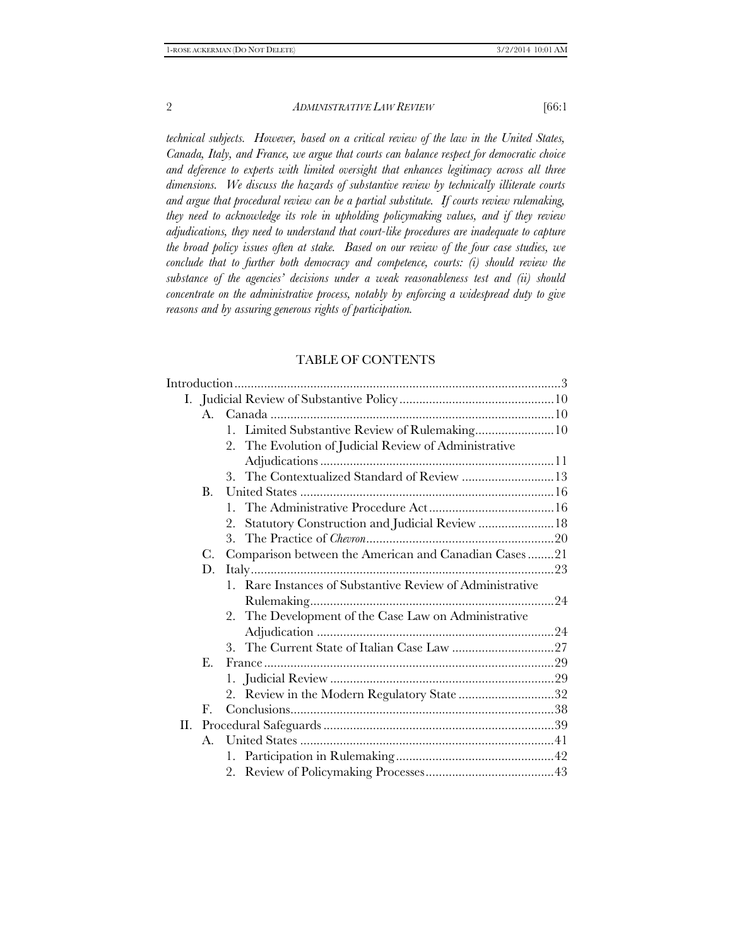*technical subjects. However, based on a critical review of the law in the United States, Canada, Italy, and France, we argue that courts can balance respect for democratic choice and deference to experts with limited oversight that enhances legitimacy across all three dimensions. We discuss the hazards of substantive review by technically illiterate courts and argue that procedural review can be a partial substitute. If courts review rulemaking, they need to acknowledge its role in upholding policymaking values, and if they review adjudications, they need to understand that court-like procedures are inadequate to capture the broad policy issues often at stake. Based on our review of the four case studies, we conclude that to further both democracy and competence, courts: (i) should review the substance of the agencies' decisions under a weak reasonableness test and (ii) should concentrate on the administrative process, notably by enforcing a widespread duty to give reasons and by assuring generous rights of participation.* 

#### TABLE OF CONTENTS

|    |                      | 2. The Evolution of Judicial Review of Administrative     |  |  |
|----|----------------------|-----------------------------------------------------------|--|--|
|    |                      |                                                           |  |  |
|    |                      | 3. The Contextualized Standard of Review  13              |  |  |
|    | B.                   |                                                           |  |  |
|    |                      |                                                           |  |  |
|    |                      | Statutory Construction and Judicial Review  18<br>2.      |  |  |
|    |                      |                                                           |  |  |
|    | C.                   | Comparison between the American and Canadian Cases 21     |  |  |
|    | D.                   |                                                           |  |  |
|    |                      | 1. Rare Instances of Substantive Review of Administrative |  |  |
|    |                      |                                                           |  |  |
|    |                      | 2. The Development of the Case Law on Administrative      |  |  |
|    |                      |                                                           |  |  |
|    |                      |                                                           |  |  |
|    | E.                   |                                                           |  |  |
|    |                      |                                                           |  |  |
|    |                      | 2. Review in the Modern Regulatory State 32               |  |  |
|    | $\mathbf{F}_{\cdot}$ |                                                           |  |  |
| H. |                      |                                                           |  |  |
|    | $A_{\cdot}$          |                                                           |  |  |
|    |                      |                                                           |  |  |
|    |                      |                                                           |  |  |
|    |                      |                                                           |  |  |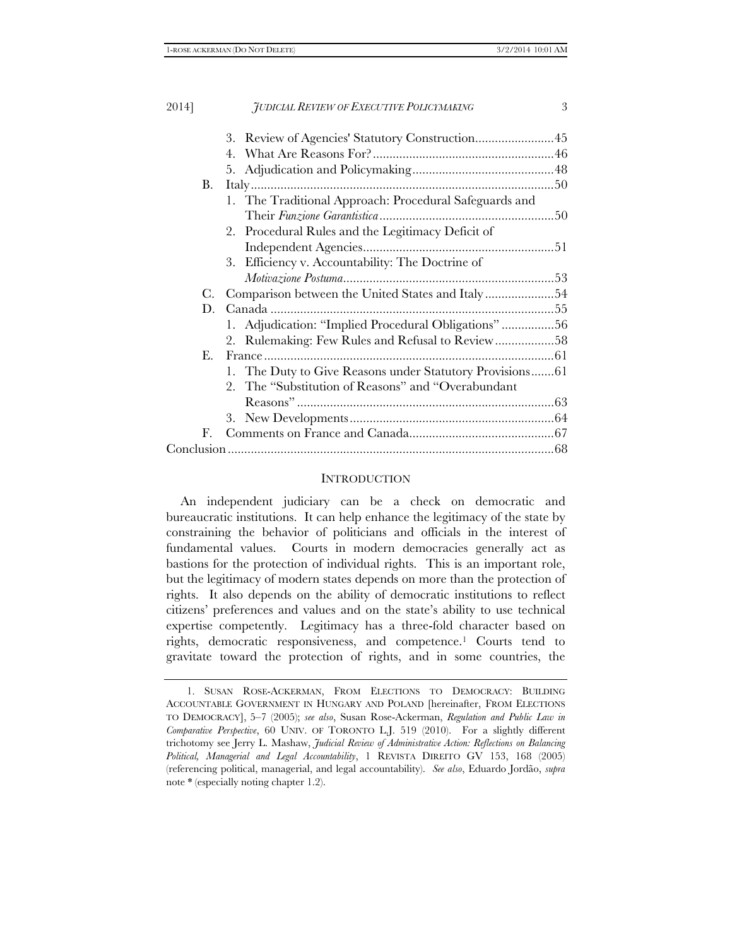| 2014] |    | <b>JUDICIAL REVIEW OF EXECUTIVE POLICYMAKING</b>         | 3   |  |  |  |
|-------|----|----------------------------------------------------------|-----|--|--|--|
|       |    |                                                          |     |  |  |  |
|       |    | 3.                                                       |     |  |  |  |
|       |    | 4.                                                       |     |  |  |  |
|       |    | 5.                                                       |     |  |  |  |
|       | В. |                                                          | .50 |  |  |  |
|       |    | 1. The Traditional Approach: Procedural Safeguards and   |     |  |  |  |
|       |    |                                                          |     |  |  |  |
|       |    | 2. Procedural Rules and the Legitimacy Deficit of        |     |  |  |  |
|       |    |                                                          |     |  |  |  |
|       |    | 3. Efficiency v. Accountability: The Doctrine of         |     |  |  |  |
|       |    |                                                          |     |  |  |  |
|       | C. |                                                          |     |  |  |  |
|       | D. |                                                          |     |  |  |  |
|       |    | 1. Adjudication: "Implied Procedural Obligations"56      |     |  |  |  |
|       |    | 2. Rulemaking: Few Rules and Refusal to Review 58        |     |  |  |  |
|       | E. |                                                          |     |  |  |  |
|       |    | 1. The Duty to Give Reasons under Statutory Provisions61 |     |  |  |  |
|       |    | 2. The "Substitution of Reasons" and "Overabundant"      |     |  |  |  |
|       |    |                                                          |     |  |  |  |
|       |    |                                                          |     |  |  |  |
|       | F. |                                                          |     |  |  |  |
|       |    |                                                          |     |  |  |  |

#### **INTRODUCTION**

An independent judiciary can be a check on democratic and bureaucratic institutions. It can help enhance the legitimacy of the state by constraining the behavior of politicians and officials in the interest of fundamental values. Courts in modern democracies generally act as bastions for the protection of individual rights. This is an important role, but the legitimacy of modern states depends on more than the protection of rights. It also depends on the ability of democratic institutions to reflect citizens' preferences and values and on the state's ability to use technical expertise competently. Legitimacy has a three-fold character based on rights, democratic responsiveness, and competence.1 Courts tend to gravitate toward the protection of rights, and in some countries, the

 <sup>1.</sup> SUSAN ROSE-ACKERMAN, FROM ELECTIONS TO DEMOCRACY: BUILDING ACCOUNTABLE GOVERNMENT IN HUNGARY AND POLAND [hereinafter, FROM ELECTIONS TO DEMOCRACY], 5–7 (2005); *see also*, Susan Rose-Ackerman, *Regulation and Public Law in Comparative Perspective*, 60 UNIV. OF TORONTO L.J. 519 (2010). For a slightly different trichotomy see Jerry L. Mashaw, *Judicial Review of Administrative Action: Reflections on Balancing Political, Managerial and Legal Accountability*, 1 REVISTA DIREITO GV 153, 168 (2005) (referencing political, managerial, and legal accountability). *See also*, Eduardo Jordão, *supra* note \* (especially noting chapter 1.2).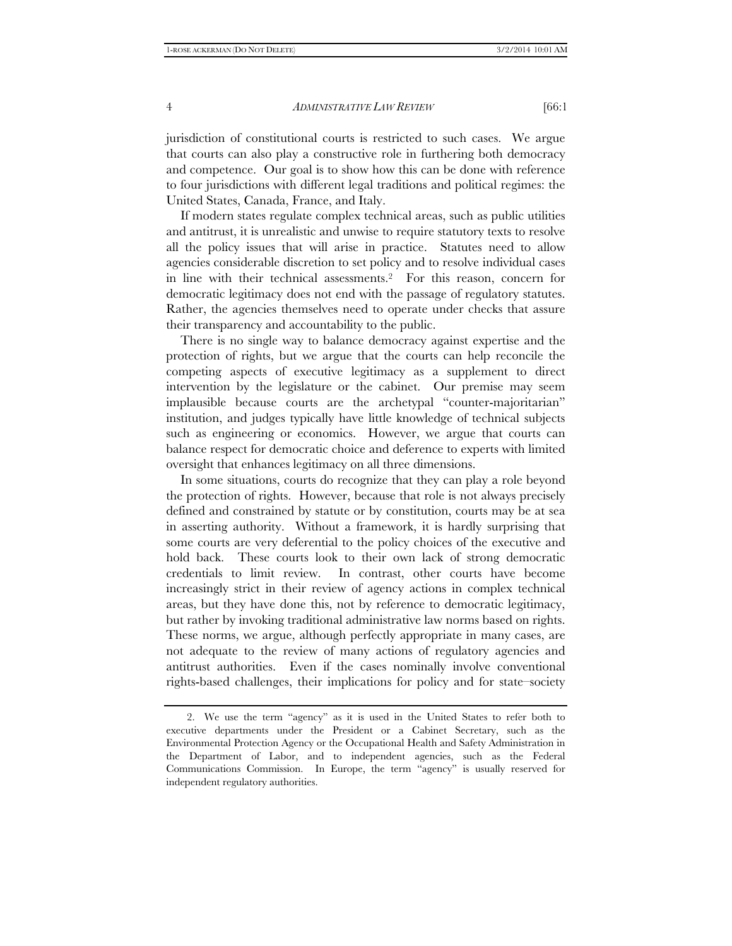jurisdiction of constitutional courts is restricted to such cases. We argue that courts can also play a constructive role in furthering both democracy and competence. Our goal is to show how this can be done with reference to four jurisdictions with different legal traditions and political regimes: the United States, Canada, France, and Italy.

If modern states regulate complex technical areas, such as public utilities and antitrust, it is unrealistic and unwise to require statutory texts to resolve all the policy issues that will arise in practice. Statutes need to allow agencies considerable discretion to set policy and to resolve individual cases in line with their technical assessments.2 For this reason, concern for democratic legitimacy does not end with the passage of regulatory statutes. Rather, the agencies themselves need to operate under checks that assure their transparency and accountability to the public.

There is no single way to balance democracy against expertise and the protection of rights, but we argue that the courts can help reconcile the competing aspects of executive legitimacy as a supplement to direct intervention by the legislature or the cabinet. Our premise may seem implausible because courts are the archetypal "counter-majoritarian" institution, and judges typically have little knowledge of technical subjects such as engineering or economics. However, we argue that courts can balance respect for democratic choice and deference to experts with limited oversight that enhances legitimacy on all three dimensions.

In some situations, courts do recognize that they can play a role beyond the protection of rights. However, because that role is not always precisely defined and constrained by statute or by constitution, courts may be at sea in asserting authority. Without a framework, it is hardly surprising that some courts are very deferential to the policy choices of the executive and hold back. These courts look to their own lack of strong democratic credentials to limit review. In contrast, other courts have become increasingly strict in their review of agency actions in complex technical areas, but they have done this, not by reference to democratic legitimacy, but rather by invoking traditional administrative law norms based on rights. These norms, we argue, although perfectly appropriate in many cases, are not adequate to the review of many actions of regulatory agencies and antitrust authorities. Even if the cases nominally involve conventional rights-based challenges, their implications for policy and for state–society

 <sup>2.</sup> We use the term "agency" as it is used in the United States to refer both to executive departments under the President or a Cabinet Secretary, such as the Environmental Protection Agency or the Occupational Health and Safety Administration in the Department of Labor, and to independent agencies, such as the Federal Communications Commission. In Europe, the term "agency" is usually reserved for independent regulatory authorities.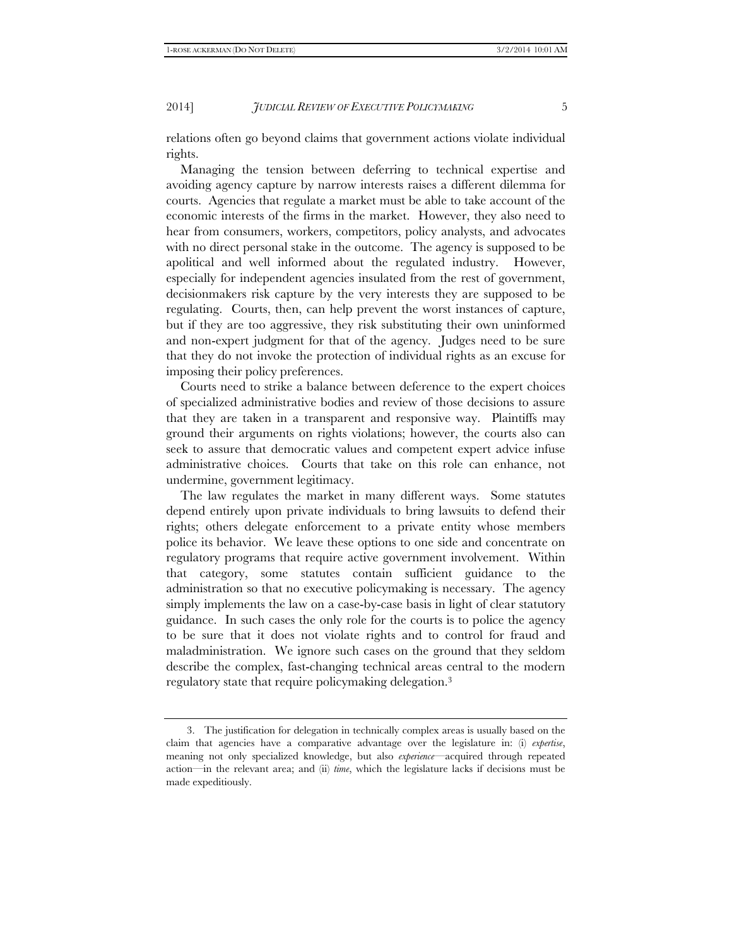relations often go beyond claims that government actions violate individual rights.

Managing the tension between deferring to technical expertise and avoiding agency capture by narrow interests raises a different dilemma for courts. Agencies that regulate a market must be able to take account of the economic interests of the firms in the market. However, they also need to hear from consumers, workers, competitors, policy analysts, and advocates with no direct personal stake in the outcome. The agency is supposed to be apolitical and well informed about the regulated industry. However, especially for independent agencies insulated from the rest of government, decisionmakers risk capture by the very interests they are supposed to be regulating. Courts, then, can help prevent the worst instances of capture, but if they are too aggressive, they risk substituting their own uninformed and non-expert judgment for that of the agency. Judges need to be sure that they do not invoke the protection of individual rights as an excuse for imposing their policy preferences.

Courts need to strike a balance between deference to the expert choices of specialized administrative bodies and review of those decisions to assure that they are taken in a transparent and responsive way. Plaintiffs may ground their arguments on rights violations; however, the courts also can seek to assure that democratic values and competent expert advice infuse administrative choices. Courts that take on this role can enhance, not undermine, government legitimacy.

The law regulates the market in many different ways. Some statutes depend entirely upon private individuals to bring lawsuits to defend their rights; others delegate enforcement to a private entity whose members police its behavior. We leave these options to one side and concentrate on regulatory programs that require active government involvement. Within that category, some statutes contain sufficient guidance to the administration so that no executive policymaking is necessary. The agency simply implements the law on a case-by-case basis in light of clear statutory guidance. In such cases the only role for the courts is to police the agency to be sure that it does not violate rights and to control for fraud and maladministration. We ignore such cases on the ground that they seldom describe the complex, fast-changing technical areas central to the modern regulatory state that require policymaking delegation.3

 <sup>3.</sup> The justification for delegation in technically complex areas is usually based on the claim that agencies have a comparative advantage over the legislature in: (i) *expertise*, meaning not only specialized knowledge, but also *experience*—acquired through repeated action—in the relevant area; and (ii) *time*, which the legislature lacks if decisions must be made expeditiously.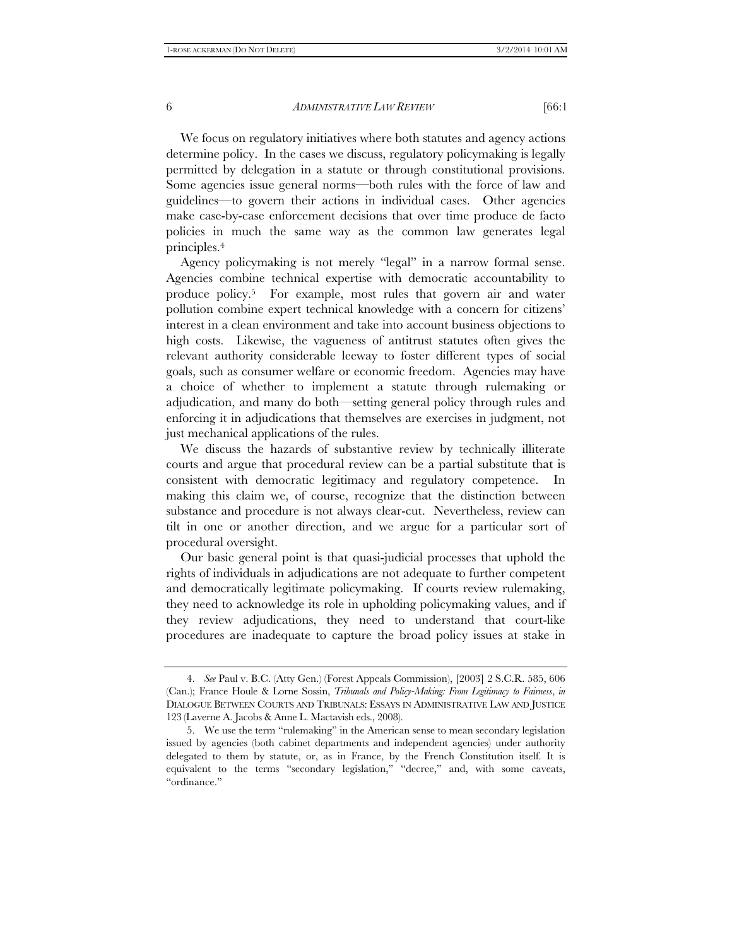We focus on regulatory initiatives where both statutes and agency actions determine policy. In the cases we discuss, regulatory policymaking is legally permitted by delegation in a statute or through constitutional provisions. Some agencies issue general norms—both rules with the force of law and guidelines—to govern their actions in individual cases. Other agencies make case-by-case enforcement decisions that over time produce de facto policies in much the same way as the common law generates legal principles.4

Agency policymaking is not merely "legal" in a narrow formal sense. Agencies combine technical expertise with democratic accountability to produce policy.5 For example, most rules that govern air and water pollution combine expert technical knowledge with a concern for citizens' interest in a clean environment and take into account business objections to high costs. Likewise, the vagueness of antitrust statutes often gives the relevant authority considerable leeway to foster different types of social goals, such as consumer welfare or economic freedom. Agencies may have a choice of whether to implement a statute through rulemaking or adjudication, and many do both—setting general policy through rules and enforcing it in adjudications that themselves are exercises in judgment, not just mechanical applications of the rules.

We discuss the hazards of substantive review by technically illiterate courts and argue that procedural review can be a partial substitute that is consistent with democratic legitimacy and regulatory competence. In making this claim we, of course, recognize that the distinction between substance and procedure is not always clear-cut. Nevertheless, review can tilt in one or another direction, and we argue for a particular sort of procedural oversight.

Our basic general point is that quasi-judicial processes that uphold the rights of individuals in adjudications are not adequate to further competent and democratically legitimate policymaking. If courts review rulemaking, they need to acknowledge its role in upholding policymaking values, and if they review adjudications, they need to understand that court-like procedures are inadequate to capture the broad policy issues at stake in

 <sup>4.</sup> *See* Paul v. B.C. (Atty Gen.) (Forest Appeals Commission), [2003] 2 S.C.R. 585, 606 (Can.); France Houle & Lorne Sossin, *Tribunals and Policy-Making: From Legitimacy to Fairness*, *in*  DIALOGUE BETWEEN COURTS AND TRIBUNALS: ESSAYS IN ADMINISTRATIVE LAW AND JUSTICE 123 (Laverne A. Jacobs & Anne L. Mactavish eds., 2008).

 <sup>5.</sup> We use the term "rulemaking" in the American sense to mean secondary legislation issued by agencies (both cabinet departments and independent agencies) under authority delegated to them by statute, or, as in France, by the French Constitution itself. It is equivalent to the terms "secondary legislation," "decree," and, with some caveats, "ordinance."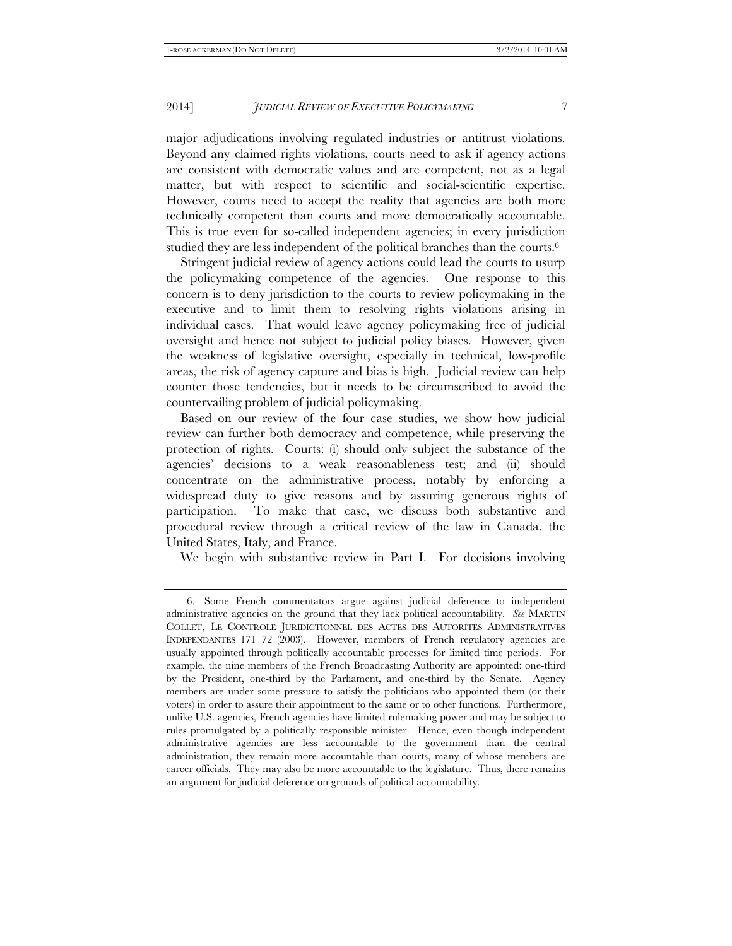major adjudications involving regulated industries or antitrust violations. Beyond any claimed rights violations, courts need to ask if agency actions are consistent with democratic values and are competent, not as a legal matter, but with respect to scientific and social-scientific expertise. However, courts need to accept the reality that agencies are both more technically competent than courts and more democratically accountable. This is true even for so-called independent agencies; in every jurisdiction studied they are less independent of the political branches than the courts.<sup>6</sup>

Stringent judicial review of agency actions could lead the courts to usurp the policymaking competence of the agencies. One response to this concern is to deny jurisdiction to the courts to review policymaking in the executive and to limit them to resolving rights violations arising in individual cases. That would leave agency policymaking free of judicial oversight and hence not subject to judicial policy biases. However, given the weakness of legislative oversight, especially in technical, low-profile areas, the risk of agency capture and bias is high. Judicial review can help counter those tendencies, but it needs to be circumscribed to avoid the countervailing problem of judicial policymaking.

Based on our review of the four case studies, we show how judicial review can further both democracy and competence, while preserving the protection of rights. Courts: (i) should only subject the substance of the agencies' decisions to a weak reasonableness test; and (ii) should concentrate on the administrative process, notably by enforcing a widespread duty to give reasons and by assuring generous rights of participation. To make that case, we discuss both substantive and procedural review through a critical review of the law in Canada, the United States, Italy, and France.

We begin with substantive review in Part I. For decisions involving

 <sup>6.</sup> Some French commentators argue against judicial deference to independent administrative agencies on the ground that they lack political accountability. *See* MARTIN COLLET, LE CONTROLE JURIDICTIONNEL DES ACTES DES AUTORITES ADMINISTRATIVES INDEPENDANTES 171–72 (2003). However, members of French regulatory agencies are usually appointed through politically accountable processes for limited time periods. For example, the nine members of the French Broadcasting Authority are appointed: one-third by the President, one-third by the Parliament, and one-third by the Senate. Agency members are under some pressure to satisfy the politicians who appointed them (or their voters) in order to assure their appointment to the same or to other functions. Furthermore, unlike U.S. agencies, French agencies have limited rulemaking power and may be subject to rules promulgated by a politically responsible minister. Hence, even though independent administrative agencies are less accountable to the government than the central administration, they remain more accountable than courts, many of whose members are career officials. They may also be more accountable to the legislature. Thus, there remains an argument for judicial deference on grounds of political accountability.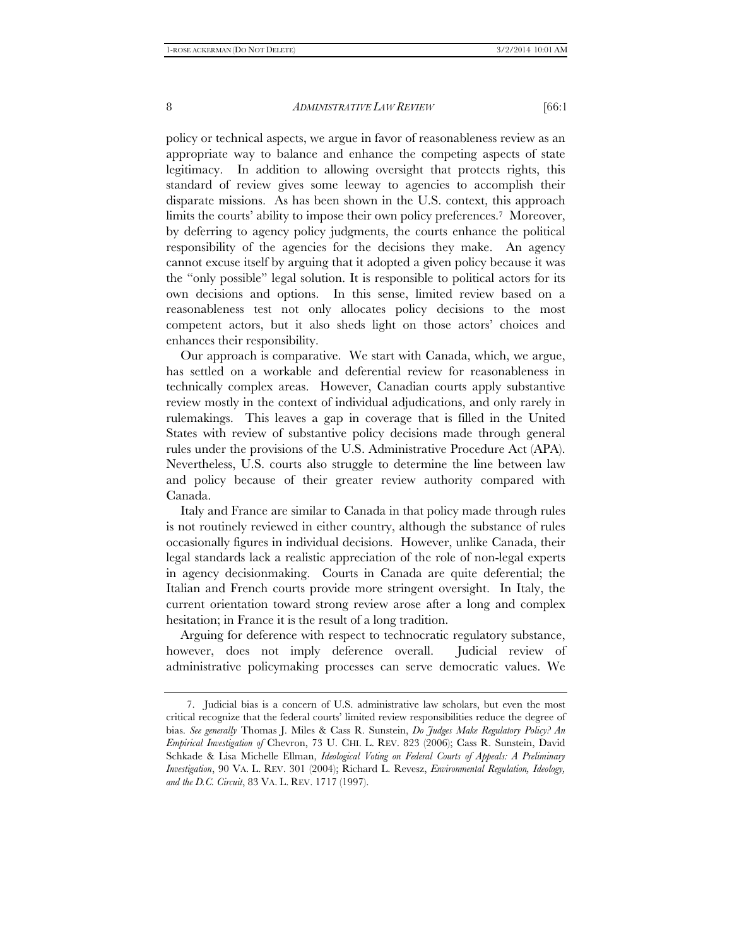policy or technical aspects, we argue in favor of reasonableness review as an appropriate way to balance and enhance the competing aspects of state legitimacy. In addition to allowing oversight that protects rights, this standard of review gives some leeway to agencies to accomplish their disparate missions. As has been shown in the U.S. context, this approach limits the courts' ability to impose their own policy preferences.7 Moreover, by deferring to agency policy judgments, the courts enhance the political responsibility of the agencies for the decisions they make. An agency cannot excuse itself by arguing that it adopted a given policy because it was the "only possible" legal solution. It is responsible to political actors for its own decisions and options. In this sense, limited review based on a reasonableness test not only allocates policy decisions to the most competent actors, but it also sheds light on those actors' choices and enhances their responsibility.

Our approach is comparative. We start with Canada, which, we argue, has settled on a workable and deferential review for reasonableness in technically complex areas. However, Canadian courts apply substantive review mostly in the context of individual adjudications, and only rarely in rulemakings. This leaves a gap in coverage that is filled in the United States with review of substantive policy decisions made through general rules under the provisions of the U.S. Administrative Procedure Act (APA). Nevertheless, U.S. courts also struggle to determine the line between law and policy because of their greater review authority compared with Canada.

Italy and France are similar to Canada in that policy made through rules is not routinely reviewed in either country, although the substance of rules occasionally figures in individual decisions. However, unlike Canada, their legal standards lack a realistic appreciation of the role of non-legal experts in agency decisionmaking. Courts in Canada are quite deferential; the Italian and French courts provide more stringent oversight. In Italy, the current orientation toward strong review arose after a long and complex hesitation; in France it is the result of a long tradition.

Arguing for deference with respect to technocratic regulatory substance, however, does not imply deference overall. Judicial review of administrative policymaking processes can serve democratic values. We

 <sup>7.</sup> Judicial bias is a concern of U.S. administrative law scholars, but even the most critical recognize that the federal courts' limited review responsibilities reduce the degree of bias. *See generally* Thomas J. Miles & Cass R. Sunstein, *Do Judges Make Regulatory Policy? An Empirical Investigation of* Chevron, 73 U. CHI. L. REV. 823 (2006); Cass R. Sunstein, David Schkade & Lisa Michelle Ellman, *Ideological Voting on Federal Courts of Appeals: A Preliminary Investigation*, 90 VA. L. REV. 301 (2004); Richard L. Revesz, *Environmental Regulation, Ideology, and the D.C. Circuit*, 83 VA. L. REV. 1717 (1997).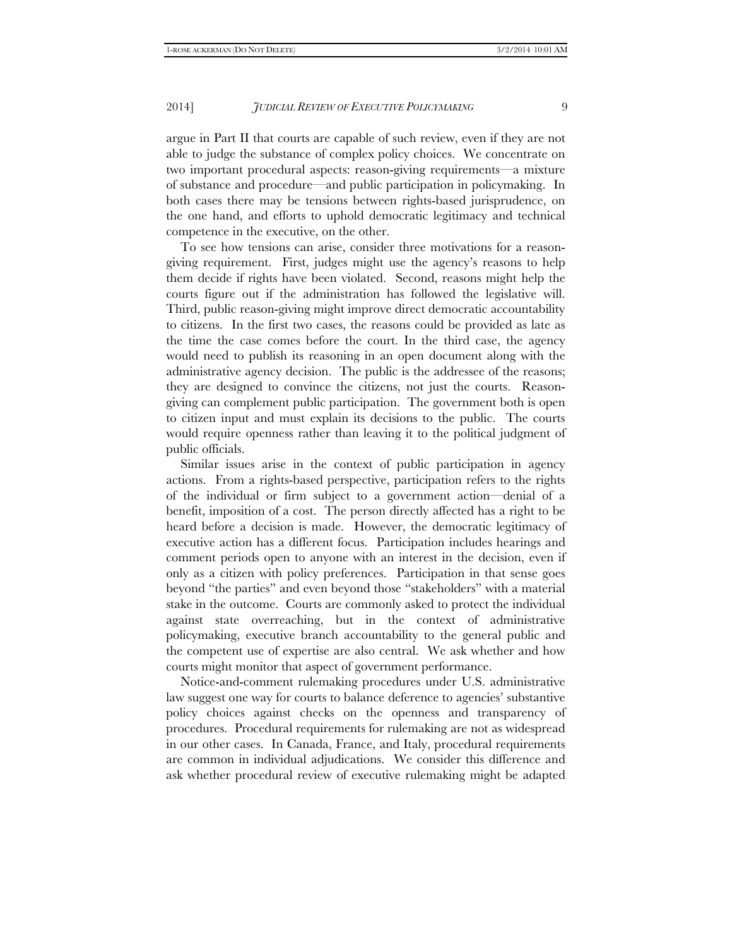argue in Part II that courts are capable of such review, even if they are not able to judge the substance of complex policy choices. We concentrate on two important procedural aspects: reason-giving requirements—a mixture of substance and procedure—and public participation in policymaking. In both cases there may be tensions between rights-based jurisprudence, on the one hand, and efforts to uphold democratic legitimacy and technical competence in the executive, on the other.

To see how tensions can arise, consider three motivations for a reasongiving requirement. First, judges might use the agency's reasons to help them decide if rights have been violated. Second, reasons might help the courts figure out if the administration has followed the legislative will. Third, public reason-giving might improve direct democratic accountability to citizens. In the first two cases, the reasons could be provided as late as the time the case comes before the court. In the third case, the agency would need to publish its reasoning in an open document along with the administrative agency decision. The public is the addressee of the reasons; they are designed to convince the citizens, not just the courts. Reasongiving can complement public participation. The government both is open to citizen input and must explain its decisions to the public. The courts would require openness rather than leaving it to the political judgment of public officials.

Similar issues arise in the context of public participation in agency actions. From a rights-based perspective, participation refers to the rights of the individual or firm subject to a government action—denial of a benefit, imposition of a cost. The person directly affected has a right to be heard before a decision is made. However, the democratic legitimacy of executive action has a different focus. Participation includes hearings and comment periods open to anyone with an interest in the decision, even if only as a citizen with policy preferences. Participation in that sense goes beyond "the parties" and even beyond those "stakeholders" with a material stake in the outcome. Courts are commonly asked to protect the individual against state overreaching, but in the context of administrative policymaking, executive branch accountability to the general public and the competent use of expertise are also central. We ask whether and how courts might monitor that aspect of government performance.

Notice-and-comment rulemaking procedures under U.S. administrative law suggest one way for courts to balance deference to agencies' substantive policy choices against checks on the openness and transparency of procedures. Procedural requirements for rulemaking are not as widespread in our other cases. In Canada, France, and Italy, procedural requirements are common in individual adjudications. We consider this difference and ask whether procedural review of executive rulemaking might be adapted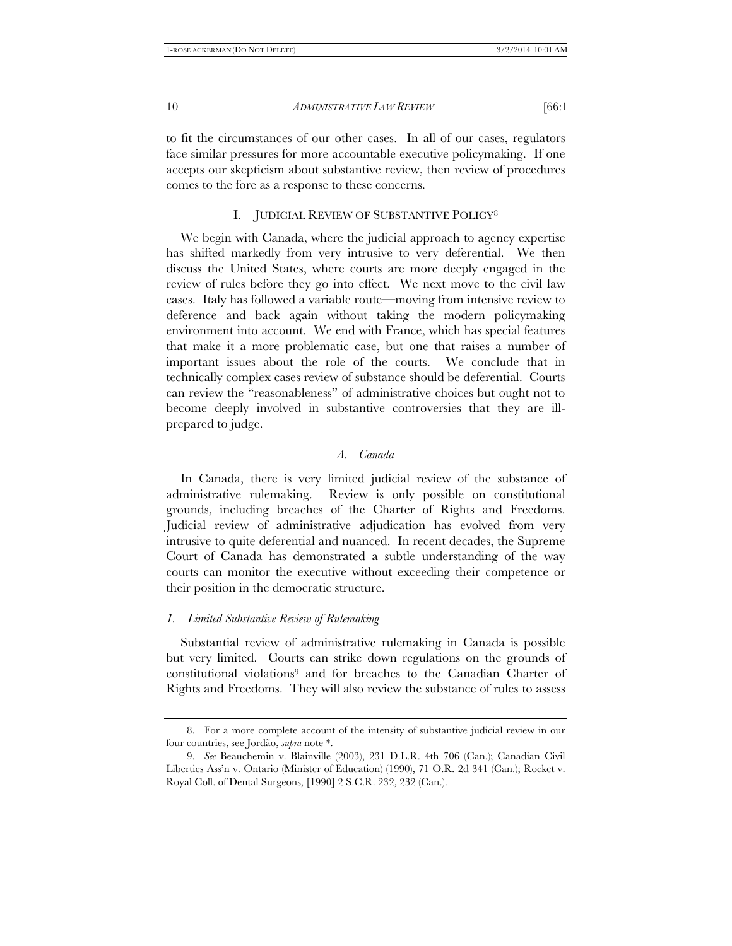to fit the circumstances of our other cases. In all of our cases, regulators face similar pressures for more accountable executive policymaking. If one accepts our skepticism about substantive review, then review of procedures comes to the fore as a response to these concerns.

#### I. JUDICIAL REVIEW OF SUBSTANTIVE POLICY8

We begin with Canada, where the judicial approach to agency expertise has shifted markedly from very intrusive to very deferential. We then discuss the United States, where courts are more deeply engaged in the review of rules before they go into effect. We next move to the civil law cases. Italy has followed a variable route—moving from intensive review to deference and back again without taking the modern policymaking environment into account. We end with France, which has special features that make it a more problematic case, but one that raises a number of important issues about the role of the courts. We conclude that in technically complex cases review of substance should be deferential. Courts can review the "reasonableness" of administrative choices but ought not to become deeply involved in substantive controversies that they are illprepared to judge.

#### *A. Canada*

In Canada, there is very limited judicial review of the substance of administrative rulemaking. Review is only possible on constitutional grounds, including breaches of the Charter of Rights and Freedoms. Judicial review of administrative adjudication has evolved from very intrusive to quite deferential and nuanced. In recent decades, the Supreme Court of Canada has demonstrated a subtle understanding of the way courts can monitor the executive without exceeding their competence or their position in the democratic structure.

#### *1. Limited Substantive Review of Rulemaking*

Substantial review of administrative rulemaking in Canada is possible but very limited. Courts can strike down regulations on the grounds of constitutional violations9 and for breaches to the Canadian Charter of Rights and Freedoms. They will also review the substance of rules to assess

 <sup>8.</sup> For a more complete account of the intensity of substantive judicial review in our four countries, see Jordão, *supra* note \*.

 <sup>9.</sup> *See* Beauchemin v. Blainville (2003), 231 D.L.R. 4th 706 (Can.); Canadian Civil Liberties Ass'n v. Ontario (Minister of Education) (1990), 71 O.R. 2d 341 (Can.); Rocket v. Royal Coll. of Dental Surgeons, [1990] 2 S.C.R. 232, 232 (Can.).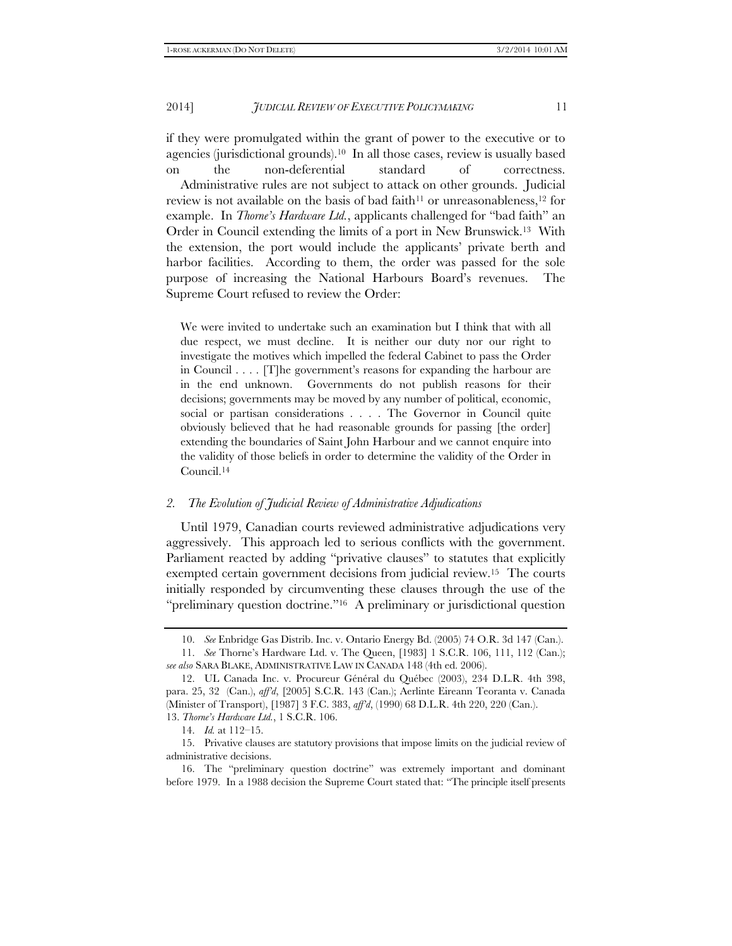if they were promulgated within the grant of power to the executive or to agencies (jurisdictional grounds).10 In all those cases, review is usually based on the non-deferential standard of correctness. Administrative rules are not subject to attack on other grounds. Judicial review is not available on the basis of bad faith<sup>11</sup> or unreasonableness,<sup>12</sup> for example. In *Thorne's Hardware Ltd.*, applicants challenged for "bad faith" an Order in Council extending the limits of a port in New Brunswick.13 With

the extension, the port would include the applicants' private berth and harbor facilities. According to them, the order was passed for the sole purpose of increasing the National Harbours Board's revenues. The Supreme Court refused to review the Order:

We were invited to undertake such an examination but I think that with all due respect, we must decline. It is neither our duty nor our right to investigate the motives which impelled the federal Cabinet to pass the Order in Council . . . . [T]he government's reasons for expanding the harbour are in the end unknown. Governments do not publish reasons for their decisions; governments may be moved by any number of political, economic, social or partisan considerations . . . . The Governor in Council quite obviously believed that he had reasonable grounds for passing [the order] extending the boundaries of Saint John Harbour and we cannot enquire into the validity of those beliefs in order to determine the validity of the Order in Council.14

#### *2. The Evolution of Judicial Review of Administrative Adjudications*

Until 1979, Canadian courts reviewed administrative adjudications very aggressively. This approach led to serious conflicts with the government. Parliament reacted by adding "privative clauses" to statutes that explicitly exempted certain government decisions from judicial review.15 The courts initially responded by circumventing these clauses through the use of the "preliminary question doctrine."16 A preliminary or jurisdictional question

 <sup>10.</sup> *See* Enbridge Gas Distrib. Inc. v. Ontario Energy Bd. (2005) 74 O.R. 3d 147 (Can.).

 <sup>11.</sup> *See* Thorne's Hardware Ltd. v. The Queen, [1983] 1 S.C.R. 106, 111, 112 (Can.); *see also* SARA BLAKE, ADMINISTRATIVE LAW IN CANADA 148 (4th ed. 2006).

 <sup>12.</sup> UL Canada Inc. v. Procureur Général du Québec (2003), 234 D.L.R. 4th 398, para. 25, 32 (Can.), *aff'd*, [2005] S.C.R. 143 (Can.); Aerlinte Eireann Teoranta v. Canada (Minister of Transport), [1987] 3 F.C. 383, *aff'd*, (1990) 68 D.L.R. 4th 220, 220 (Can.). 13. *Thorne's Hardware Ltd.*, 1 S.C.R. 106.

 <sup>14.</sup> *Id.* at 112–15.

 <sup>15.</sup> Privative clauses are statutory provisions that impose limits on the judicial review of administrative decisions.

 <sup>16.</sup> The "preliminary question doctrine" was extremely important and dominant before 1979. In a 1988 decision the Supreme Court stated that: "The principle itself presents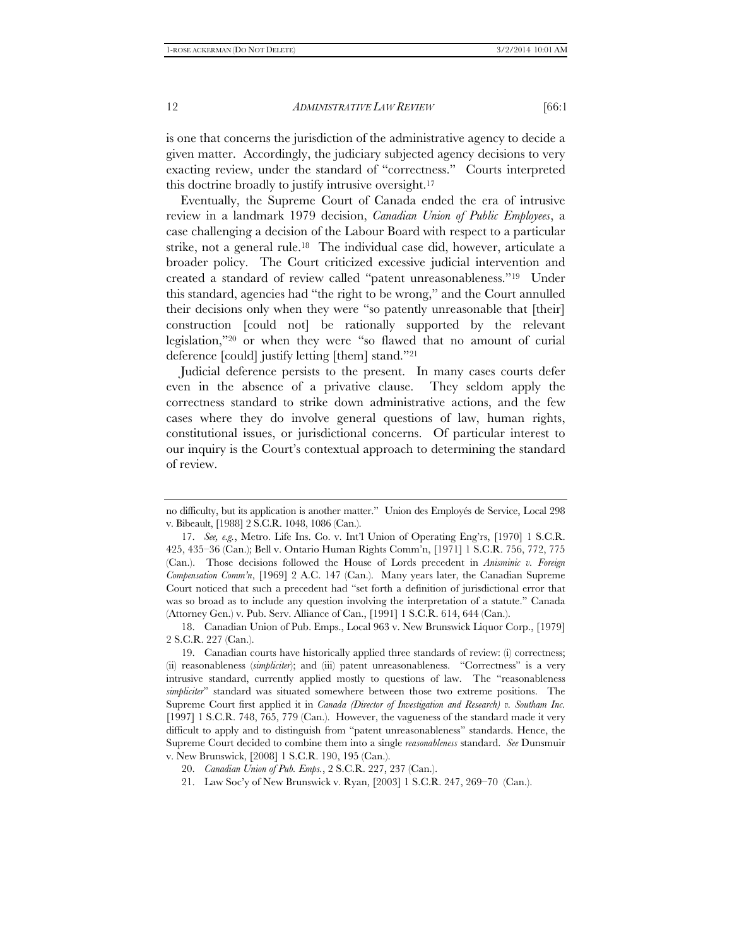is one that concerns the jurisdiction of the administrative agency to decide a given matter. Accordingly, the judiciary subjected agency decisions to very exacting review, under the standard of "correctness." Courts interpreted this doctrine broadly to justify intrusive oversight.17

Eventually, the Supreme Court of Canada ended the era of intrusive review in a landmark 1979 decision, *Canadian Union of Public Employees*, a case challenging a decision of the Labour Board with respect to a particular strike, not a general rule.<sup>18</sup> The individual case did, however, articulate a broader policy. The Court criticized excessive judicial intervention and created a standard of review called "patent unreasonableness."19 Under this standard, agencies had "the right to be wrong," and the Court annulled their decisions only when they were "so patently unreasonable that [their] construction [could not] be rationally supported by the relevant legislation,"20 or when they were "so flawed that no amount of curial deference [could] justify letting [them] stand."21

Judicial deference persists to the present. In many cases courts defer even in the absence of a privative clause. They seldom apply the correctness standard to strike down administrative actions, and the few cases where they do involve general questions of law, human rights, constitutional issues, or jurisdictional concerns. Of particular interest to our inquiry is the Court's contextual approach to determining the standard of review.

no difficulty, but its application is another matter." Union des Employés de Service, Local 298 v. Bibeault, [1988] 2 S.C.R. 1048, 1086 (Can.).

 <sup>17.</sup> *See, e.g.*, Metro. Life Ins. Co. v. Int'l Union of Operating Eng'rs, [1970] 1 S.C.R. 425, 435–36 (Can.); Bell v. Ontario Human Rights Comm'n, [1971] 1 S.C.R. 756, 772, 775 (Can.). Those decisions followed the House of Lords precedent in *Anisminic v. Foreign Compensation Comm'n*, [1969] 2 A.C. 147 (Can.). Many years later, the Canadian Supreme Court noticed that such a precedent had "set forth a definition of jurisdictional error that was so broad as to include any question involving the interpretation of a statute." Canada (Attorney Gen.) v. Pub. Serv. Alliance of Can., [1991] 1 S.C.R. 614, 644 (Can.).

 <sup>18.</sup> Canadian Union of Pub. Emps., Local 963 v. New Brunswick Liquor Corp., [1979] 2 S.C.R. 227 (Can.).

 <sup>19.</sup> Canadian courts have historically applied three standards of review: (i) correctness; (ii) reasonableness (*simpliciter*); and (iii) patent unreasonableness. "Correctness" is a very intrusive standard, currently applied mostly to questions of law. The "reasonableness *simpliciter*" standard was situated somewhere between those two extreme positions. The Supreme Court first applied it in *Canada (Director of Investigation and Research) v. Southam Inc.*  [1997] 1 S.C.R. 748, 765, 779 (Can.). However, the vagueness of the standard made it very difficult to apply and to distinguish from "patent unreasonableness" standards. Hence, the Supreme Court decided to combine them into a single *reasonableness* standard. *See* Dunsmuir v. New Brunswick, [2008] 1 S.C.R. 190, 195 (Can.).

 <sup>20.</sup> *Canadian Union of Pub. Emps.*, 2 S.C.R. 227, 237 (Can.).

 <sup>21.</sup> Law Soc'y of New Brunswick v. Ryan, [2003] 1 S.C.R. 247, 269–70 (Can.).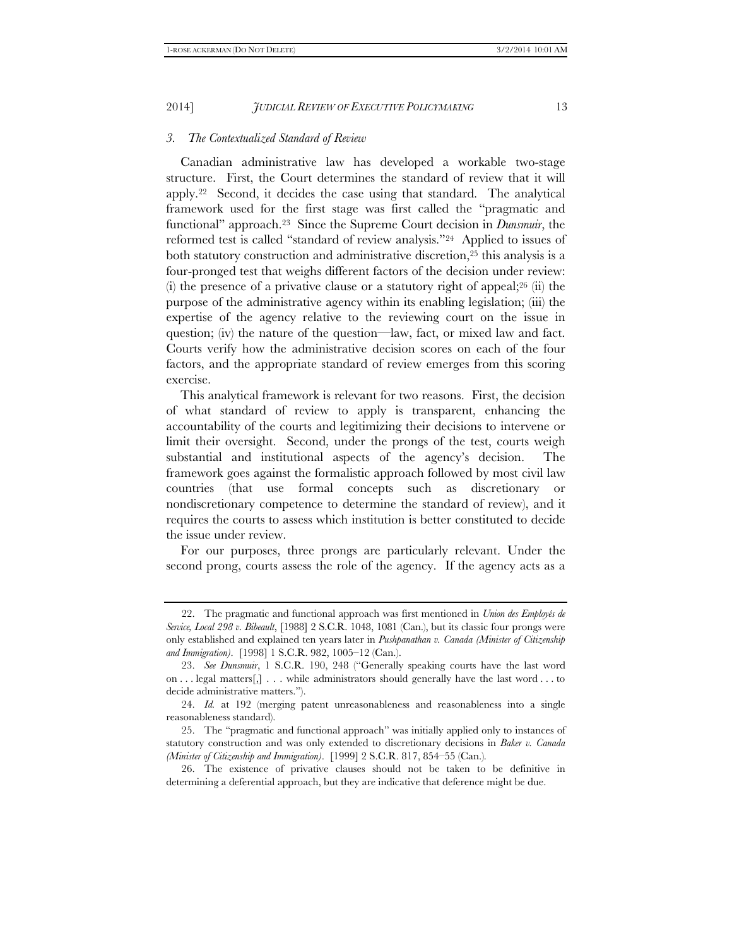#### *3. The Contextualized Standard of Review*

Canadian administrative law has developed a workable two-stage structure. First, the Court determines the standard of review that it will apply.22 Second, it decides the case using that standard. The analytical framework used for the first stage was first called the "pragmatic and functional" approach.23 Since the Supreme Court decision in *Dunsmuir*, the reformed test is called "standard of review analysis."24 Applied to issues of both statutory construction and administrative discretion,<sup>25</sup> this analysis is a four-pronged test that weighs different factors of the decision under review: (i) the presence of a privative clause or a statutory right of appeal;<sup>26</sup> (ii) the purpose of the administrative agency within its enabling legislation; (iii) the expertise of the agency relative to the reviewing court on the issue in question; (iv) the nature of the question—law, fact, or mixed law and fact. Courts verify how the administrative decision scores on each of the four factors, and the appropriate standard of review emerges from this scoring exercise.

This analytical framework is relevant for two reasons. First, the decision of what standard of review to apply is transparent, enhancing the accountability of the courts and legitimizing their decisions to intervene or limit their oversight. Second, under the prongs of the test, courts weigh substantial and institutional aspects of the agency's decision. The framework goes against the formalistic approach followed by most civil law countries (that use formal concepts such as discretionary or nondiscretionary competence to determine the standard of review), and it requires the courts to assess which institution is better constituted to decide the issue under review.

For our purposes, three prongs are particularly relevant. Under the second prong, courts assess the role of the agency. If the agency acts as a

 <sup>22.</sup> The pragmatic and functional approach was first mentioned in *Union des Employés de Service, Local 298 v. Bibeault*, [1988] 2 S.C.R. 1048, 1081 (Can.), but its classic four prongs were only established and explained ten years later in *Pushpanathan v. Canada (Minister of Citizenship and Immigration)*. [1998] 1 S.C.R. 982, 1005–12 (Can.).

 <sup>23.</sup> *See Dunsmuir*, 1 S.C.R. 190, 248 ("Generally speaking courts have the last word on . . . legal matters[,] . . . while administrators should generally have the last word . . . to decide administrative matters.").

 <sup>24.</sup> *Id.* at 192 (merging patent unreasonableness and reasonableness into a single reasonableness standard).

 <sup>25.</sup> The "pragmatic and functional approach" was initially applied only to instances of statutory construction and was only extended to discretionary decisions in *Baker v. Canada (Minister of Citizenship and Immigration)*. [1999] 2 S.C.R. 817, 854–55 (Can.)*.*

 <sup>26.</sup> The existence of privative clauses should not be taken to be definitive in determining a deferential approach, but they are indicative that deference might be due.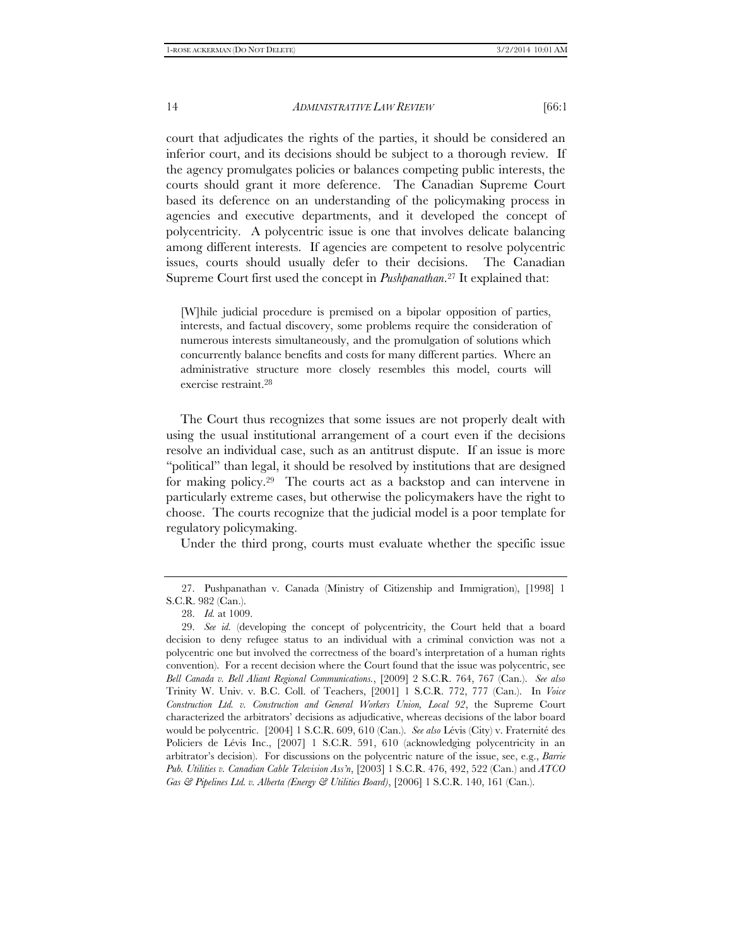court that adjudicates the rights of the parties, it should be considered an inferior court, and its decisions should be subject to a thorough review. If the agency promulgates policies or balances competing public interests, the courts should grant it more deference. The Canadian Supreme Court based its deference on an understanding of the policymaking process in agencies and executive departments, and it developed the concept of polycentricity. A polycentric issue is one that involves delicate balancing among different interests. If agencies are competent to resolve polycentric issues, courts should usually defer to their decisions. The Canadian Supreme Court first used the concept in *Pushpanathan*.27 It explained that:

[W]hile judicial procedure is premised on a bipolar opposition of parties, interests, and factual discovery, some problems require the consideration of numerous interests simultaneously, and the promulgation of solutions which concurrently balance benefits and costs for many different parties. Where an administrative structure more closely resembles this model, courts will exercise restraint.28

The Court thus recognizes that some issues are not properly dealt with using the usual institutional arrangement of a court even if the decisions resolve an individual case, such as an antitrust dispute. If an issue is more "political" than legal, it should be resolved by institutions that are designed for making policy.29 The courts act as a backstop and can intervene in particularly extreme cases, but otherwise the policymakers have the right to choose. The courts recognize that the judicial model is a poor template for regulatory policymaking.

Under the third prong, courts must evaluate whether the specific issue

 <sup>27.</sup> Pushpanathan v. Canada (Ministry of Citizenship and Immigration), [1998] 1 S.C.R. 982 (Can.).

 <sup>28.</sup> *Id.* at 1009.

 <sup>29.</sup> *See id.* (developing the concept of polycentricity, the Court held that a board decision to deny refugee status to an individual with a criminal conviction was not a polycentric one but involved the correctness of the board's interpretation of a human rights convention). For a recent decision where the Court found that the issue was polycentric, see *Bell Canada v. Bell Aliant Regional Communications.*, [2009] 2 S.C.R. 764, 767 (Can.). *See also* Trinity W. Univ. v. B.C. Coll. of Teachers, [2001] 1 S.C.R. 772, 777 (Can.). In *Voice Construction Ltd. v. Construction and General Workers Union, Local 92*, the Supreme Court characterized the arbitrators' decisions as adjudicative, whereas decisions of the labor board would be polycentric. [2004] 1 S.C.R. 609, 610 (Can.). *See also* Lévis (City) v. Fraternité des Policiers de Lévis Inc., [2007] 1 S.C.R. 591, 610 (acknowledging polycentricity in an arbitrator's decision). For discussions on the polycentric nature of the issue, see, e.g., *Barrie Pub. Utilities v. Canadian Cable Television Ass'n*, [2003] 1 S.C.R. 476, 492, 522 (Can.) and *ATCO Gas & Pipelines Ltd. v. Alberta (Energy & Utilities Board)*, [2006] 1 S.C.R. 140, 161 (Can.).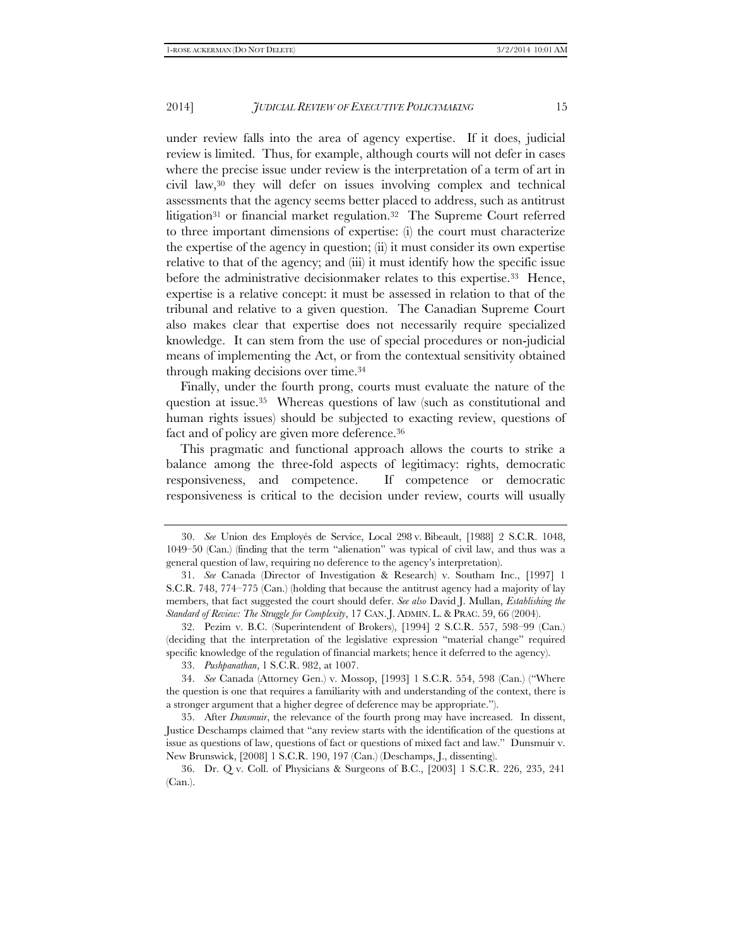under review falls into the area of agency expertise. If it does, judicial review is limited. Thus, for example, although courts will not defer in cases where the precise issue under review is the interpretation of a term of art in civil law,30 they will defer on issues involving complex and technical assessments that the agency seems better placed to address, such as antitrust litigation31 or financial market regulation.32 The Supreme Court referred to three important dimensions of expertise: (i) the court must characterize the expertise of the agency in question; (ii) it must consider its own expertise relative to that of the agency; and (iii) it must identify how the specific issue before the administrative decisionmaker relates to this expertise.<sup>33</sup> Hence, expertise is a relative concept: it must be assessed in relation to that of the tribunal and relative to a given question. The Canadian Supreme Court also makes clear that expertise does not necessarily require specialized knowledge. It can stem from the use of special procedures or non-judicial means of implementing the Act, or from the contextual sensitivity obtained through making decisions over time.34

Finally, under the fourth prong, courts must evaluate the nature of the question at issue.35 Whereas questions of law (such as constitutional and human rights issues) should be subjected to exacting review, questions of fact and of policy are given more deference.36

This pragmatic and functional approach allows the courts to strike a balance among the three-fold aspects of legitimacy: rights, democratic responsiveness, and competence. If competence or democratic responsiveness is critical to the decision under review, courts will usually

 <sup>30.</sup> *See* Union des Employés de Service, Local 298 v. Bibeault, [1988] 2 S.C.R. 1048, 1049–50 (Can.) (finding that the term "alienation" was typical of civil law, and thus was a general question of law, requiring no deference to the agency's interpretation).

 <sup>31.</sup> *See* Canada (Director of Investigation & Research) v. Southam Inc., [1997] 1 S.C.R. 748, 774–775 (Can.) (holding that because the antitrust agency had a majority of lay members, that fact suggested the court should defer. *See also* David J. Mullan, *Establishing the Standard of Review: The Struggle for Complexity*, 17 CAN. J. ADMIN. L. & PRAC. 59, 66 (2004).

 <sup>32.</sup> Pezim v. B.C. (Superintendent of Brokers), [1994] 2 S.C.R. 557, 598–99 (Can.) (deciding that the interpretation of the legislative expression "material change" required specific knowledge of the regulation of financial markets; hence it deferred to the agency).

 <sup>33.</sup> *Pushpanathan*, 1 S.C.R. 982, at 1007.

 <sup>34.</sup> *See* Canada (Attorney Gen.) v. Mossop, [1993] 1 S.C.R. 554, 598 (Can.) ("Where the question is one that requires a familiarity with and understanding of the context, there is a stronger argument that a higher degree of deference may be appropriate.").

 <sup>35.</sup> After *Dunsmuir*, the relevance of the fourth prong may have increased. In dissent, Justice Deschamps claimed that "any review starts with the identification of the questions at issue as questions of law, questions of fact or questions of mixed fact and law." Dunsmuir v. New Brunswick, [2008] 1 S.C.R. 190, 197 (Can.) (Deschamps, J., dissenting).

 <sup>36.</sup> Dr. Q v. Coll. of Physicians & Surgeons of B.C., [2003] 1 S.C.R. 226, 235, 241 (Can.).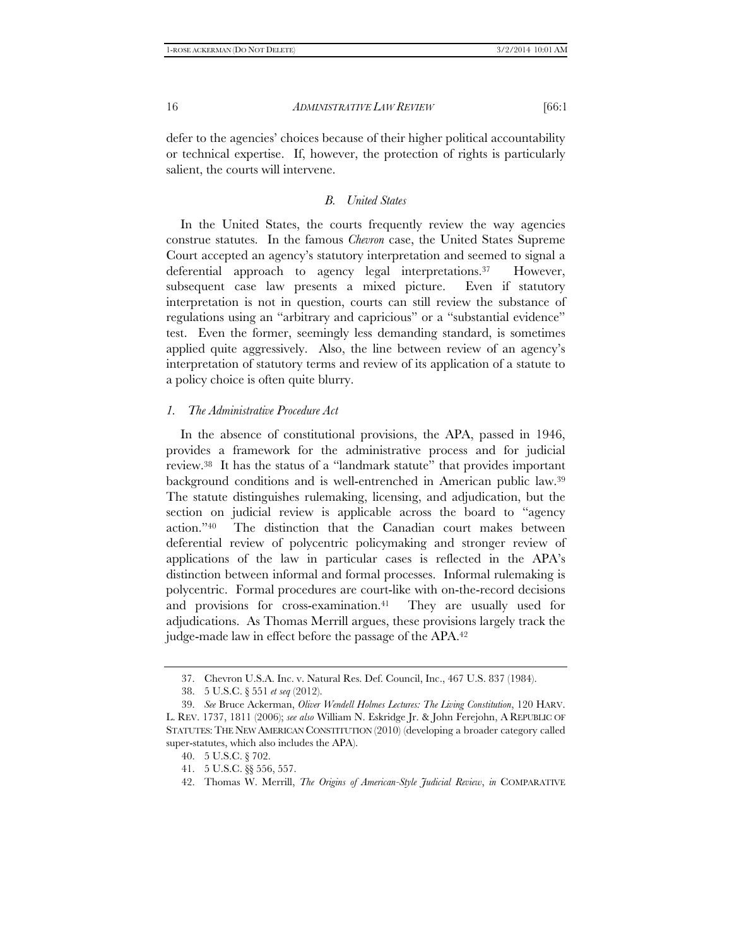defer to the agencies' choices because of their higher political accountability or technical expertise. If, however, the protection of rights is particularly salient, the courts will intervene.

### *B. United States*

In the United States, the courts frequently review the way agencies construe statutes. In the famous *Chevron* case, the United States Supreme Court accepted an agency's statutory interpretation and seemed to signal a deferential approach to agency legal interpretations.37 However, subsequent case law presents a mixed picture. Even if statutory interpretation is not in question, courts can still review the substance of regulations using an "arbitrary and capricious" or a "substantial evidence" test. Even the former, seemingly less demanding standard, is sometimes applied quite aggressively. Also, the line between review of an agency's interpretation of statutory terms and review of its application of a statute to a policy choice is often quite blurry.

#### *1. The Administrative Procedure Act*

In the absence of constitutional provisions, the APA, passed in 1946, provides a framework for the administrative process and for judicial review.38 It has the status of a "landmark statute" that provides important background conditions and is well-entrenched in American public law.39 The statute distinguishes rulemaking, licensing, and adjudication, but the section on judicial review is applicable across the board to "agency action."40 The distinction that the Canadian court makes between deferential review of polycentric policymaking and stronger review of applications of the law in particular cases is reflected in the APA's distinction between informal and formal processes. Informal rulemaking is polycentric. Formal procedures are court-like with on-the-record decisions and provisions for cross-examination.<sup>41</sup> They are usually used for adjudications. As Thomas Merrill argues, these provisions largely track the judge-made law in effect before the passage of the APA.<sup>42</sup>

 <sup>37.</sup> Chevron U.S.A. Inc. v. Natural Res. Def. Council, Inc., 467 U.S. 837 (1984).

 <sup>38. 5</sup> U.S.C. § 551 *et seq* (2012).

 <sup>39.</sup> *See* Bruce Ackerman, *Oliver Wendell Holmes Lectures: The Living Constitution*, 120 HARV. L. REV. 1737, 1811 (2006); *see also* William N. Eskridge Jr. & John Ferejohn, A REPUBLIC OF STATUTES:THE NEW AMERICAN CONSTITUTION (2010) (developing a broader category called super-statutes, which also includes the APA).

 <sup>40. 5</sup> U.S.C. § 702.

 <sup>41. 5</sup> U.S.C. §§ 556, 557.

 <sup>42.</sup> Thomas W. Merrill, *The Origins of American-Style Judicial Review*, *in* COMPARATIVE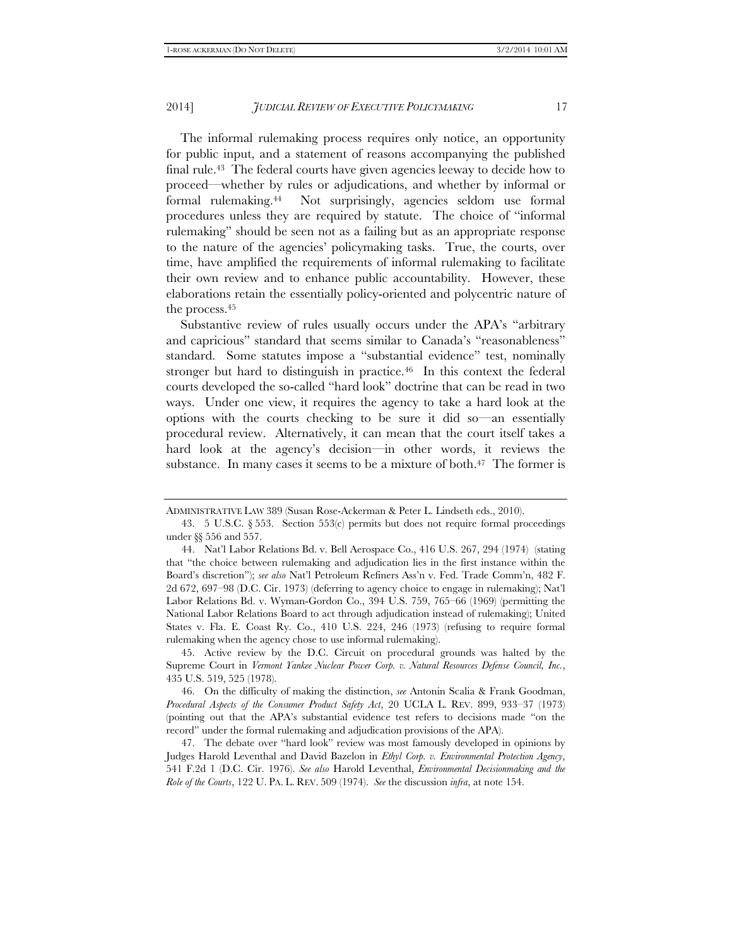The informal rulemaking process requires only notice, an opportunity for public input, and a statement of reasons accompanying the published final rule.43 The federal courts have given agencies leeway to decide how to proceed—whether by rules or adjudications, and whether by informal or formal rulemaking.44 Not surprisingly, agencies seldom use formal procedures unless they are required by statute. The choice of "informal rulemaking" should be seen not as a failing but as an appropriate response to the nature of the agencies' policymaking tasks. True, the courts, over time, have amplified the requirements of informal rulemaking to facilitate their own review and to enhance public accountability. However, these elaborations retain the essentially policy-oriented and polycentric nature of the process.45

Substantive review of rules usually occurs under the APA's "arbitrary and capricious" standard that seems similar to Canada's "reasonableness" standard. Some statutes impose a "substantial evidence" test, nominally stronger but hard to distinguish in practice.<sup>46</sup> In this context the federal courts developed the so-called "hard look" doctrine that can be read in two ways. Under one view, it requires the agency to take a hard look at the options with the courts checking to be sure it did so—an essentially procedural review. Alternatively, it can mean that the court itself takes a hard look at the agency's decision—in other words, it reviews the substance. In many cases it seems to be a mixture of both. $47$  The former is

ADMINISTRATIVE LAW 389 (Susan Rose-Ackerman & Peter L. Lindseth eds., 2010).

 <sup>43. 5</sup> U.S.C. § 553. Section 553(c) permits but does not require formal proceedings under §§ 556 and 557.

 <sup>44.</sup> Nat'l Labor Relations Bd. v. Bell Aerospace Co., 416 U.S. 267, 294 (1974) (stating that "the choice between rulemaking and adjudication lies in the first instance within the Board's discretion"); *see also* Nat'l Petroleum Refiners Ass'n v. Fed. Trade Comm'n, 482 F. 2d 672, 697–98 (D.C. Cir. 1973) (deferring to agency choice to engage in rulemaking); Nat'l Labor Relations Bd. v. Wyman-Gordon Co., 394 U.S. 759, 765–66 (1969) (permitting the National Labor Relations Board to act through adjudication instead of rulemaking); United States v. Fla. E. Coast Ry. Co., 410 U.S. 224, 246 (1973) (refusing to require formal rulemaking when the agency chose to use informal rulemaking).

 <sup>45.</sup> Active review by the D.C. Circuit on procedural grounds was halted by the Supreme Court in *Vermont Yankee Nuclear Power Corp. v. Natural Resources Defense Council, Inc.*, 435 U.S. 519, 525 (1978).

 <sup>46.</sup> On the difficulty of making the distinction, *see* Antonin Scalia & Frank Goodman, *Procedural Aspects of the Consumer Product Safety Act*, 20 UCLA L. REV. 899, 933–37 (1973) (pointing out that the APA's substantial evidence test refers to decisions made "on the record" under the formal rulemaking and adjudication provisions of the APA).

 <sup>47.</sup> The debate over "hard look" review was most famously developed in opinions by Judges Harold Leventhal and David Bazelon in *Ethyl Corp. v. Environmental Protection Agency*, 541 F.2d 1 (D.C. Cir. 1976). *See also* Harold Leventhal, *Environmental Decisionmaking and the Role of the Courts*, 122 U. PA. L. REV. 509 (1974). *See* the discussion *infra*, at note 154.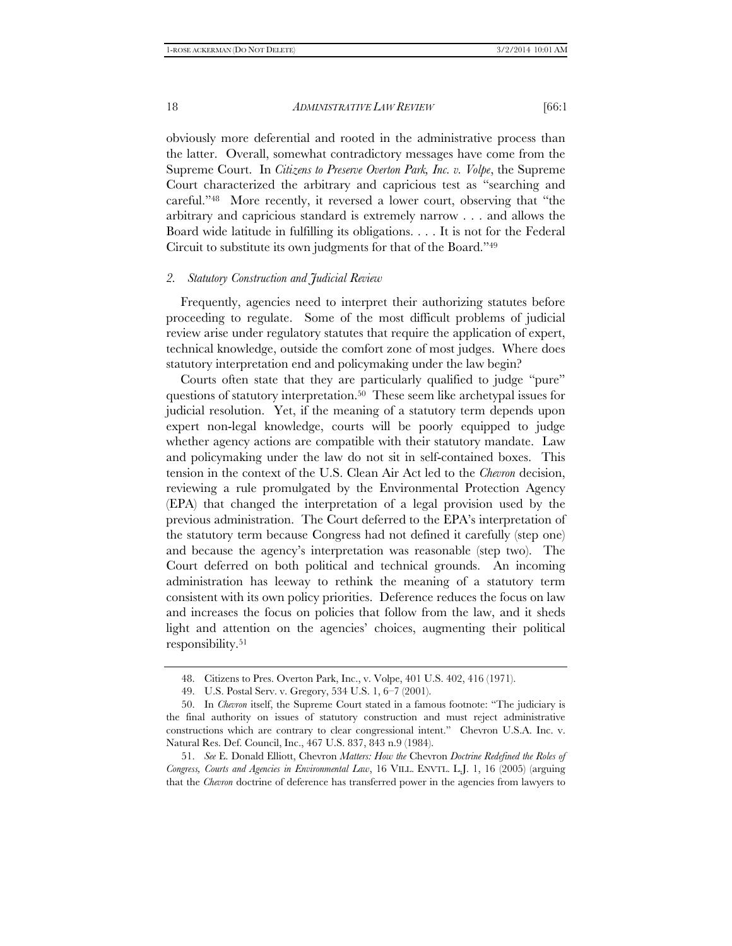obviously more deferential and rooted in the administrative process than the latter. Overall, somewhat contradictory messages have come from the Supreme Court. In *Citizens to Preserve Overton Park, Inc. v. Volpe*, the Supreme Court characterized the arbitrary and capricious test as "searching and careful."48 More recently, it reversed a lower court, observing that "the arbitrary and capricious standard is extremely narrow . . . and allows the Board wide latitude in fulfilling its obligations. . . . It is not for the Federal Circuit to substitute its own judgments for that of the Board."49

#### *2. Statutory Construction and Judicial Review*

Frequently, agencies need to interpret their authorizing statutes before proceeding to regulate. Some of the most difficult problems of judicial review arise under regulatory statutes that require the application of expert, technical knowledge, outside the comfort zone of most judges. Where does statutory interpretation end and policymaking under the law begin?

Courts often state that they are particularly qualified to judge "pure" questions of statutory interpretation.50 These seem like archetypal issues for judicial resolution. Yet, if the meaning of a statutory term depends upon expert non-legal knowledge, courts will be poorly equipped to judge whether agency actions are compatible with their statutory mandate. Law and policymaking under the law do not sit in self-contained boxes. This tension in the context of the U.S. Clean Air Act led to the *Chevron* decision, reviewing a rule promulgated by the Environmental Protection Agency (EPA) that changed the interpretation of a legal provision used by the previous administration. The Court deferred to the EPA's interpretation of the statutory term because Congress had not defined it carefully (step one) and because the agency's interpretation was reasonable (step two). The Court deferred on both political and technical grounds. An incoming administration has leeway to rethink the meaning of a statutory term consistent with its own policy priorities. Deference reduces the focus on law and increases the focus on policies that follow from the law, and it sheds light and attention on the agencies' choices, augmenting their political responsibility.51

 51. *See* E. Donald Elliott, Chevron *Matters: How the* Chevron *Doctrine Redefined the Roles of Congress, Courts and Agencies in Environmental Law*, 16 VILL. ENVTL. L.J. 1, 16 (2005) (arguing that the *Chevron* doctrine of deference has transferred power in the agencies from lawyers to

 <sup>48.</sup> Citizens to Pres. Overton Park, Inc., v. Volpe, 401 U.S. 402, 416 (1971).

 <sup>49.</sup> U.S. Postal Serv. v. Gregory, 534 U.S. 1, 6–7 (2001).

 <sup>50.</sup> In *Chevron* itself, the Supreme Court stated in a famous footnote: "The judiciary is the final authority on issues of statutory construction and must reject administrative constructions which are contrary to clear congressional intent." Chevron U.S.A. Inc. v. Natural Res. Def. Council, Inc., 467 U.S. 837, 843 n.9 (1984).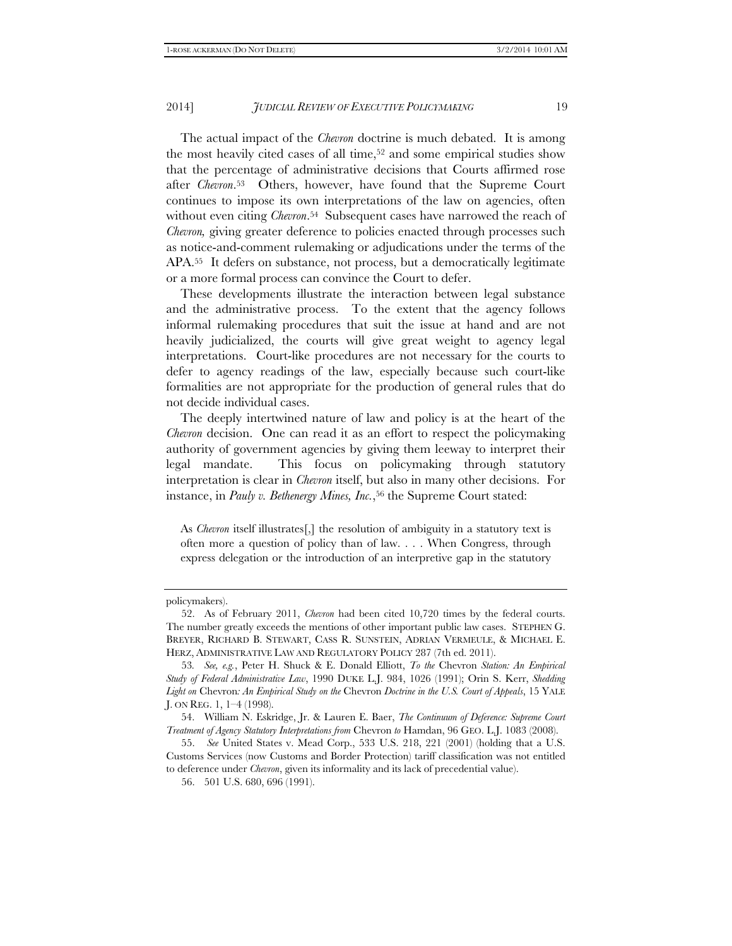The actual impact of the *Chevron* doctrine is much debated. It is among the most heavily cited cases of all time,<sup>52</sup> and some empirical studies show that the percentage of administrative decisions that Courts affirmed rose after *Chevron*.53 Others, however, have found that the Supreme Court continues to impose its own interpretations of the law on agencies, often without even citing *Chevron*.54 Subsequent cases have narrowed the reach of *Chevron,* giving greater deference to policies enacted through processes such as notice-and-comment rulemaking or adjudications under the terms of the APA.55 It defers on substance, not process, but a democratically legitimate or a more formal process can convince the Court to defer.

These developments illustrate the interaction between legal substance and the administrative process. To the extent that the agency follows informal rulemaking procedures that suit the issue at hand and are not heavily judicialized, the courts will give great weight to agency legal interpretations. Court-like procedures are not necessary for the courts to defer to agency readings of the law, especially because such court-like formalities are not appropriate for the production of general rules that do not decide individual cases.

The deeply intertwined nature of law and policy is at the heart of the *Chevron* decision. One can read it as an effort to respect the policymaking authority of government agencies by giving them leeway to interpret their legal mandate. This focus on policymaking through statutory interpretation is clear in *Chevron* itself, but also in many other decisions. For instance, in *Pauly v. Bethenergy Mines, Inc.*,<sup>56</sup> the Supreme Court stated:

As *Chevron* itself illustrates[,] the resolution of ambiguity in a statutory text is often more a question of policy than of law. . . . When Congress, through express delegation or the introduction of an interpretive gap in the statutory

policymakers).

 <sup>52.</sup> As of February 2011, *Chevron* had been cited 10,720 times by the federal courts. The number greatly exceeds the mentions of other important public law cases. STEPHEN G. BREYER, RICHARD B. STEWART, CASS R. SUNSTEIN, ADRIAN VERMEULE, & MICHAEL E. HERZ, ADMINISTRATIVE LAW AND REGULATORY POLICY 287 (7th ed. 2011).

<sup>53</sup>*. See, e.g.*, Peter H. Shuck & E. Donald Elliott, *To the* Chevron *Station: An Empirical Study of Federal Administrative Law*, 1990 DUKE L.J. 984, 1026 (1991); Orin S. Kerr, *Shedding Light on* Chevron*: An Empirical Study on the* Chevron *Doctrine in the U.S. Court of Appeals*, 15 YALE J. ON REG. 1, 1–4 (1998).

 <sup>54.</sup> William N. Eskridge, Jr. & Lauren E. Baer, *The Continuum of Deference: Supreme Court Treatment of Agency Statutory Interpretations from* Chevron *to* Hamdan, 96 GEO. L.J. 1083 (2008).

 <sup>55.</sup> *See* United States v. Mead Corp., 533 U.S. 218, 221 (2001) (holding that a U.S. Customs Services (now Customs and Border Protection) tariff classification was not entitled to deference under *Chevron*, given its informality and its lack of precedential value).

 <sup>56. 501</sup> U.S. 680, 696 (1991).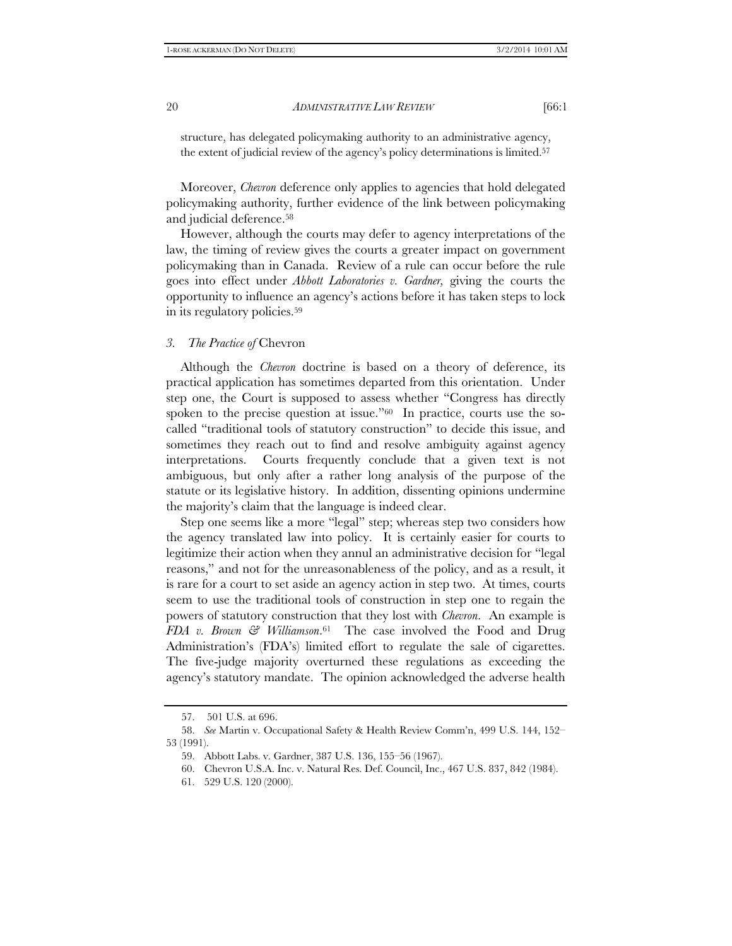structure, has delegated policymaking authority to an administrative agency, the extent of judicial review of the agency's policy determinations is limited.57

Moreover, *Chevron* deference only applies to agencies that hold delegated policymaking authority, further evidence of the link between policymaking and judicial deference.58

However, although the courts may defer to agency interpretations of the law, the timing of review gives the courts a greater impact on government policymaking than in Canada. Review of a rule can occur before the rule goes into effect under *Abbott Laboratories v. Gardner,* giving the courts the opportunity to influence an agency's actions before it has taken steps to lock in its regulatory policies.59

#### *3. The Practice of* Chevron

Although the *Chevron* doctrine is based on a theory of deference, its practical application has sometimes departed from this orientation. Under step one, the Court is supposed to assess whether "Congress has directly spoken to the precise question at issue."<sup>60</sup> In practice, courts use the socalled "traditional tools of statutory construction" to decide this issue, and sometimes they reach out to find and resolve ambiguity against agency interpretations. Courts frequently conclude that a given text is not ambiguous, but only after a rather long analysis of the purpose of the statute or its legislative history. In addition, dissenting opinions undermine the majority's claim that the language is indeed clear.

Step one seems like a more "legal" step; whereas step two considers how the agency translated law into policy. It is certainly easier for courts to legitimize their action when they annul an administrative decision for "legal reasons," and not for the unreasonableness of the policy, and as a result, it is rare for a court to set aside an agency action in step two. At times, courts seem to use the traditional tools of construction in step one to regain the powers of statutory construction that they lost with *Chevron*. An example is *FDA v. Brown & Williamson*.61 The case involved the Food and Drug Administration's (FDA's) limited effort to regulate the sale of cigarettes. The five-judge majority overturned these regulations as exceeding the agency's statutory mandate. The opinion acknowledged the adverse health

 <sup>57. 501</sup> U.S. at 696.

 <sup>58.</sup> *See* Martin v. Occupational Safety & Health Review Comm'n, 499 U.S. 144, 152– 53 (1991).

 <sup>59.</sup> Abbott Labs. v. Gardner, 387 U.S. 136, 155–56 (1967).

 <sup>60.</sup> Chevron U.S.A. Inc. v. Natural Res. Def. Council, Inc., 467 U.S. 837, 842 (1984).

 <sup>61. 529</sup> U.S. 120 (2000).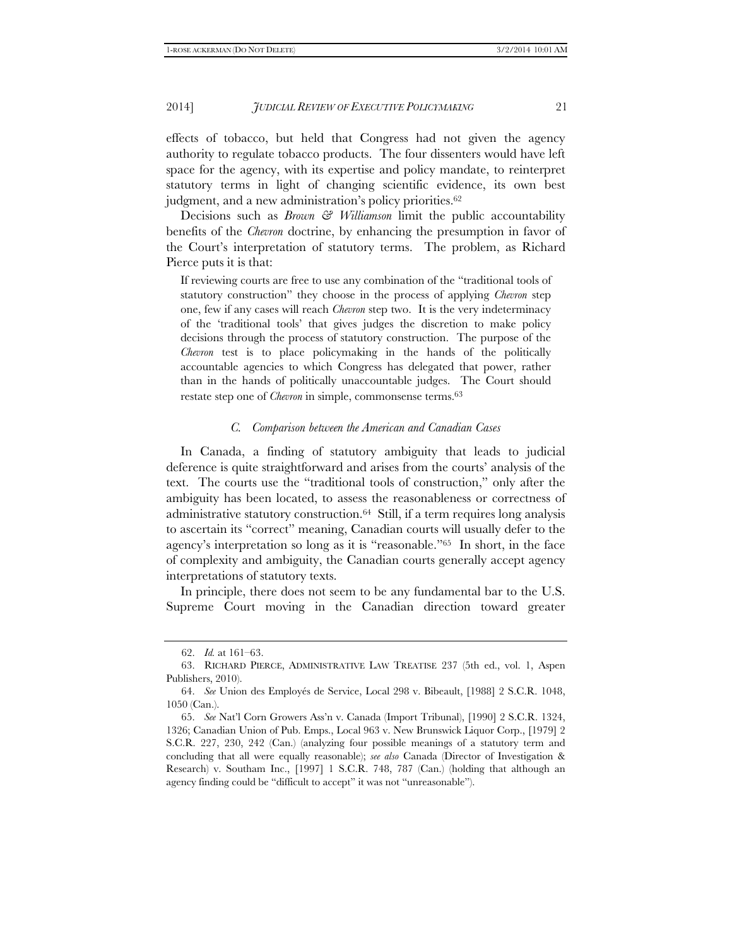effects of tobacco, but held that Congress had not given the agency authority to regulate tobacco products. The four dissenters would have left space for the agency, with its expertise and policy mandate, to reinterpret statutory terms in light of changing scientific evidence, its own best judgment, and a new administration's policy priorities.<sup>62</sup>

Decisions such as *Brown & Williamson* limit the public accountability benefits of the *Chevron* doctrine, by enhancing the presumption in favor of the Court's interpretation of statutory terms. The problem, as Richard Pierce puts it is that:

If reviewing courts are free to use any combination of the "traditional tools of statutory construction" they choose in the process of applying *Chevron* step one, few if any cases will reach *Chevron* step two. It is the very indeterminacy of the 'traditional tools' that gives judges the discretion to make policy decisions through the process of statutory construction. The purpose of the *Chevron* test is to place policymaking in the hands of the politically accountable agencies to which Congress has delegated that power, rather than in the hands of politically unaccountable judges. The Court should restate step one of *Chevron* in simple, commonsense terms.63

#### *C. Comparison between the American and Canadian Cases*

In Canada, a finding of statutory ambiguity that leads to judicial deference is quite straightforward and arises from the courts' analysis of the text. The courts use the "traditional tools of construction," only after the ambiguity has been located, to assess the reasonableness or correctness of administrative statutory construction.64 Still, if a term requires long analysis to ascertain its "correct" meaning, Canadian courts will usually defer to the agency's interpretation so long as it is "reasonable."65 In short, in the face of complexity and ambiguity, the Canadian courts generally accept agency interpretations of statutory texts.

In principle, there does not seem to be any fundamental bar to the U.S. Supreme Court moving in the Canadian direction toward greater

 <sup>62.</sup> *Id.* at 161–63.

 <sup>63.</sup> RICHARD PIERCE, ADMINISTRATIVE LAW TREATISE 237 (5th ed., vol. 1, Aspen Publishers, 2010).

 <sup>64.</sup> *See* Union des Employés de Service, Local 298 v. Bibeault, [1988] 2 S.C.R. 1048, 1050 (Can.).

 <sup>65.</sup> *See* Nat'l Corn Growers Ass'n v. Canada (Import Tribunal), [1990] 2 S.C.R. 1324, 1326; Canadian Union of Pub. Emps., Local 963 v. New Brunswick Liquor Corp., [1979] 2 S.C.R. 227, 230, 242 (Can.) (analyzing four possible meanings of a statutory term and concluding that all were equally reasonable); *see also* Canada (Director of Investigation & Research) v. Southam Inc., [1997] 1 S.C.R. 748, 787 (Can.) (holding that although an agency finding could be "difficult to accept" it was not "unreasonable").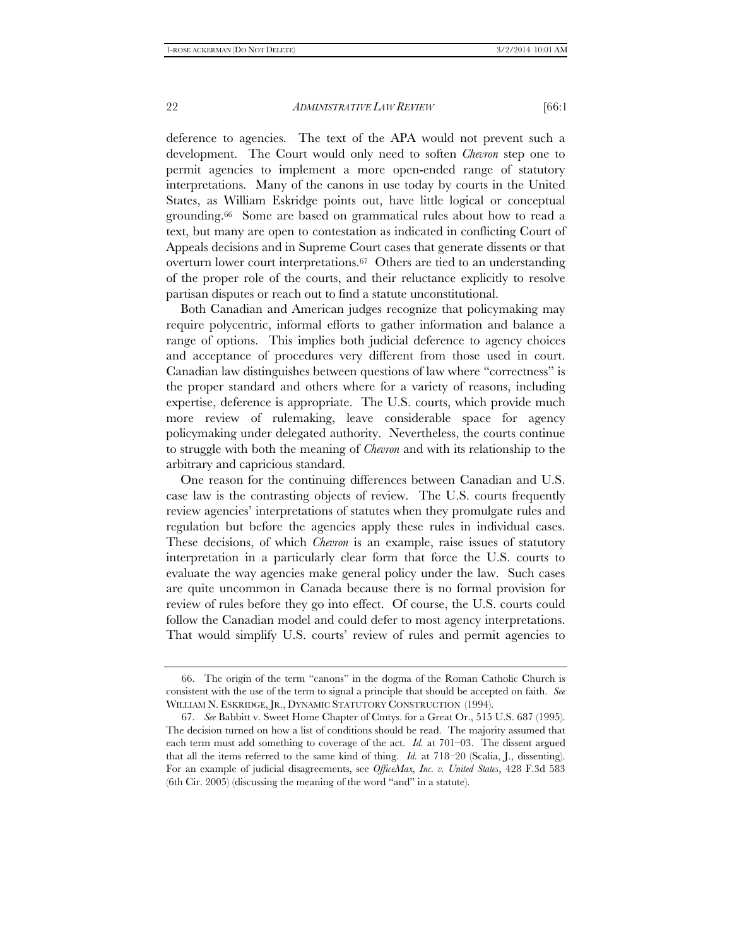deference to agencies. The text of the APA would not prevent such a development. The Court would only need to soften *Chevron* step one to permit agencies to implement a more open-ended range of statutory interpretations. Many of the canons in use today by courts in the United States, as William Eskridge points out, have little logical or conceptual grounding.66 Some are based on grammatical rules about how to read a text, but many are open to contestation as indicated in conflicting Court of Appeals decisions and in Supreme Court cases that generate dissents or that overturn lower court interpretations.67 Others are tied to an understanding of the proper role of the courts, and their reluctance explicitly to resolve partisan disputes or reach out to find a statute unconstitutional.

Both Canadian and American judges recognize that policymaking may require polycentric, informal efforts to gather information and balance a range of options. This implies both judicial deference to agency choices and acceptance of procedures very different from those used in court. Canadian law distinguishes between questions of law where "correctness" is the proper standard and others where for a variety of reasons, including expertise, deference is appropriate. The U.S. courts, which provide much more review of rulemaking, leave considerable space for agency policymaking under delegated authority. Nevertheless, the courts continue to struggle with both the meaning of *Chevron* and with its relationship to the arbitrary and capricious standard.

One reason for the continuing differences between Canadian and U.S. case law is the contrasting objects of review. The U.S. courts frequently review agencies' interpretations of statutes when they promulgate rules and regulation but before the agencies apply these rules in individual cases. These decisions, of which *Chevron* is an example, raise issues of statutory interpretation in a particularly clear form that force the U.S. courts to evaluate the way agencies make general policy under the law. Such cases are quite uncommon in Canada because there is no formal provision for review of rules before they go into effect. Of course, the U.S. courts could follow the Canadian model and could defer to most agency interpretations. That would simplify U.S. courts' review of rules and permit agencies to

 <sup>66.</sup> The origin of the term "canons" in the dogma of the Roman Catholic Church is consistent with the use of the term to signal a principle that should be accepted on faith. *See* WILLIAM N. ESKRIDGE, JR., DYNAMIC STATUTORY CONSTRUCTION (1994).

 <sup>67.</sup> *See* Babbitt v. Sweet Home Chapter of Cmtys. for a Great Or., 515 U.S. 687 (1995). The decision turned on how a list of conditions should be read. The majority assumed that each term must add something to coverage of the act. *Id.* at 701–03. The dissent argued that all the items referred to the same kind of thing. *Id.* at 718–20 (Scalia, J., dissenting). For an example of judicial disagreements, see *OfficeMax, Inc. v. United States*, 428 F.3d 583 (6th Cir. 2005) (discussing the meaning of the word "and" in a statute).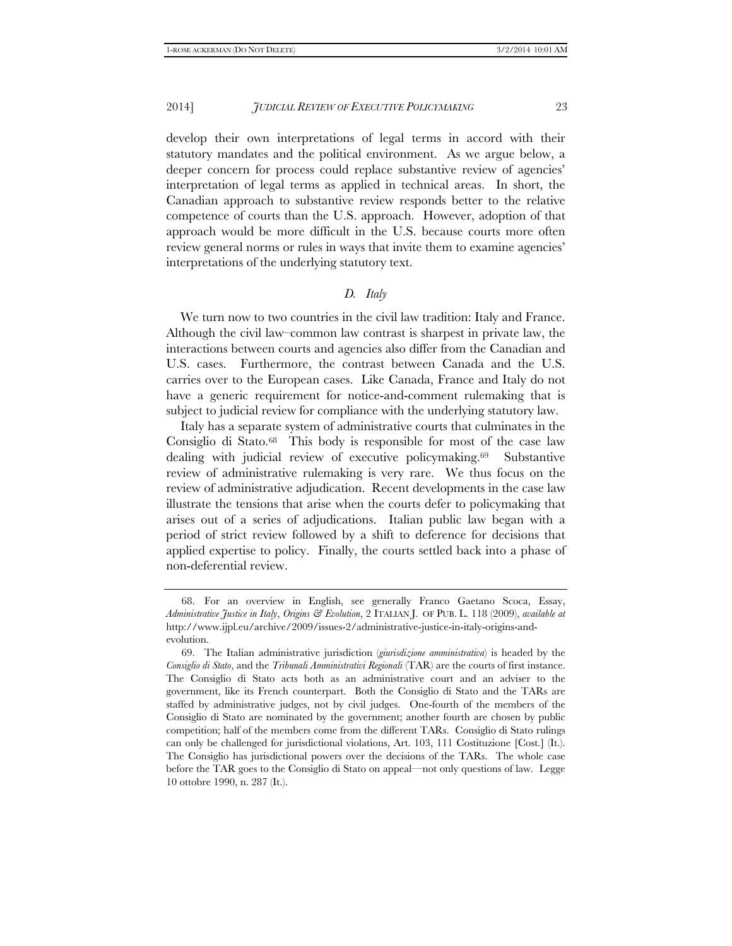develop their own interpretations of legal terms in accord with their statutory mandates and the political environment. As we argue below, a deeper concern for process could replace substantive review of agencies' interpretation of legal terms as applied in technical areas. In short, the Canadian approach to substantive review responds better to the relative competence of courts than the U.S. approach. However, adoption of that approach would be more difficult in the U.S. because courts more often review general norms or rules in ways that invite them to examine agencies' interpretations of the underlying statutory text.

#### *D. Italy*

We turn now to two countries in the civil law tradition: Italy and France. Although the civil law–common law contrast is sharpest in private law, the interactions between courts and agencies also differ from the Canadian and U.S. cases. Furthermore, the contrast between Canada and the U.S. carries over to the European cases. Like Canada, France and Italy do not have a generic requirement for notice-and-comment rulemaking that is subject to judicial review for compliance with the underlying statutory law.

Italy has a separate system of administrative courts that culminates in the Consiglio di Stato.68 This body is responsible for most of the case law dealing with judicial review of executive policymaking.69 Substantive review of administrative rulemaking is very rare. We thus focus on the review of administrative adjudication. Recent developments in the case law illustrate the tensions that arise when the courts defer to policymaking that arises out of a series of adjudications. Italian public law began with a period of strict review followed by a shift to deference for decisions that applied expertise to policy. Finally, the courts settled back into a phase of non-deferential review.

 <sup>68.</sup> For an overview in English, see generally Franco Gaetano Scoca, Essay, *Administrative Justice in Italy*, *Origins & Evolution*, 2 ITALIAN J. OF PUB. L. 118 (2009), *available at*  http://www.ijpl.eu/archive/2009/issues-2/administrative-justice-in-italy-origins-andevolution.

 <sup>69.</sup> The Italian administrative jurisdiction (*giurisdizione amministrativa*) is headed by the *Consiglio di Stato*, and the *Tribunali Amministrativi Regionali* (TAR) are the courts of first instance. The Consiglio di Stato acts both as an administrative court and an adviser to the government, like its French counterpart. Both the Consiglio di Stato and the TARs are staffed by administrative judges, not by civil judges. One-fourth of the members of the Consiglio di Stato are nominated by the government; another fourth are chosen by public competition; half of the members come from the different TARs. Consiglio di Stato rulings can only be challenged for jurisdictional violations, Art. 103, 111 Costituzione [Cost.] (It.). The Consiglio has jurisdictional powers over the decisions of the TARs. The whole case before the TAR goes to the Consiglio di Stato on appeal—not only questions of law. Legge 10 ottobre 1990, n. 287 (It.).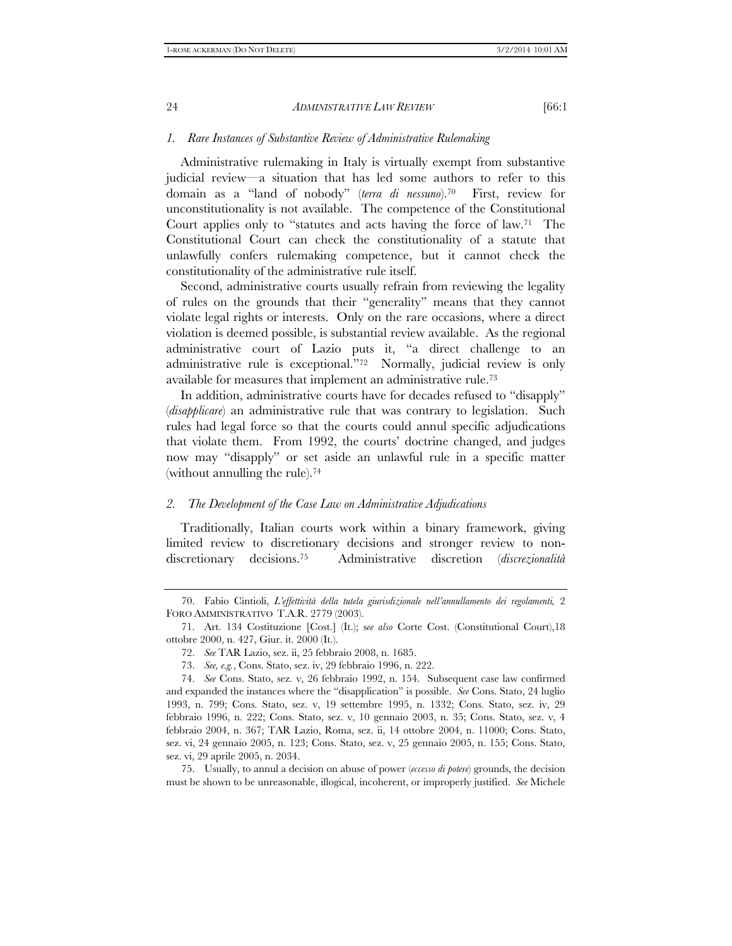### *1. Rare Instances of Substantive Review of Administrative Rulemaking*

Administrative rulemaking in Italy is virtually exempt from substantive judicial review—a situation that has led some authors to refer to this domain as a "land of nobody" (*terra di nessuno*).70 First, review for unconstitutionality is not available. The competence of the Constitutional Court applies only to "statutes and acts having the force of law.71 The Constitutional Court can check the constitutionality of a statute that unlawfully confers rulemaking competence, but it cannot check the constitutionality of the administrative rule itself.

Second, administrative courts usually refrain from reviewing the legality of rules on the grounds that their "generality" means that they cannot violate legal rights or interests. Only on the rare occasions, where a direct violation is deemed possible, is substantial review available. As the regional administrative court of Lazio puts it, "a direct challenge to an administrative rule is exceptional."72 Normally, judicial review is only available for measures that implement an administrative rule.73

In addition, administrative courts have for decades refused to "disapply" (*disapplicare*) an administrative rule that was contrary to legislation. Such rules had legal force so that the courts could annul specific adjudications that violate them. From 1992, the courts' doctrine changed, and judges now may "disapply" or set aside an unlawful rule in a specific matter (without annulling the rule).74

#### *2. The Development of the Case Law on Administrative Adjudications*

Traditionally, Italian courts work within a binary framework, giving limited review to discretionary decisions and stronger review to nondiscretionary decisions.75 Administrative discretion (*discrezionalità* 

 <sup>70.</sup> Fabio Cintioli, *L'effettività della tutela giurisdizionale nell'annullamento dei regolamenti,* 2 FORO AMMINISTRATIVO T.A.R. 2779 (2003).

 <sup>71.</sup> Art. 134 Costituzione [Cost.] (It.); s*ee also* Corte Cost. (Constitutional Court),18 ottobre 2000, n. 427, Giur. it. 2000 (It.).

 <sup>72.</sup> *See* TAR Lazio, sez. ii, 25 febbraio 2008, n. 1685.

 <sup>73.</sup> *See, e.g.*, Cons. Stato, sez. iv, 29 febbraio 1996, n. 222.

 <sup>74.</sup> *See* Cons. Stato, sez. v, 26 febbraio 1992, n. 154. Subsequent case law confirmed and expanded the instances where the "disapplication" is possible. *See* Cons. Stato, 24 luglio 1993, n. 799; Cons. Stato, sez. v, 19 settembre 1995, n. 1332; Cons. Stato, sez. iv, 29 febbraio 1996, n. 222; Cons. Stato, sez. v, 10 gennaio 2003, n. 35; Cons. Stato, sez. v, 4 febbraio 2004, n. 367; TAR Lazio, Roma, sez. ii, 14 ottobre 2004, n. 11000; Cons. Stato, sez. vi, 24 gennaio 2005, n. 123; Cons. Stato, sez. v, 25 gennaio 2005, n. 155; Cons. Stato, sez. vi, 29 aprile 2005, n. 2034.

 <sup>75.</sup> Usually, to annul a decision on abuse of power (*eccesso di potere*) grounds, the decision must be shown to be unreasonable, illogical, incoherent, or improperly justified. *See* Michele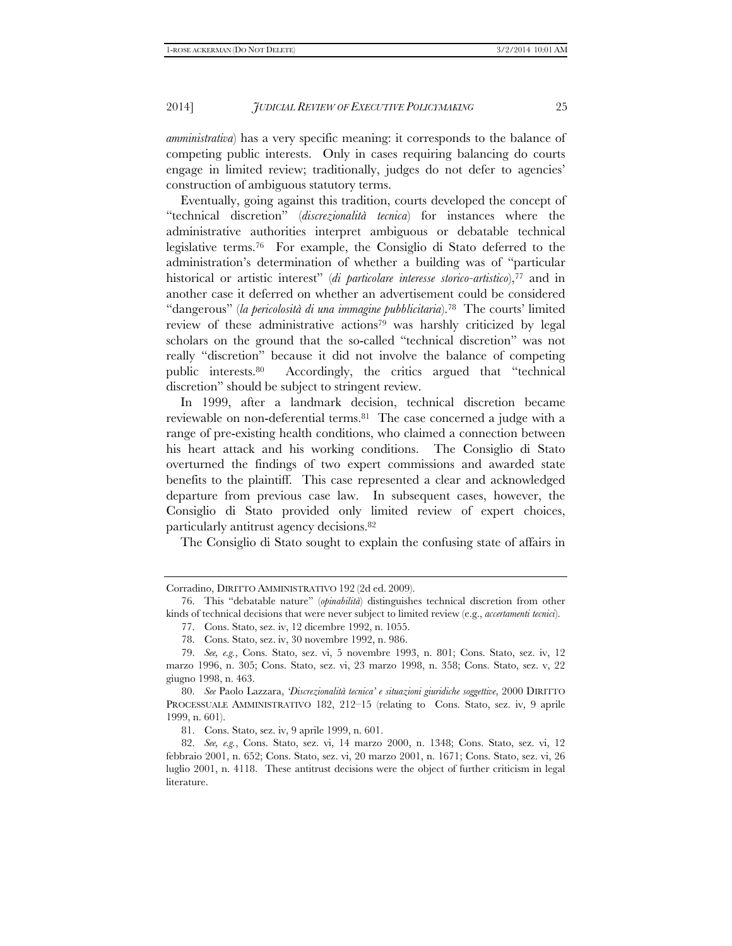*amministrativa*) has a very specific meaning: it corresponds to the balance of competing public interests. Only in cases requiring balancing do courts engage in limited review; traditionally, judges do not defer to agencies' construction of ambiguous statutory terms.

Eventually, going against this tradition, courts developed the concept of "technical discretion" (*discrezionalità tecnica*) for instances where the administrative authorities interpret ambiguous or debatable technical legislative terms.76 For example, the Consiglio di Stato deferred to the administration's determination of whether a building was of "particular historical or artistic interest" (*di particolare interesse storico-artistico*),<sup>77</sup> and in another case it deferred on whether an advertisement could be considered "dangerous" (*la pericolosità di una immagine pubblicitaria*).78 The courts' limited review of these administrative actions79 was harshly criticized by legal scholars on the ground that the so-called "technical discretion" was not really "discretion" because it did not involve the balance of competing public interests.80 Accordingly, the critics argued that "technical discretion" should be subject to stringent review.

In 1999, after a landmark decision, technical discretion became reviewable on non-deferential terms.81 The case concerned a judge with a range of pre-existing health conditions, who claimed a connection between his heart attack and his working conditions. The Consiglio di Stato overturned the findings of two expert commissions and awarded state benefits to the plaintiff. This case represented a clear and acknowledged departure from previous case law. In subsequent cases, however, the Consiglio di Stato provided only limited review of expert choices, particularly antitrust agency decisions.82

The Consiglio di Stato sought to explain the confusing state of affairs in

Corradino, DIRITTO AMMINISTRATIVO 192 (2d ed. 2009).

 <sup>76.</sup> This "debatable nature" (*opinabilità*) distinguishes technical discretion from other kinds of technical decisions that were never subject to limited review (e.g., *accertamenti tecnici*).

 <sup>77.</sup> Cons. Stato, sez. iv, 12 dicembre 1992, n. 1055.

 <sup>78.</sup> Cons. Stato, sez. iv, 30 novembre 1992, n. 986.

 <sup>79.</sup> *See, e.g.*, Cons. Stato, sez. vi, 5 novembre 1993, n. 801; Cons. Stato, sez. iv, 12 marzo 1996, n. 305; Cons. Stato, sez. vi, 23 marzo 1998, n. 358; Cons. Stato, sez. v, 22 giugno 1998, n. 463.

 <sup>80.</sup> *See* Paolo Lazzara, *'Discrezionalità tecnica' e situazioni giuridiche soggettive*, 2000 DIRITTO PROCESSUALE AMMINISTRATIVO 182, 212–15 (relating to Cons. Stato, sez. iv, 9 aprile 1999, n. 601).

 <sup>81.</sup> Cons. Stato, sez. iv, 9 aprile 1999, n. 601.

 <sup>82.</sup> *See, e.g.*, Cons. Stato, sez. vi, 14 marzo 2000, n. 1348; Cons. Stato, sez. vi, 12 febbraio 2001, n. 652; Cons. Stato, sez. vi, 20 marzo 2001, n. 1671; Cons. Stato, sez. vi, 26 luglio 2001, n. 4118. These antitrust decisions were the object of further criticism in legal literature.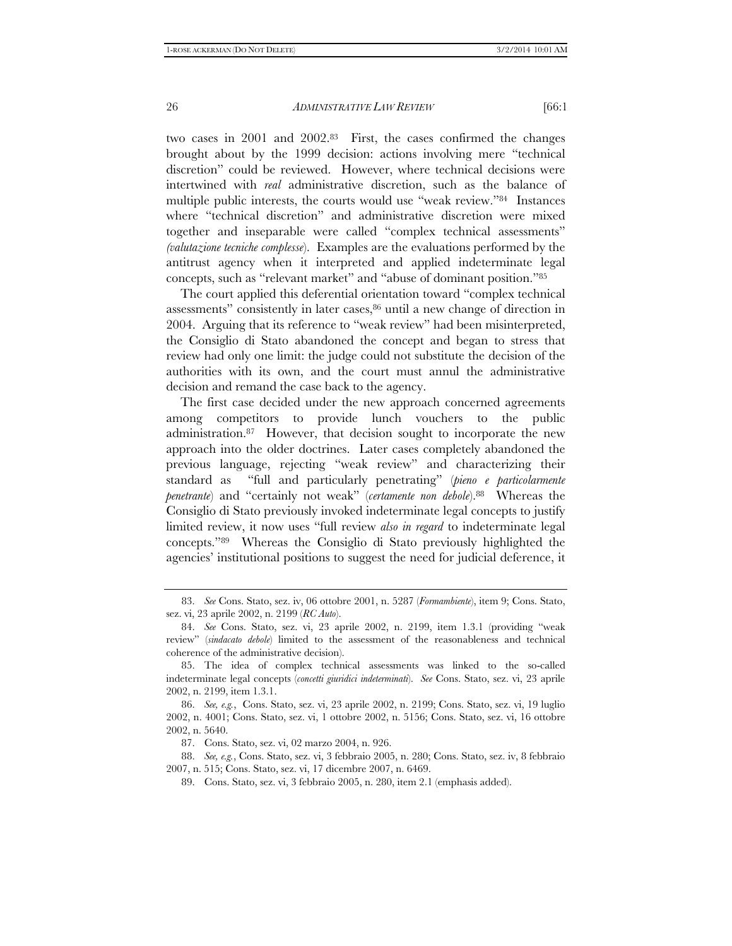two cases in 2001 and 2002.83 First, the cases confirmed the changes brought about by the 1999 decision: actions involving mere "technical discretion" could be reviewed. However, where technical decisions were intertwined with *real* administrative discretion, such as the balance of multiple public interests, the courts would use "weak review."84 Instances where "technical discretion" and administrative discretion were mixed together and inseparable were called "complex technical assessments" *(valutazione tecniche complesse*). Examples are the evaluations performed by the antitrust agency when it interpreted and applied indeterminate legal concepts, such as "relevant market" and "abuse of dominant position."85

The court applied this deferential orientation toward "complex technical assessments" consistently in later cases,86 until a new change of direction in 2004. Arguing that its reference to "weak review" had been misinterpreted, the Consiglio di Stato abandoned the concept and began to stress that review had only one limit: the judge could not substitute the decision of the authorities with its own, and the court must annul the administrative decision and remand the case back to the agency.

The first case decided under the new approach concerned agreements among competitors to provide lunch vouchers to the public administration.87 However, that decision sought to incorporate the new approach into the older doctrines. Later cases completely abandoned the previous language, rejecting "weak review" and characterizing their standard as "full and particularly penetrating" (*pieno e particolarmente penetrante*) and "certainly not weak" (*certamente non debole*).88 Whereas the Consiglio di Stato previously invoked indeterminate legal concepts to justify limited review, it now uses "full review *also in regard* to indeterminate legal concepts."89 Whereas the Consiglio di Stato previously highlighted the agencies' institutional positions to suggest the need for judicial deference, it

 88. *See, e.g.*, Cons. Stato, sez. vi, 3 febbraio 2005, n. 280; Cons. Stato, sez. iv, 8 febbraio 2007, n. 515; Cons. Stato, sez. vi, 17 dicembre 2007, n. 6469.

 <sup>83.</sup> *See* Cons. Stato, sez. iv, 06 ottobre 2001, n. 5287 (*Formambiente*), item 9; Cons. Stato, sez. vi, 23 aprile 2002, n. 2199 (*RC Auto*).

 <sup>84.</sup> *See* Cons. Stato, sez. vi, 23 aprile 2002, n. 2199, item 1.3.1 (providing "weak review" (*sindacato debole*) limited to the assessment of the reasonableness and technical coherence of the administrative decision).

 <sup>85.</sup> The idea of complex technical assessments was linked to the so-called indeterminate legal concepts (*concetti giuridici indeterminati*). *See* Cons. Stato, sez. vi, 23 aprile 2002, n. 2199, item 1.3.1.

 <sup>86.</sup> *See, e.g.*, Cons. Stato, sez. vi, 23 aprile 2002, n. 2199; Cons. Stato, sez. vi, 19 luglio 2002, n. 4001; Cons. Stato, sez. vi, 1 ottobre 2002, n. 5156; Cons. Stato, sez. vi, 16 ottobre 2002, n. 5640.

 <sup>87.</sup> Cons. Stato, sez. vi, 02 marzo 2004, n. 926.

 <sup>89.</sup> Cons. Stato, sez. vi, 3 febbraio 2005, n. 280, item 2.1 (emphasis added).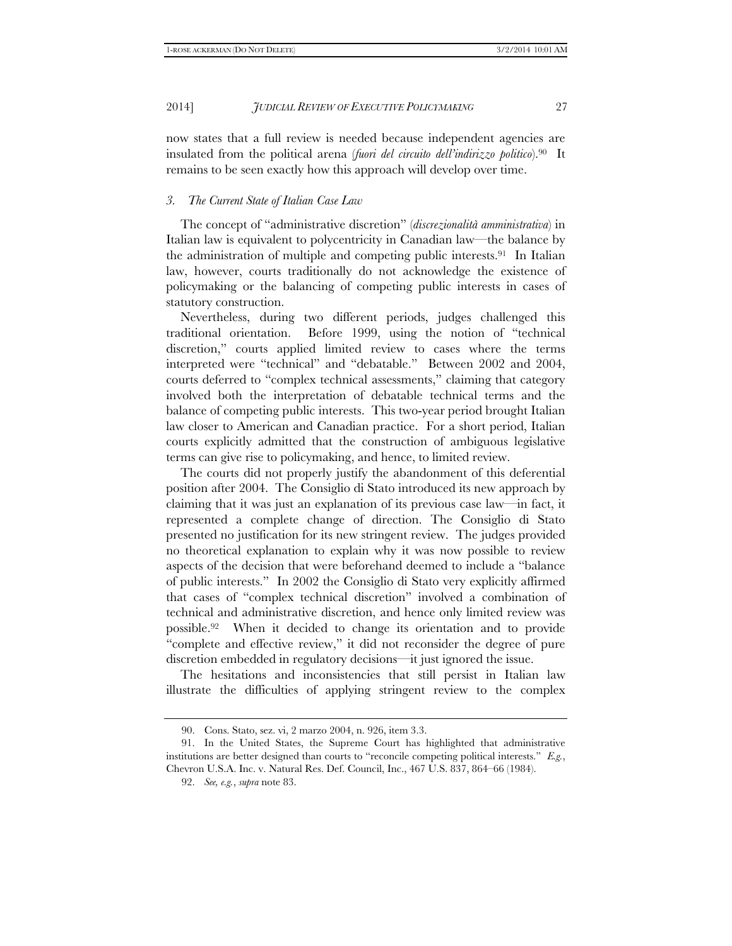now states that a full review is needed because independent agencies are insulated from the political arena (*fuori del circuito dell'indirizzo politico*).90 It remains to be seen exactly how this approach will develop over time.

#### *3. The Current State of Italian Case Law*

The concept of "administrative discretion" (*discrezionalità amministrativa*) in Italian law is equivalent to polycentricity in Canadian law—the balance by the administration of multiple and competing public interests.91 In Italian law, however, courts traditionally do not acknowledge the existence of policymaking or the balancing of competing public interests in cases of statutory construction.

Nevertheless, during two different periods, judges challenged this traditional orientation. Before 1999, using the notion of "technical discretion," courts applied limited review to cases where the terms interpreted were "technical" and "debatable." Between 2002 and 2004, courts deferred to "complex technical assessments," claiming that category involved both the interpretation of debatable technical terms and the balance of competing public interests. This two-year period brought Italian law closer to American and Canadian practice. For a short period, Italian courts explicitly admitted that the construction of ambiguous legislative terms can give rise to policymaking, and hence, to limited review.

The courts did not properly justify the abandonment of this deferential position after 2004. The Consiglio di Stato introduced its new approach by claiming that it was just an explanation of its previous case law—in fact, it represented a complete change of direction. The Consiglio di Stato presented no justification for its new stringent review. The judges provided no theoretical explanation to explain why it was now possible to review aspects of the decision that were beforehand deemed to include a "balance of public interests." In 2002 the Consiglio di Stato very explicitly affirmed that cases of "complex technical discretion" involved a combination of technical and administrative discretion, and hence only limited review was possible.92 When it decided to change its orientation and to provide "complete and effective review," it did not reconsider the degree of pure discretion embedded in regulatory decisions—it just ignored the issue.

The hesitations and inconsistencies that still persist in Italian law illustrate the difficulties of applying stringent review to the complex

 <sup>90.</sup> Cons. Stato, sez. vi, 2 marzo 2004, n. 926, item 3.3.

 <sup>91.</sup> In the United States, the Supreme Court has highlighted that administrative institutions are better designed than courts to "reconcile competing political interests." *E.g.*, Chevron U.S.A. Inc. v. Natural Res. Def. Council, Inc., 467 U.S. 837, 864–66 (1984).

 <sup>92.</sup> *See, e.g.*, *supra* note 83.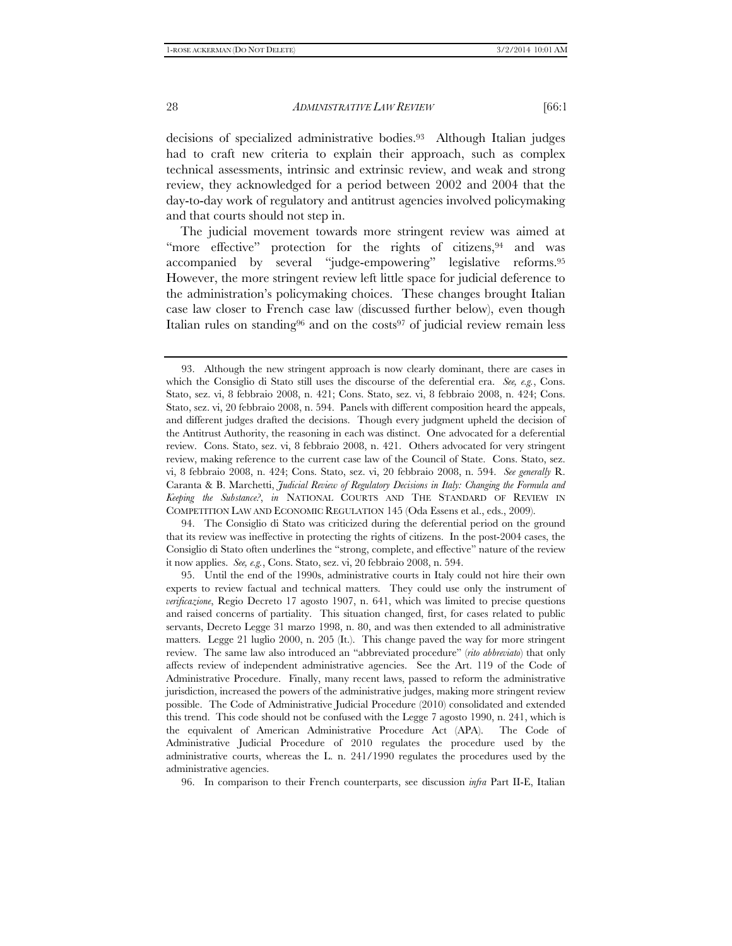decisions of specialized administrative bodies.93 Although Italian judges had to craft new criteria to explain their approach, such as complex technical assessments, intrinsic and extrinsic review, and weak and strong review, they acknowledged for a period between 2002 and 2004 that the day-to-day work of regulatory and antitrust agencies involved policymaking and that courts should not step in.

The judicial movement towards more stringent review was aimed at "more effective" protection for the rights of citizens,<sup>94</sup> and was accompanied by several "judge-empowering" legislative reforms.95 However, the more stringent review left little space for judicial deference to the administration's policymaking choices. These changes brought Italian case law closer to French case law (discussed further below), even though Italian rules on standing<sup>96</sup> and on the costs<sup>97</sup> of judicial review remain less

 94. The Consiglio di Stato was criticized during the deferential period on the ground that its review was ineffective in protecting the rights of citizens. In the post-2004 cases, the Consiglio di Stato often underlines the "strong, complete, and effective" nature of the review it now applies. *See, e.g.*, Cons. Stato, sez. vi, 20 febbraio 2008, n. 594.

 95. Until the end of the 1990s, administrative courts in Italy could not hire their own experts to review factual and technical matters. They could use only the instrument of *verificazione*, Regio Decreto 17 agosto 1907, n. 641, which was limited to precise questions and raised concerns of partiality. This situation changed, first, for cases related to public servants, Decreto Legge 31 marzo 1998, n. 80, and was then extended to all administrative matters. Legge 21 luglio 2000, n. 205 (It.). This change paved the way for more stringent review. The same law also introduced an "abbreviated procedure" (*rito abbreviato*) that only affects review of independent administrative agencies. See the Art. 119 of the Code of Administrative Procedure. Finally, many recent laws, passed to reform the administrative jurisdiction, increased the powers of the administrative judges, making more stringent review possible. The Code of Administrative Judicial Procedure (2010) consolidated and extended this trend. This code should not be confused with the Legge 7 agosto 1990, n. 241, which is the equivalent of American Administrative Procedure Act (APA). The Code of Administrative Judicial Procedure of 2010 regulates the procedure used by the administrative courts, whereas the L. n. 241/1990 regulates the procedures used by the administrative agencies.

96. In comparison to their French counterparts, see discussion *infra* Part II-E, Italian

 <sup>93.</sup> Although the new stringent approach is now clearly dominant, there are cases in which the Consiglio di Stato still uses the discourse of the deferential era. *See, e.g.*, Cons. Stato, sez. vi, 8 febbraio 2008, n. 421; Cons. Stato, sez. vi, 8 febbraio 2008, n. 424; Cons. Stato, sez. vi, 20 febbraio 2008, n. 594. Panels with different composition heard the appeals, and different judges drafted the decisions. Though every judgment upheld the decision of the Antitrust Authority, the reasoning in each was distinct. One advocated for a deferential review. Cons. Stato, sez. vi, 8 febbraio 2008, n. 421. Others advocated for very stringent review, making reference to the current case law of the Council of State. Cons. Stato, sez. vi, 8 febbraio 2008, n. 424; Cons. Stato, sez. vi, 20 febbraio 2008, n. 594. *See generally* R. Caranta & B. Marchetti, *Judicial Review of Regulatory Decisions in Italy: Changing the Formula and Keeping the Substance?*, *in* NATIONAL COURTS AND THE STANDARD OF REVIEW IN COMPETITION LAW AND ECONOMIC REGULATION 145 (Oda Essens et al., eds., 2009).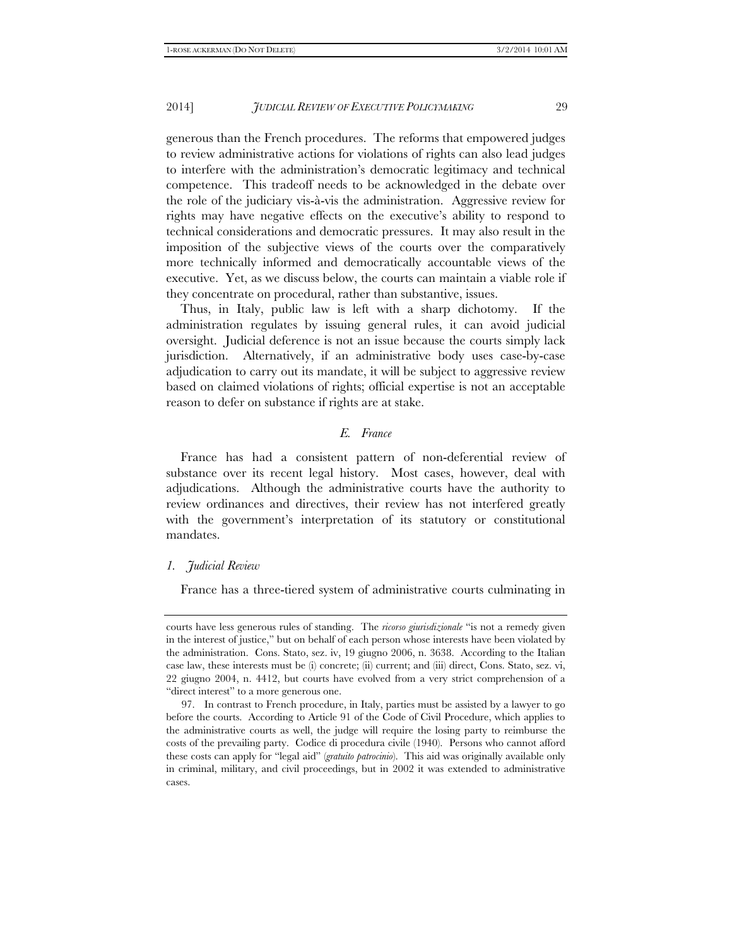generous than the French procedures. The reforms that empowered judges to review administrative actions for violations of rights can also lead judges to interfere with the administration's democratic legitimacy and technical competence. This tradeoff needs to be acknowledged in the debate over the role of the judiciary vis-à-vis the administration. Aggressive review for rights may have negative effects on the executive's ability to respond to technical considerations and democratic pressures. It may also result in the imposition of the subjective views of the courts over the comparatively more technically informed and democratically accountable views of the executive. Yet, as we discuss below, the courts can maintain a viable role if they concentrate on procedural, rather than substantive, issues.

Thus, in Italy, public law is left with a sharp dichotomy. If the administration regulates by issuing general rules, it can avoid judicial oversight. Judicial deference is not an issue because the courts simply lack jurisdiction. Alternatively, if an administrative body uses case-by-case adjudication to carry out its mandate, it will be subject to aggressive review based on claimed violations of rights; official expertise is not an acceptable reason to defer on substance if rights are at stake.

# *E. France*

France has had a consistent pattern of non-deferential review of substance over its recent legal history. Most cases, however, deal with adjudications. Although the administrative courts have the authority to review ordinances and directives, their review has not interfered greatly with the government's interpretation of its statutory or constitutional mandates.

#### *1. Judicial Review*

France has a three-tiered system of administrative courts culminating in

courts have less generous rules of standing. The *ricorso giurisdizionale* "is not a remedy given in the interest of justice," but on behalf of each person whose interests have been violated by the administration. Cons. Stato, sez. iv, 19 giugno 2006, n. 3638. According to the Italian case law, these interests must be (i) concrete; (ii) current; and (iii) direct, Cons. Stato, sez. vi, 22 giugno 2004, n. 4412, but courts have evolved from a very strict comprehension of a "direct interest" to a more generous one.

 <sup>97.</sup> In contrast to French procedure, in Italy, parties must be assisted by a lawyer to go before the courts. According to Article 91 of the Code of Civil Procedure, which applies to the administrative courts as well, the judge will require the losing party to reimburse the costs of the prevailing party. Codice di procedura civile (1940). Persons who cannot afford these costs can apply for "legal aid" (*gratuito patrocinio*). This aid was originally available only in criminal, military, and civil proceedings, but in 2002 it was extended to administrative cases.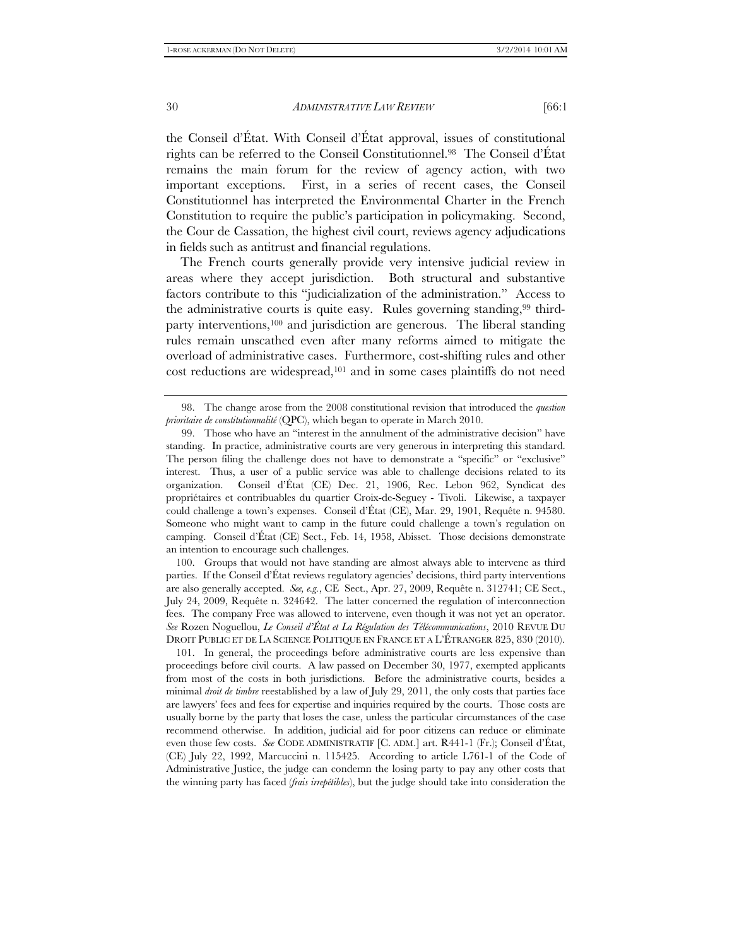the Conseil d'État. With Conseil d'État approval, issues of constitutional rights can be referred to the Conseil Constitutionnel.98 The Conseil d'État remains the main forum for the review of agency action, with two important exceptions. First, in a series of recent cases, the Conseil Constitutionnel has interpreted the Environmental Charter in the French Constitution to require the public's participation in policymaking. Second, the Cour de Cassation, the highest civil court, reviews agency adjudications in fields such as antitrust and financial regulations.

The French courts generally provide very intensive judicial review in areas where they accept jurisdiction. Both structural and substantive factors contribute to this "judicialization of the administration." Access to the administrative courts is quite easy. Rules governing standing, 99 thirdparty interventions,100 and jurisdiction are generous. The liberal standing rules remain unscathed even after many reforms aimed to mitigate the overload of administrative cases. Furthermore, cost-shifting rules and other cost reductions are widespread,101 and in some cases plaintiffs do not need

 100. Groups that would not have standing are almost always able to intervene as third parties. If the Conseil d'État reviews regulatory agencies' decisions, third party interventions are also generally accepted. *See, e.g.*, CE Sect., Apr. 27, 2009, Requête n. 312741; CE Sect., July 24, 2009, Requête n. 324642. The latter concerned the regulation of interconnection fees. The company Free was allowed to intervene, even though it was not yet an operator. *See* Rozen Noguellou, *Le Conseil d'État et La Régulation des Télécommunications*, 2010 REVUE DU DROIT PUBLIC ET DE LA SCIENCE POLITIQUE EN FRANCE ET A L'ÉTRANGER 825, 830 (2010).

 101. In general, the proceedings before administrative courts are less expensive than proceedings before civil courts. A law passed on December 30, 1977, exempted applicants from most of the costs in both jurisdictions. Before the administrative courts, besides a minimal *droit de timbre* reestablished by a law of July 29, 2011, the only costs that parties face are lawyers' fees and fees for expertise and inquiries required by the courts. Those costs are usually borne by the party that loses the case, unless the particular circumstances of the case recommend otherwise. In addition, judicial aid for poor citizens can reduce or eliminate even those few costs. *See* CODE ADMINISTRATIF [C. ADM.] art. R441-1 (Fr.); Conseil d'État, (CE) July 22, 1992, Marcuccini n. 115425. According to article L761-1 of the Code of Administrative Justice, the judge can condemn the losing party to pay any other costs that the winning party has faced (*frais irrepétibles*), but the judge should take into consideration the

 <sup>98.</sup> The change arose from the 2008 constitutional revision that introduced the *question prioritaire de constitutionnalité* (QPC), which began to operate in March 2010.

 <sup>99.</sup> Those who have an "interest in the annulment of the administrative decision" have standing. In practice, administrative courts are very generous in interpreting this standard. The person filing the challenge does not have to demonstrate a "specific" or "exclusive" interest. Thus, a user of a public service was able to challenge decisions related to its organization. Conseil d'État (CE) Dec. 21, 1906, Rec. Lebon 962, Syndicat des propriétaires et contribuables du quartier Croix-de-Seguey - Tivoli. Likewise, a taxpayer could challenge a town's expenses. Conseil d'État (CE), Mar. 29, 1901, Requête n. 94580. Someone who might want to camp in the future could challenge a town's regulation on camping. Conseil d'État (CE) Sect., Feb. 14, 1958, Abisset. Those decisions demonstrate an intention to encourage such challenges.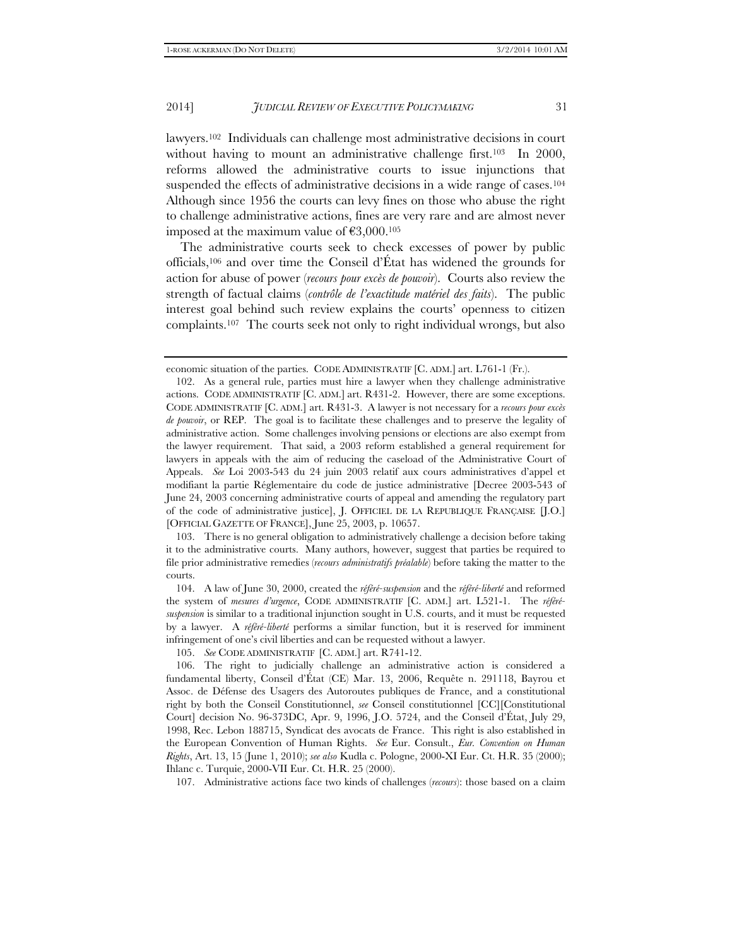lawyers.102 Individuals can challenge most administrative decisions in court without having to mount an administrative challenge first.<sup>103</sup> In 2000, reforms allowed the administrative courts to issue injunctions that suspended the effects of administrative decisions in a wide range of cases.<sup>104</sup> Although since 1956 the courts can levy fines on those who abuse the right to challenge administrative actions, fines are very rare and are almost never imposed at the maximum value of  $\text{\textsterling}3,000$ .<sup>105</sup>

The administrative courts seek to check excesses of power by public officials,106 and over time the Conseil d'État has widened the grounds for action for abuse of power (*recours pour excès de pouvoir*). Courts also review the strength of factual claims (*contrôle de l'exactitude matériel des faits*). The public interest goal behind such review explains the courts' openness to citizen complaints.107 The courts seek not only to right individual wrongs, but also

 103. There is no general obligation to administratively challenge a decision before taking it to the administrative courts. Many authors, however, suggest that parties be required to file prior administrative remedies (*recours administratifs préalable*) before taking the matter to the courts.

 104. A law of June 30, 2000, created the *référé-suspension* and the *référé-liberté* and reformed the system of *mesures d'urgence*, CODE ADMINISTRATIF [C. ADM.] art. L521-1. The *référésuspension* is similar to a traditional injunction sought in U.S. courts, and it must be requested by a lawyer. A *référé-liberté* performs a similar function, but it is reserved for imminent infringement of one's civil liberties and can be requested without a lawyer.

105. *See* CODE ADMINISTRATIF [C. ADM.] art. R741-12.

107. Administrative actions face two kinds of challenges (*recours*): those based on a claim

economic situation of the parties. CODE ADMINISTRATIF [C. ADM.] art. L761-1 (Fr.).

 <sup>102.</sup> As a general rule, parties must hire a lawyer when they challenge administrative actions. CODE ADMINISTRATIF [C. ADM.] art. R431-2. However, there are some exceptions. CODE ADMINISTRATIF [C. ADM.] art. R431-3. A lawyer is not necessary for a *recours pour excès de pouvoir*, or REP. The goal is to facilitate these challenges and to preserve the legality of administrative action. Some challenges involving pensions or elections are also exempt from the lawyer requirement. That said, a 2003 reform established a general requirement for lawyers in appeals with the aim of reducing the caseload of the Administrative Court of Appeals. *See* Loi 2003-543 du 24 juin 2003 relatif aux cours administratives d'appel et modifiant la partie Réglementaire du code de justice administrative [Decree 2003-543 of June 24, 2003 concerning administrative courts of appeal and amending the regulatory part of the code of administrative justice], J. OFFICIEL DE LA REPUBLIQUE FRANÇAISE [J.O.] [OFFICIAL GAZETTE OF FRANCE], June 25, 2003, p. 10657.

 <sup>106.</sup> The right to judicially challenge an administrative action is considered a fundamental liberty, Conseil d'État (CE) Mar. 13, 2006, Requête n. 291118, Bayrou et Assoc. de Défense des Usagers des Autoroutes publiques de France, and a constitutional right by both the Conseil Constitutionnel, *see* Conseil constitutionnel [CC][Constitutional Court] decision No. 96-373DC, Apr. 9, 1996, J.O. 5724, and the Conseil d'État, July 29, 1998, Rec. Lebon 188715, Syndicat des avocats de France. This right is also established in the European Convention of Human Rights. *See* Eur. Consult., *Eur. Convention on Human Rights*, Art. 13, 15 (June 1, 2010); *see also* Kudla c. Pologne, 2000-XI Eur. Ct. H.R. 35 (2000); Ihlanc c. Turquie, 2000-VII Eur. Ct. H.R. 25 (2000).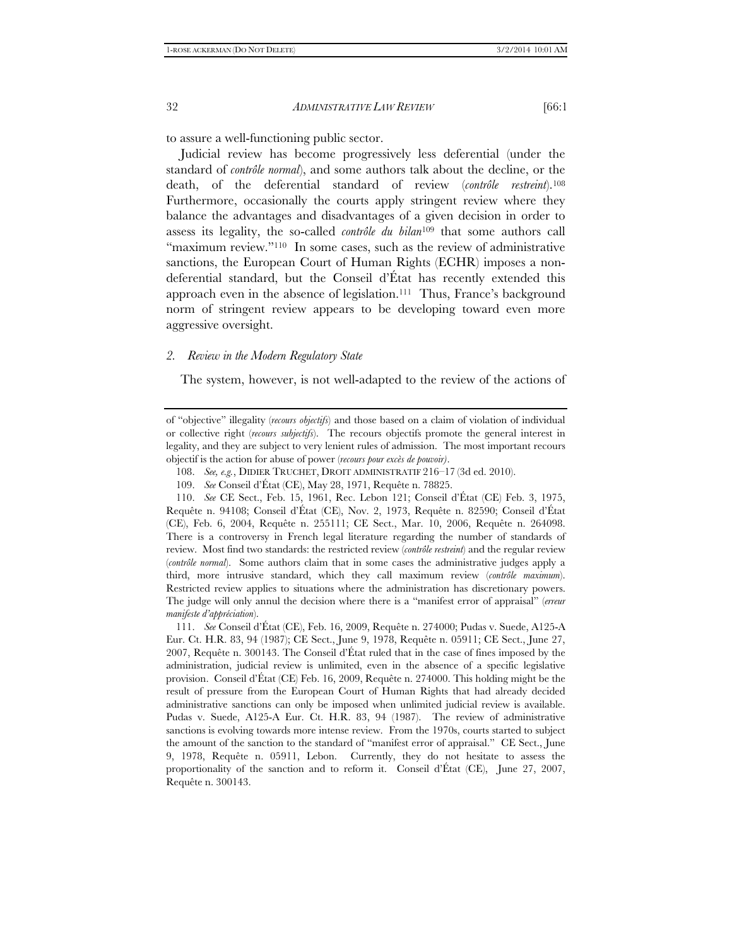to assure a well-functioning public sector.

Judicial review has become progressively less deferential (under the standard of *contrôle normal*), and some authors talk about the decline, or the death, of the deferential standard of review (*contrôle restreint*).108 Furthermore, occasionally the courts apply stringent review where they balance the advantages and disadvantages of a given decision in order to assess its legality, the so-called *contrôle du bilan*109 that some authors call "maximum review."<sup>110</sup> In some cases, such as the review of administrative sanctions, the European Court of Human Rights (ECHR) imposes a nondeferential standard, but the Conseil d'État has recently extended this approach even in the absence of legislation.111 Thus, France's background norm of stringent review appears to be developing toward even more aggressive oversight.

#### *2. Review in the Modern Regulatory State*

The system, however, is not well-adapted to the review of the actions of

 110. *See* CE Sect., Feb. 15, 1961, Rec. Lebon 121; Conseil d'État (CE) Feb. 3, 1975, Requête n. 94108; Conseil d'État (CE), Nov. 2, 1973, Requête n. 82590; Conseil d'État (CE), Feb. 6, 2004, Requête n. 255111; CE Sect., Mar. 10, 2006, Requête n. 264098. There is a controversy in French legal literature regarding the number of standards of review. Most find two standards: the restricted review (*contrôle restreint*) and the regular review (*contrôle normal*). Some authors claim that in some cases the administrative judges apply a third, more intrusive standard, which they call maximum review (*contrôle maximum*). Restricted review applies to situations where the administration has discretionary powers. The judge will only annul the decision where there is a "manifest error of appraisal" (*erreur manifeste d'appréciation*).

 111. *See* Conseil d'État (CE), Feb. 16, 2009, Requête n. 274000; Pudas v. Suede, A125-A Eur. Ct. H.R. 83, 94 (1987); CE Sect., June 9, 1978, Requête n. 05911; CE Sect., June 27, 2007, Requête n. 300143. The Conseil d'État ruled that in the case of fines imposed by the administration, judicial review is unlimited, even in the absence of a specific legislative provision. Conseil d'État (CE) Feb. 16, 2009, Requête n. 274000. This holding might be the result of pressure from the European Court of Human Rights that had already decided administrative sanctions can only be imposed when unlimited judicial review is available. Pudas v. Suede, A125-A Eur. Ct. H.R. 83, 94 (1987). The review of administrative sanctions is evolving towards more intense review. From the 1970s, courts started to subject the amount of the sanction to the standard of "manifest error of appraisal." CE Sect., June 9, 1978, Requête n. 05911, Lebon. Currently, they do not hesitate to assess the proportionality of the sanction and to reform it. Conseil d'État (CE), June 27, 2007, Requête n. 300143.

of "objective" illegality (*recours objectifs*) and those based on a claim of violation of individual or collective right (*recours subjectifs*). The recours objectifs promote the general interest in legality, and they are subject to very lenient rules of admission. The most important recours objectif is the action for abuse of power (*recours pour excès de pouvoir)*.

<sup>108.</sup> *See, e.g.*, DIDIER TRUCHET, DROIT ADMINISTRATIF 216-17 (3d ed. 2010).

 <sup>109.</sup> *See* Conseil d'État (CE), May 28, 1971, Requête n. 78825.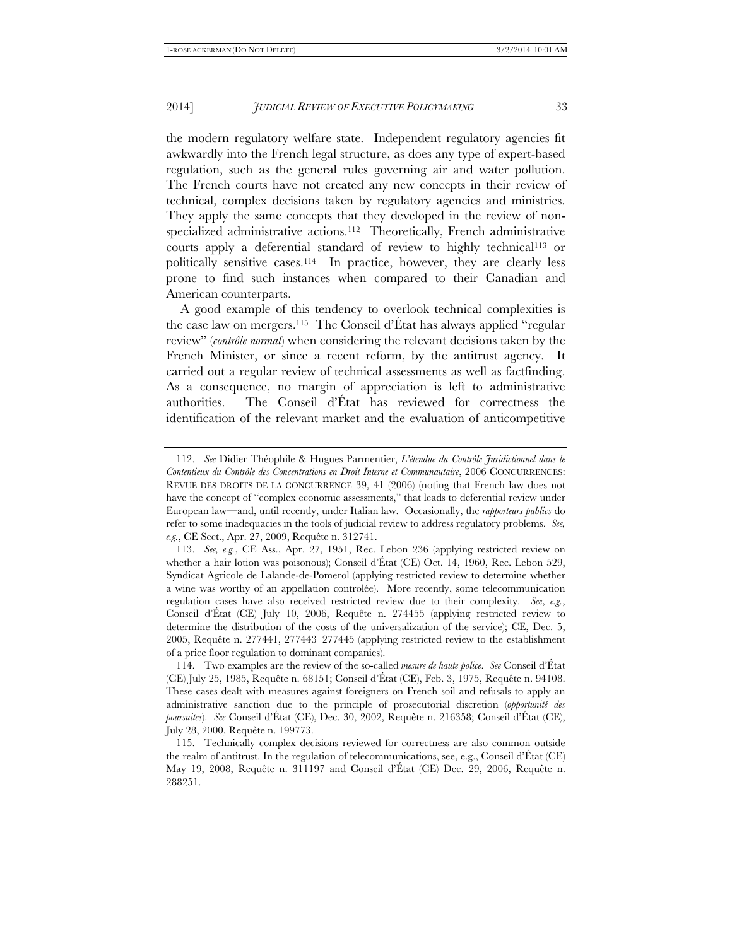the modern regulatory welfare state. Independent regulatory agencies fit awkwardly into the French legal structure, as does any type of expert-based regulation, such as the general rules governing air and water pollution. The French courts have not created any new concepts in their review of technical, complex decisions taken by regulatory agencies and ministries. They apply the same concepts that they developed in the review of nonspecialized administrative actions.<sup>112</sup> Theoretically, French administrative courts apply a deferential standard of review to highly technical<sup>113</sup> or politically sensitive cases.114 In practice, however, they are clearly less prone to find such instances when compared to their Canadian and American counterparts.

A good example of this tendency to overlook technical complexities is the case law on mergers.115 The Conseil d'État has always applied "regular review" (*contrôle normal*) when considering the relevant decisions taken by the French Minister, or since a recent reform, by the antitrust agency. It carried out a regular review of technical assessments as well as factfinding. As a consequence, no margin of appreciation is left to administrative authorities. The Conseil d'État has reviewed for correctness the identification of the relevant market and the evaluation of anticompetitive

 <sup>112.</sup> *See* Didier Théophile & Hugues Parmentier, *L'étendue du Contrôle Juridictionnel dans le Contentieux du Contrôle des Concentrations en Droit Interne et Communautaire*, 2006 CONCURRENCES: REVUE DES DROITS DE LA CONCURRENCE 39, 41 (2006) (noting that French law does not have the concept of "complex economic assessments," that leads to deferential review under European law—and, until recently, under Italian law. Occasionally, the *rapporteurs publics* do refer to some inadequacies in the tools of judicial review to address regulatory problems. *See, e.g.*, CE Sect., Apr. 27, 2009, Requête n. 312741.

 <sup>113.</sup> *See, e.g.*, CE Ass., Apr. 27, 1951, Rec. Lebon 236 (applying restricted review on whether a hair lotion was poisonous); Conseil d'État (CE) Oct. 14, 1960, Rec. Lebon 529, Syndicat Agricole de Lalande-de-Pomerol (applying restricted review to determine whether a wine was worthy of an appellation controlée). More recently, some telecommunication regulation cases have also received restricted review due to their complexity. *See*, *e.g.*, Conseil d'État (CE) July 10, 2006, Requête n. 274455 (applying restricted review to determine the distribution of the costs of the universalization of the service); CE, Dec. 5, 2005, Requête n. 277441, 277443–277445 (applying restricted review to the establishment of a price floor regulation to dominant companies).

 <sup>114.</sup> Two examples are the review of the so-called *mesure de haute police*. *See* Conseil d'État (CE) July 25, 1985, Requête n. 68151; Conseil d'État (CE), Feb. 3, 1975, Requête n. 94108. These cases dealt with measures against foreigners on French soil and refusals to apply an administrative sanction due to the principle of prosecutorial discretion (*opportunité des poursuites*). *See* Conseil d'État (CE), Dec. 30, 2002, Requête n. 216358; Conseil d'État (CE), July 28, 2000, Requête n. 199773.

 <sup>115.</sup> Technically complex decisions reviewed for correctness are also common outside the realm of antitrust. In the regulation of telecommunications, see, e.g., Conseil d'État (CE) May 19, 2008, Requête n. 311197 and Conseil d'État (CE) Dec. 29, 2006, Requête n. 288251.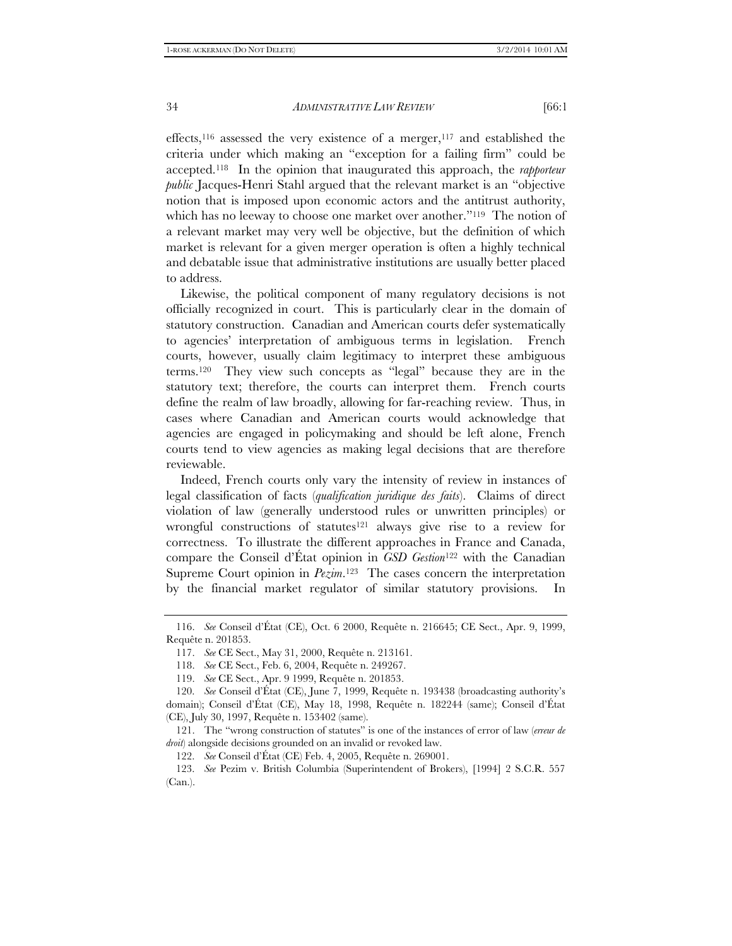effects,<sup>116</sup> assessed the very existence of a merger,<sup>117</sup> and established the criteria under which making an "exception for a failing firm" could be accepted.118 In the opinion that inaugurated this approach, the *rapporteur public* Jacques-Henri Stahl argued that the relevant market is an "objective notion that is imposed upon economic actors and the antitrust authority, which has no leeway to choose one market over another."119 The notion of a relevant market may very well be objective, but the definition of which market is relevant for a given merger operation is often a highly technical and debatable issue that administrative institutions are usually better placed to address.

Likewise, the political component of many regulatory decisions is not officially recognized in court. This is particularly clear in the domain of statutory construction. Canadian and American courts defer systematically to agencies' interpretation of ambiguous terms in legislation. French courts, however, usually claim legitimacy to interpret these ambiguous terms.120 They view such concepts as "legal" because they are in the statutory text; therefore, the courts can interpret them. French courts define the realm of law broadly, allowing for far-reaching review. Thus, in cases where Canadian and American courts would acknowledge that agencies are engaged in policymaking and should be left alone, French courts tend to view agencies as making legal decisions that are therefore reviewable.

Indeed, French courts only vary the intensity of review in instances of legal classification of facts (*qualification juridique des faits*). Claims of direct violation of law (generally understood rules or unwritten principles) or wrongful constructions of statutes<sup>121</sup> always give rise to a review for correctness. To illustrate the different approaches in France and Canada, compare the Conseil d'État opinion in *GSD Gestion*<sup>122</sup> with the Canadian Supreme Court opinion in *Pezim*.<sup>123</sup> The cases concern the interpretation by the financial market regulator of similar statutory provisions. In

 <sup>116.</sup> *See* Conseil d'État (CE), Oct. 6 2000, Requête n. 216645; CE Sect., Apr. 9, 1999, Requête n. 201853.

 <sup>117.</sup> *See* CE Sect., May 31, 2000, Requête n. 213161.

 <sup>118.</sup> *See* CE Sect., Feb. 6, 2004, Requête n. 249267.

 <sup>119.</sup> *See* CE Sect., Apr. 9 1999, Requête n. 201853.

 <sup>120.</sup> *See* Conseil d'État (CE), June 7, 1999, Requête n. 193438 (broadcasting authority's domain); Conseil d'État (CE), May 18, 1998, Requête n. 182244 (same); Conseil d'État (CE), July 30, 1997, Requête n. 153402 (same).

 <sup>121.</sup> The "wrong construction of statutes" is one of the instances of error of law (*erreur de droit*) alongside decisions grounded on an invalid or revoked law.

 <sup>122.</sup> *See* Conseil d'État (CE) Feb. 4, 2005, Requête n. 269001.

 <sup>123.</sup> *See* Pezim v. British Columbia (Superintendent of Brokers), [1994] 2 S.C.R. 557 (Can.).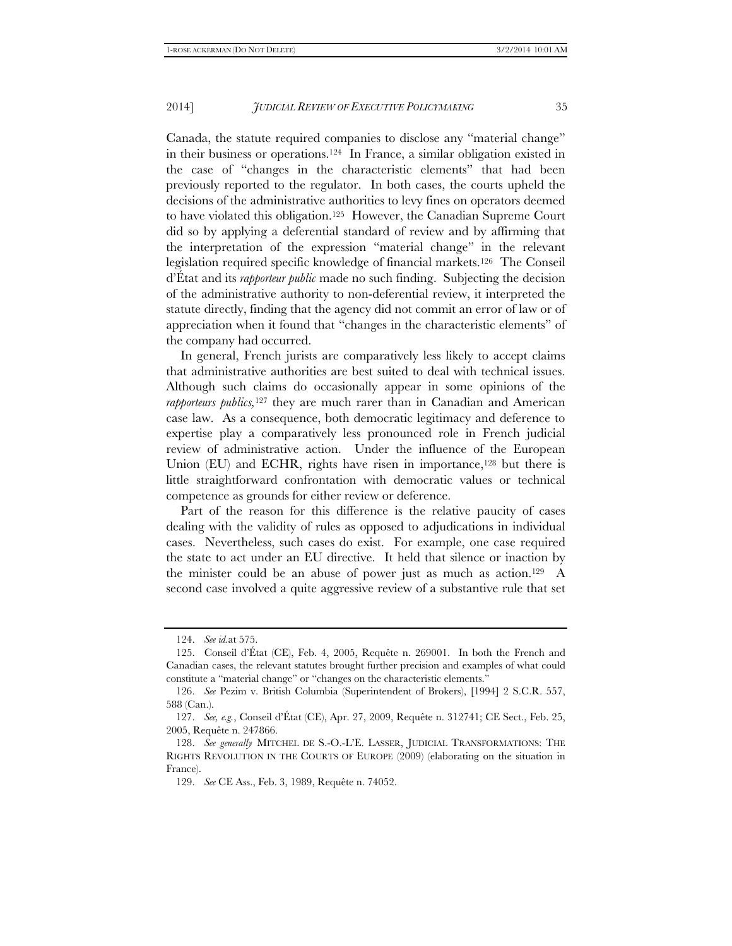Canada, the statute required companies to disclose any "material change" in their business or operations.124 In France, a similar obligation existed in the case of "changes in the characteristic elements" that had been previously reported to the regulator. In both cases, the courts upheld the decisions of the administrative authorities to levy fines on operators deemed to have violated this obligation.125 However, the Canadian Supreme Court did so by applying a deferential standard of review and by affirming that the interpretation of the expression "material change" in the relevant legislation required specific knowledge of financial markets.126 The Conseil d'État and its *rapporteur public* made no such finding. Subjecting the decision of the administrative authority to non-deferential review, it interpreted the statute directly, finding that the agency did not commit an error of law or of appreciation when it found that "changes in the characteristic elements" of the company had occurred.

In general, French jurists are comparatively less likely to accept claims that administrative authorities are best suited to deal with technical issues. Although such claims do occasionally appear in some opinions of the *rapporteurs publics,*127 they are much rarer than in Canadian and American case law. As a consequence, both democratic legitimacy and deference to expertise play a comparatively less pronounced role in French judicial review of administrative action. Under the influence of the European Union  $(EU)$  and ECHR, rights have risen in importance,<sup>128</sup> but there is little straightforward confrontation with democratic values or technical competence as grounds for either review or deference.

Part of the reason for this difference is the relative paucity of cases dealing with the validity of rules as opposed to adjudications in individual cases. Nevertheless, such cases do exist. For example, one case required the state to act under an EU directive. It held that silence or inaction by the minister could be an abuse of power just as much as action.<sup>129</sup> A second case involved a quite aggressive review of a substantive rule that set

 <sup>124.</sup> *See id.*at 575.

 <sup>125.</sup> Conseil d'État (CE), Feb. 4, 2005, Requête n. 269001. In both the French and Canadian cases, the relevant statutes brought further precision and examples of what could constitute a "material change" or "changes on the characteristic elements."

 <sup>126.</sup> *See* Pezim v. British Columbia (Superintendent of Brokers), [1994] 2 S.C.R. 557, 588 (Can.).

 <sup>127.</sup> *See, e.g.*, Conseil d'État (CE), Apr. 27, 2009, Requête n. 312741; CE Sect., Feb. 25, 2005, Requête n. 247866.

 <sup>128.</sup> *See generally* MITCHEL DE S.-O.-L'E. LASSER, JUDICIAL TRANSFORMATIONS: THE RIGHTS REVOLUTION IN THE COURTS OF EUROPE (2009) (elaborating on the situation in France).

 <sup>129.</sup> *See* CE Ass., Feb. 3, 1989, Requête n. 74052.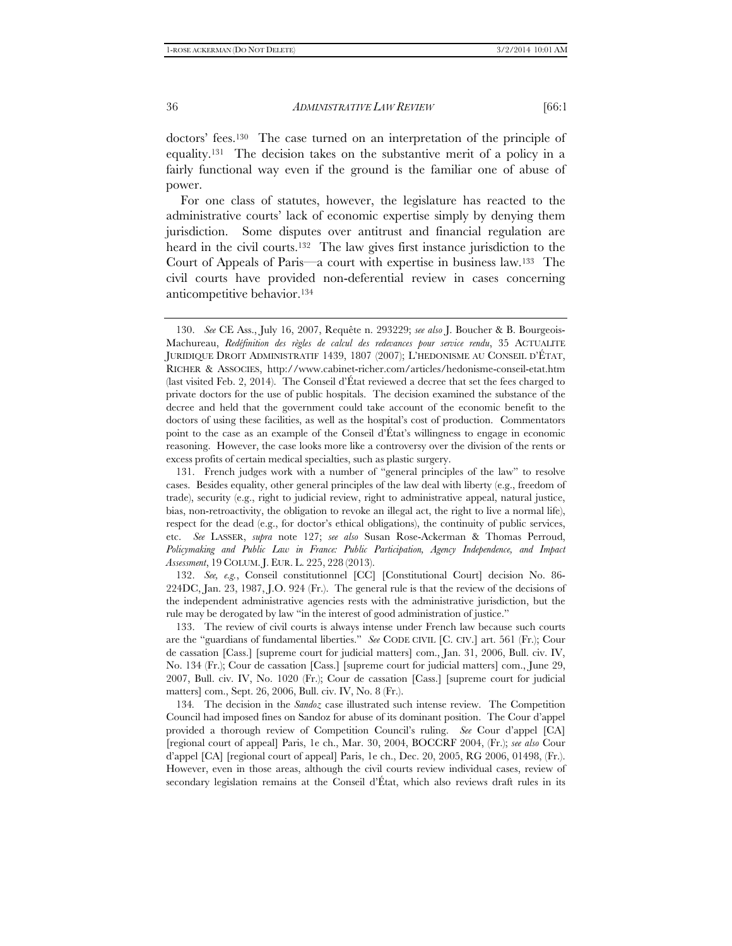doctors' fees.130 The case turned on an interpretation of the principle of equality.131 The decision takes on the substantive merit of a policy in a fairly functional way even if the ground is the familiar one of abuse of power.

For one class of statutes, however, the legislature has reacted to the administrative courts' lack of economic expertise simply by denying them jurisdiction. Some disputes over antitrust and financial regulation are heard in the civil courts.<sup>132</sup> The law gives first instance jurisdiction to the Court of Appeals of Paris—a court with expertise in business law.133 The civil courts have provided non-deferential review in cases concerning anticompetitive behavior.134

 132. *See, e.g.*, Conseil constitutionnel [CC] [Constitutional Court] decision No. 86- 224DC, Jan. 23, 1987, J.O. 924 (Fr.). The general rule is that the review of the decisions of the independent administrative agencies rests with the administrative jurisdiction, but the rule may be derogated by law "in the interest of good administration of justice."

 133. The review of civil courts is always intense under French law because such courts are the "guardians of fundamental liberties." *See* CODE CIVIL [C. CIV.] art. 561 (Fr.); Cour de cassation [Cass.] [supreme court for judicial matters] com., Jan. 31, 2006, Bull. civ. IV, No. 134 (Fr.); Cour de cassation [Cass.] [supreme court for judicial matters] com., June 29, 2007, Bull. civ. IV, No. 1020 (Fr.); Cour de cassation [Cass.] [supreme court for judicial matters] com., Sept. 26, 2006, Bull. civ. IV, No. 8 (Fr.).

134*.* The decision in the *Sandoz* case illustrated such intense review. The Competition Council had imposed fines on Sandoz for abuse of its dominant position. The Cour d'appel provided a thorough review of Competition Council's ruling. *See* Cour d'appel [CA] [regional court of appeal] Paris, 1e ch., Mar. 30, 2004, BOCCRF 2004, (Fr.); *see also* Cour d'appel [CA] [regional court of appeal] Paris, 1e ch., Dec. 20, 2005, RG 2006, 01498, (Fr.). However, even in those areas, although the civil courts review individual cases, review of secondary legislation remains at the Conseil d'État, which also reviews draft rules in its

 <sup>130.</sup> *See* CE Ass., July 16, 2007, Requête n. 293229; *see also* J. Boucher & B. Bourgeois-Machureau, *Redéfinition des règles de calcul des redevances pour service rendu*, 35 ACTUALITE JURIDIQUE DROIT ADMINISTRATIF 1439, 1807 (2007); L'HEDONISME AU CONSEIL D'ÉTAT, RICHER & ASSOCIES, http://www.cabinet-richer.com/articles/hedonisme-conseil-etat.htm (last visited Feb. 2, 2014). The Conseil d'État reviewed a decree that set the fees charged to private doctors for the use of public hospitals. The decision examined the substance of the decree and held that the government could take account of the economic benefit to the doctors of using these facilities, as well as the hospital's cost of production. Commentators point to the case as an example of the Conseil d'État's willingness to engage in economic reasoning. However, the case looks more like a controversy over the division of the rents or excess profits of certain medical specialties, such as plastic surgery.

 <sup>131.</sup> French judges work with a number of "general principles of the law" to resolve cases. Besides equality, other general principles of the law deal with liberty (e.g., freedom of trade), security (e.g., right to judicial review, right to administrative appeal, natural justice, bias, non-retroactivity, the obligation to revoke an illegal act, the right to live a normal life), respect for the dead (e.g., for doctor's ethical obligations), the continuity of public services, etc. *See* LASSER, *supra* note 127; *see also* Susan Rose-Ackerman & Thomas Perroud, *Policymaking and Public Law in France: Public Participation, Agency Independence, and Impact Assessment*, 19 COLUM. J. EUR. L. 225, 228 (2013).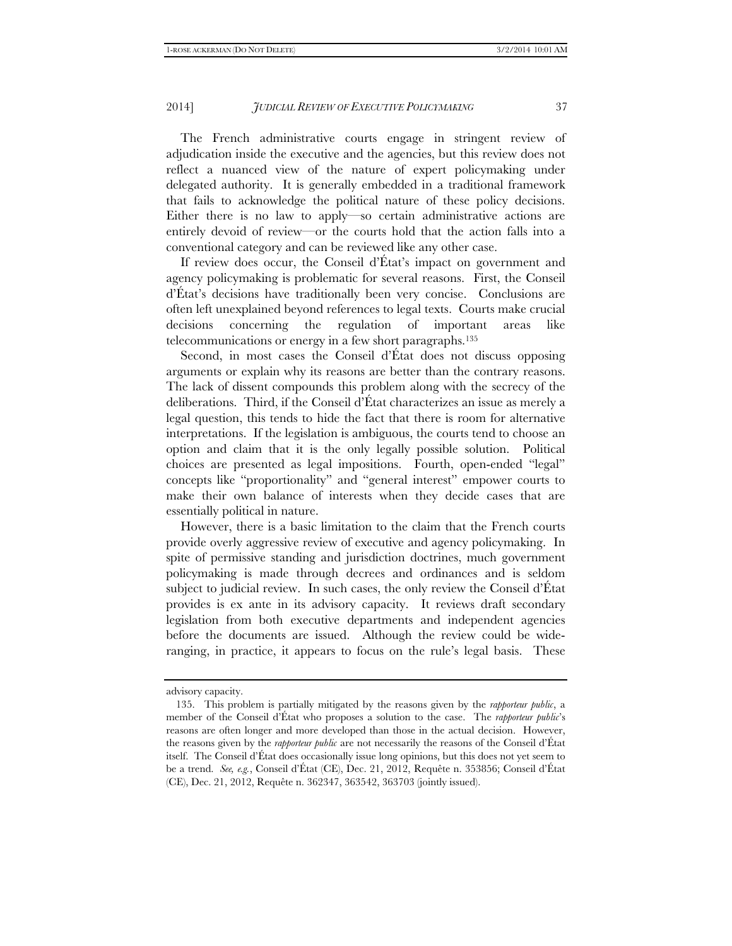The French administrative courts engage in stringent review of adjudication inside the executive and the agencies, but this review does not reflect a nuanced view of the nature of expert policymaking under delegated authority. It is generally embedded in a traditional framework that fails to acknowledge the political nature of these policy decisions. Either there is no law to apply—so certain administrative actions are entirely devoid of review—or the courts hold that the action falls into a conventional category and can be reviewed like any other case.

If review does occur, the Conseil d'État's impact on government and agency policymaking is problematic for several reasons. First, the Conseil d'État's decisions have traditionally been very concise. Conclusions are often left unexplained beyond references to legal texts. Courts make crucial decisions concerning the regulation of important areas like telecommunications or energy in a few short paragraphs.135

Second, in most cases the Conseil d'État does not discuss opposing arguments or explain why its reasons are better than the contrary reasons. The lack of dissent compounds this problem along with the secrecy of the deliberations. Third, if the Conseil d'État characterizes an issue as merely a legal question, this tends to hide the fact that there is room for alternative interpretations. If the legislation is ambiguous, the courts tend to choose an option and claim that it is the only legally possible solution. Political choices are presented as legal impositions. Fourth, open-ended "legal" concepts like "proportionality" and "general interest" empower courts to make their own balance of interests when they decide cases that are essentially political in nature.

However, there is a basic limitation to the claim that the French courts provide overly aggressive review of executive and agency policymaking. In spite of permissive standing and jurisdiction doctrines, much government policymaking is made through decrees and ordinances and is seldom subject to judicial review. In such cases, the only review the Conseil d'État provides is ex ante in its advisory capacity. It reviews draft secondary legislation from both executive departments and independent agencies before the documents are issued. Although the review could be wideranging, in practice, it appears to focus on the rule's legal basis. These

advisory capacity.

 <sup>135.</sup> This problem is partially mitigated by the reasons given by the *rapporteur public*, a member of the Conseil d'État who proposes a solution to the case. The *rapporteur public*'s reasons are often longer and more developed than those in the actual decision. However, the reasons given by the *rapporteur public* are not necessarily the reasons of the Conseil d'État itself. The Conseil d'État does occasionally issue long opinions, but this does not yet seem to be a trend. *See, e.g.*, Conseil d'État (CE), Dec. 21, 2012, Requête n. 353856; Conseil d'État (CE), Dec. 21, 2012, Requête n. 362347, 363542, 363703 (jointly issued).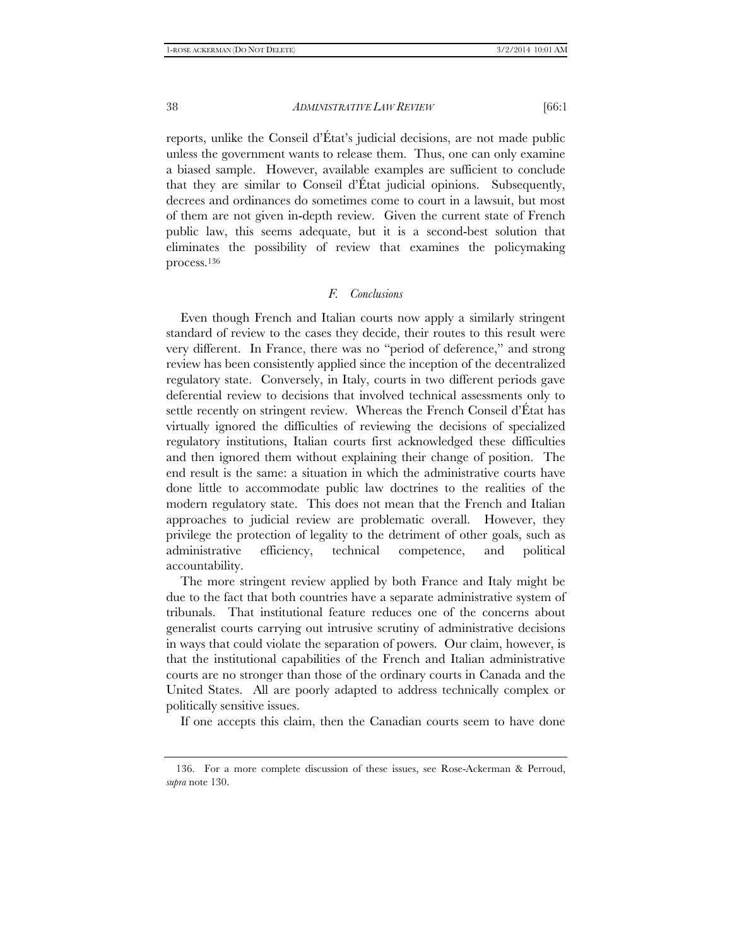reports, unlike the Conseil d'État's judicial decisions, are not made public unless the government wants to release them. Thus, one can only examine a biased sample. However, available examples are sufficient to conclude that they are similar to Conseil d'État judicial opinions. Subsequently, decrees and ordinances do sometimes come to court in a lawsuit, but most of them are not given in-depth review. Given the current state of French public law, this seems adequate, but it is a second-best solution that eliminates the possibility of review that examines the policymaking process.136

## *F. Conclusions*

Even though French and Italian courts now apply a similarly stringent standard of review to the cases they decide, their routes to this result were very different. In France, there was no "period of deference," and strong review has been consistently applied since the inception of the decentralized regulatory state. Conversely, in Italy, courts in two different periods gave deferential review to decisions that involved technical assessments only to settle recently on stringent review. Whereas the French Conseil d'État has virtually ignored the difficulties of reviewing the decisions of specialized regulatory institutions, Italian courts first acknowledged these difficulties and then ignored them without explaining their change of position. The end result is the same: a situation in which the administrative courts have done little to accommodate public law doctrines to the realities of the modern regulatory state. This does not mean that the French and Italian approaches to judicial review are problematic overall. However, they privilege the protection of legality to the detriment of other goals, such as administrative efficiency, technical competence, and political accountability.

The more stringent review applied by both France and Italy might be due to the fact that both countries have a separate administrative system of tribunals. That institutional feature reduces one of the concerns about generalist courts carrying out intrusive scrutiny of administrative decisions in ways that could violate the separation of powers. Our claim, however, is that the institutional capabilities of the French and Italian administrative courts are no stronger than those of the ordinary courts in Canada and the United States. All are poorly adapted to address technically complex or politically sensitive issues.

If one accepts this claim, then the Canadian courts seem to have done

 <sup>136.</sup> For a more complete discussion of these issues, see Rose-Ackerman & Perroud, *supra* note 130.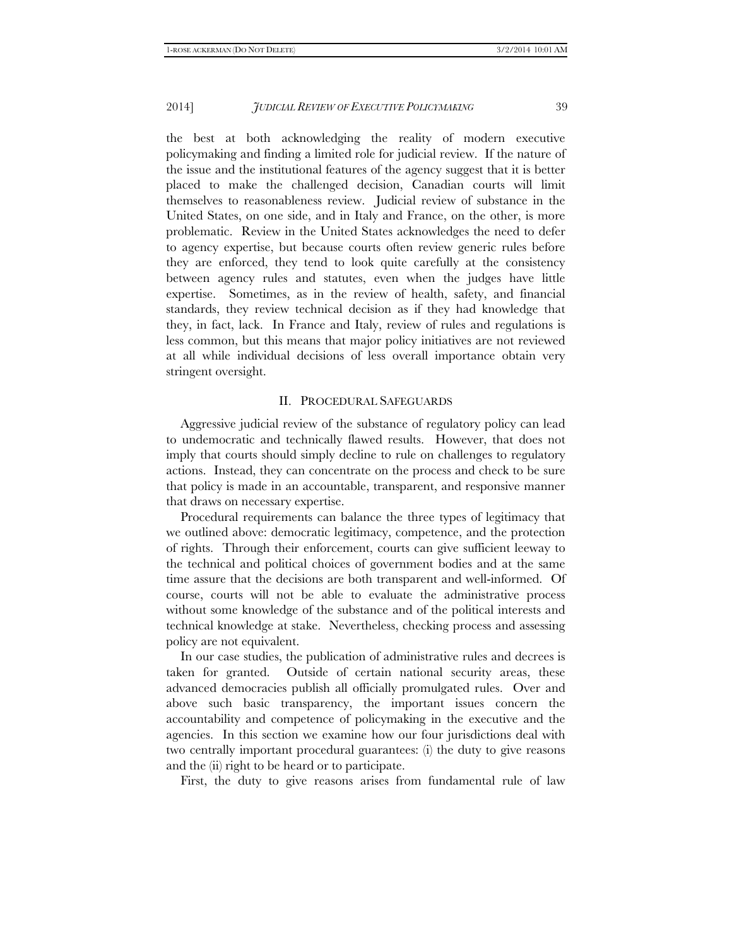the best at both acknowledging the reality of modern executive policymaking and finding a limited role for judicial review. If the nature of the issue and the institutional features of the agency suggest that it is better placed to make the challenged decision, Canadian courts will limit themselves to reasonableness review. Judicial review of substance in the United States, on one side, and in Italy and France, on the other, is more problematic. Review in the United States acknowledges the need to defer to agency expertise, but because courts often review generic rules before they are enforced, they tend to look quite carefully at the consistency between agency rules and statutes, even when the judges have little expertise. Sometimes, as in the review of health, safety, and financial standards, they review technical decision as if they had knowledge that they, in fact, lack. In France and Italy, review of rules and regulations is less common, but this means that major policy initiatives are not reviewed at all while individual decisions of less overall importance obtain very stringent oversight.

# II. PROCEDURAL SAFEGUARDS

Aggressive judicial review of the substance of regulatory policy can lead to undemocratic and technically flawed results. However, that does not imply that courts should simply decline to rule on challenges to regulatory actions. Instead, they can concentrate on the process and check to be sure that policy is made in an accountable, transparent, and responsive manner that draws on necessary expertise.

Procedural requirements can balance the three types of legitimacy that we outlined above: democratic legitimacy, competence, and the protection of rights. Through their enforcement, courts can give sufficient leeway to the technical and political choices of government bodies and at the same time assure that the decisions are both transparent and well-informed. Of course, courts will not be able to evaluate the administrative process without some knowledge of the substance and of the political interests and technical knowledge at stake. Nevertheless, checking process and assessing policy are not equivalent.

In our case studies, the publication of administrative rules and decrees is taken for granted. Outside of certain national security areas, these advanced democracies publish all officially promulgated rules. Over and above such basic transparency, the important issues concern the accountability and competence of policymaking in the executive and the agencies. In this section we examine how our four jurisdictions deal with two centrally important procedural guarantees: (i) the duty to give reasons and the (ii) right to be heard or to participate.

First, the duty to give reasons arises from fundamental rule of law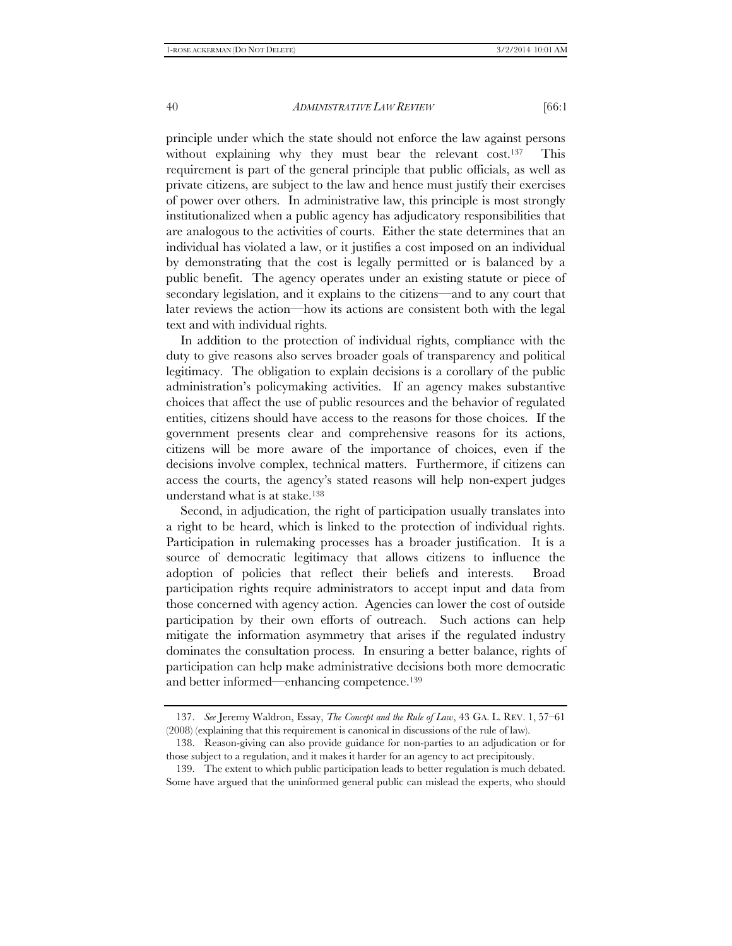principle under which the state should not enforce the law against persons without explaining why they must bear the relevant cost.<sup>137</sup> This requirement is part of the general principle that public officials, as well as private citizens, are subject to the law and hence must justify their exercises of power over others. In administrative law, this principle is most strongly institutionalized when a public agency has adjudicatory responsibilities that are analogous to the activities of courts. Either the state determines that an individual has violated a law, or it justifies a cost imposed on an individual by demonstrating that the cost is legally permitted or is balanced by a public benefit. The agency operates under an existing statute or piece of secondary legislation, and it explains to the citizens—and to any court that later reviews the action—how its actions are consistent both with the legal text and with individual rights.

In addition to the protection of individual rights, compliance with the duty to give reasons also serves broader goals of transparency and political legitimacy. The obligation to explain decisions is a corollary of the public administration's policymaking activities. If an agency makes substantive choices that affect the use of public resources and the behavior of regulated entities, citizens should have access to the reasons for those choices. If the government presents clear and comprehensive reasons for its actions, citizens will be more aware of the importance of choices, even if the decisions involve complex, technical matters. Furthermore, if citizens can access the courts, the agency's stated reasons will help non-expert judges understand what is at stake.138

Second, in adjudication, the right of participation usually translates into a right to be heard, which is linked to the protection of individual rights. Participation in rulemaking processes has a broader justification. It is a source of democratic legitimacy that allows citizens to influence the adoption of policies that reflect their beliefs and interests. Broad participation rights require administrators to accept input and data from those concerned with agency action. Agencies can lower the cost of outside participation by their own efforts of outreach. Such actions can help mitigate the information asymmetry that arises if the regulated industry dominates the consultation process. In ensuring a better balance, rights of participation can help make administrative decisions both more democratic and better informed—enhancing competence.139

 <sup>137.</sup> *See* Jeremy Waldron, Essay, *The Concept and the Rule of Law*, 43 GA. L. REV. 1, 57–61 (2008) (explaining that this requirement is canonical in discussions of the rule of law).

 <sup>138.</sup> Reason-giving can also provide guidance for non-parties to an adjudication or for those subject to a regulation, and it makes it harder for an agency to act precipitously.

 <sup>139.</sup> The extent to which public participation leads to better regulation is much debated. Some have argued that the uninformed general public can mislead the experts, who should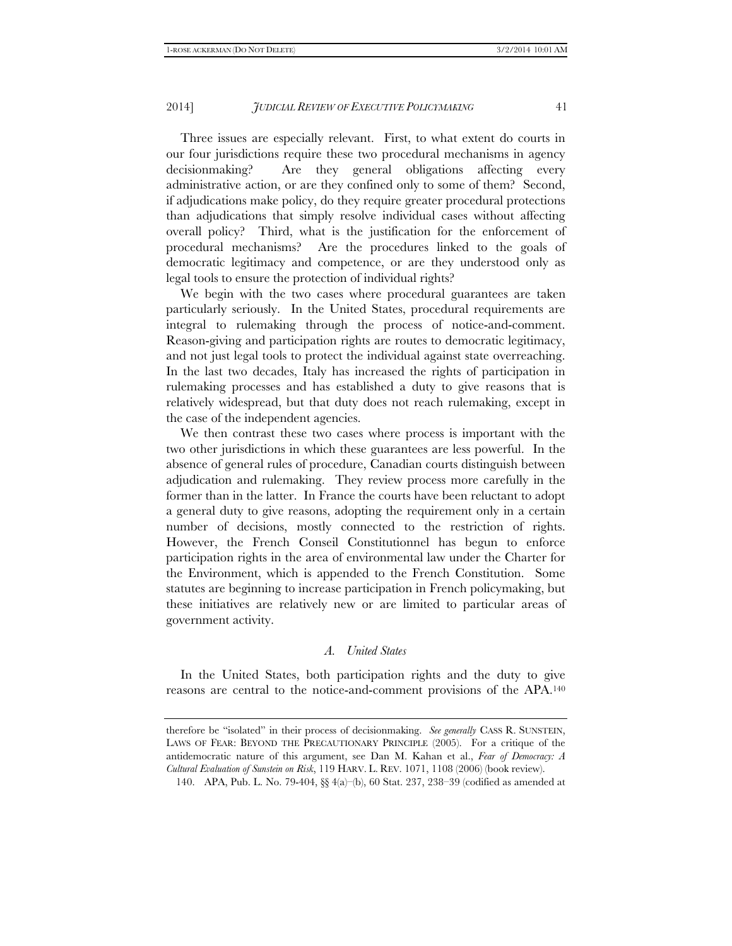Three issues are especially relevant. First, to what extent do courts in our four jurisdictions require these two procedural mechanisms in agency decisionmaking? Are they general obligations affecting every administrative action, or are they confined only to some of them? Second, if adjudications make policy, do they require greater procedural protections than adjudications that simply resolve individual cases without affecting overall policy? Third, what is the justification for the enforcement of procedural mechanisms? Are the procedures linked to the goals of democratic legitimacy and competence, or are they understood only as legal tools to ensure the protection of individual rights?

We begin with the two cases where procedural guarantees are taken particularly seriously. In the United States, procedural requirements are integral to rulemaking through the process of notice-and-comment. Reason-giving and participation rights are routes to democratic legitimacy, and not just legal tools to protect the individual against state overreaching. In the last two decades, Italy has increased the rights of participation in rulemaking processes and has established a duty to give reasons that is relatively widespread, but that duty does not reach rulemaking, except in the case of the independent agencies.

We then contrast these two cases where process is important with the two other jurisdictions in which these guarantees are less powerful. In the absence of general rules of procedure, Canadian courts distinguish between adjudication and rulemaking. They review process more carefully in the former than in the latter. In France the courts have been reluctant to adopt a general duty to give reasons, adopting the requirement only in a certain number of decisions, mostly connected to the restriction of rights. However, the French Conseil Constitutionnel has begun to enforce participation rights in the area of environmental law under the Charter for the Environment, which is appended to the French Constitution. Some statutes are beginning to increase participation in French policymaking, but these initiatives are relatively new or are limited to particular areas of government activity.

# *A. United States*

In the United States, both participation rights and the duty to give reasons are central to the notice-and-comment provisions of the APA.140

therefore be "isolated" in their process of decisionmaking. *See generally* CASS R. SUNSTEIN, LAWS OF FEAR: BEYOND THE PRECAUTIONARY PRINCIPLE (2005). For a critique of the antidemocratic nature of this argument, see Dan M. Kahan et al., *Fear of Democracy: A Cultural Evaluation of Sunstein on Risk*, 119 HARV. L. REV. 1071, 1108 (2006) (book review).

 <sup>140.</sup> APA, Pub. L. No. 79-404, §§ 4(a)–(b), 60 Stat. 237, 238–39 (codified as amended at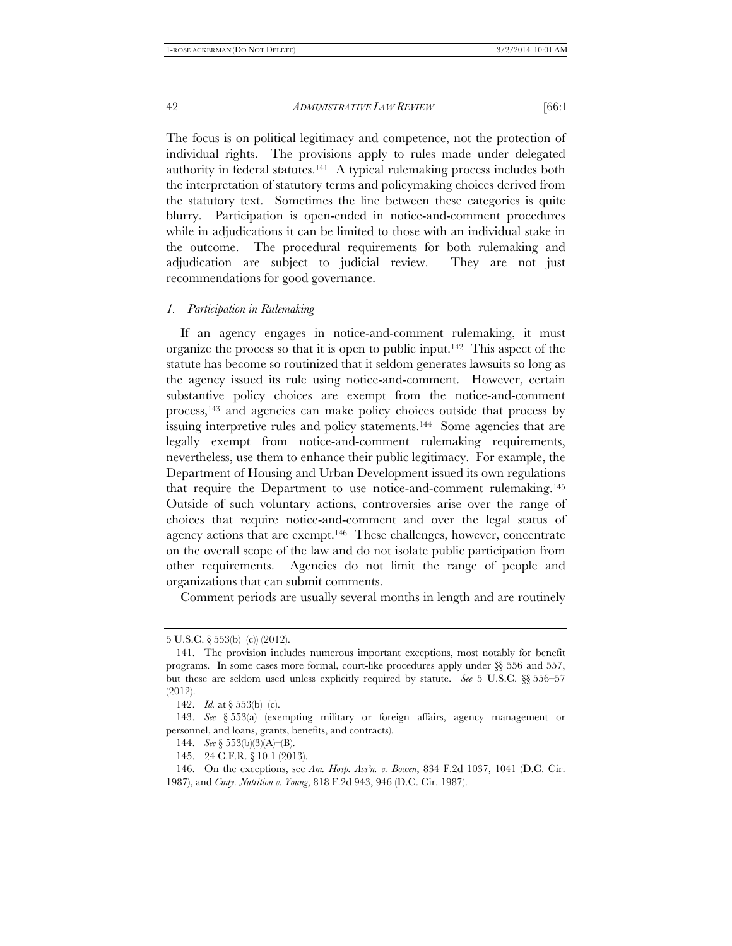The focus is on political legitimacy and competence, not the protection of individual rights. The provisions apply to rules made under delegated authority in federal statutes.141 A typical rulemaking process includes both the interpretation of statutory terms and policymaking choices derived from the statutory text. Sometimes the line between these categories is quite blurry. Participation is open-ended in notice-and-comment procedures while in adjudications it can be limited to those with an individual stake in the outcome. The procedural requirements for both rulemaking and adjudication are subject to judicial review. They are not just recommendations for good governance.

## *1. Participation in Rulemaking*

If an agency engages in notice-and-comment rulemaking, it must organize the process so that it is open to public input.142 This aspect of the statute has become so routinized that it seldom generates lawsuits so long as the agency issued its rule using notice-and-comment. However, certain substantive policy choices are exempt from the notice-and-comment process,143 and agencies can make policy choices outside that process by issuing interpretive rules and policy statements.<sup>144</sup> Some agencies that are legally exempt from notice-and-comment rulemaking requirements, nevertheless, use them to enhance their public legitimacy. For example, the Department of Housing and Urban Development issued its own regulations that require the Department to use notice-and-comment rulemaking.145 Outside of such voluntary actions, controversies arise over the range of choices that require notice-and-comment and over the legal status of agency actions that are exempt.146 These challenges, however, concentrate on the overall scope of the law and do not isolate public participation from other requirements. Agencies do not limit the range of people and organizations that can submit comments.

Comment periods are usually several months in length and are routinely

<sup>5</sup> U.S.C. § 553(b)–(c)) (2012).

 <sup>141.</sup> The provision includes numerous important exceptions, most notably for benefit programs. In some cases more formal, court-like procedures apply under §§ 556 and 557, but these are seldom used unless explicitly required by statute. *See* 5 U.S.C. §§ 556–57 (2012).

<sup>142.</sup> *Id.* at § 553(b)–(c).

 <sup>143.</sup> *See* § 553(a) (exempting military or foreign affairs, agency management or personnel, and loans, grants, benefits, and contracts).

 <sup>144.</sup> *See* § 553(b)(3)(A)–(B).

 <sup>145. 24</sup> C.F.R. § 10.1 (2013).

 <sup>146.</sup> On the exceptions, see *Am. Hosp. Ass'n. v. Bowen*, 834 F.2d 1037, 1041 (D.C. Cir. 1987), and *Cmty. Nutrition v. Young*, 818 F.2d 943, 946 (D.C. Cir. 1987).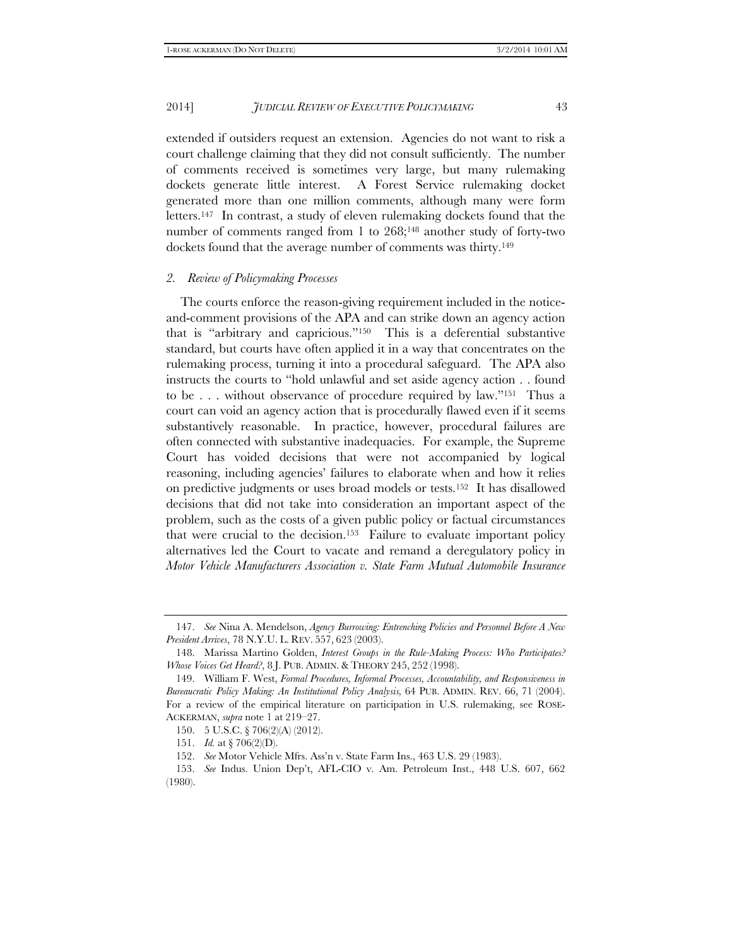extended if outsiders request an extension. Agencies do not want to risk a court challenge claiming that they did not consult sufficiently. The number of comments received is sometimes very large, but many rulemaking dockets generate little interest. A Forest Service rulemaking docket generated more than one million comments, although many were form letters.147 In contrast, a study of eleven rulemaking dockets found that the number of comments ranged from 1 to 268;<sup>148</sup> another study of forty-two dockets found that the average number of comments was thirty.<sup>149</sup>

#### *2. Review of Policymaking Processes*

The courts enforce the reason-giving requirement included in the noticeand-comment provisions of the APA and can strike down an agency action that is "arbitrary and capricious."150 This is a deferential substantive standard, but courts have often applied it in a way that concentrates on the rulemaking process, turning it into a procedural safeguard. The APA also instructs the courts to "hold unlawful and set aside agency action . . found to be . . . without observance of procedure required by law."151 Thus a court can void an agency action that is procedurally flawed even if it seems substantively reasonable. In practice, however, procedural failures are often connected with substantive inadequacies. For example, the Supreme Court has voided decisions that were not accompanied by logical reasoning, including agencies' failures to elaborate when and how it relies on predictive judgments or uses broad models or tests.152 It has disallowed decisions that did not take into consideration an important aspect of the problem, such as the costs of a given public policy or factual circumstances that were crucial to the decision.153 Failure to evaluate important policy alternatives led the Court to vacate and remand a deregulatory policy in *Motor Vehicle Manufacturers Association v. State Farm Mutual Automobile Insurance* 

 <sup>147.</sup> *See* Nina A. Mendelson, *Agency Burrowing: Entrenching Policies and Personnel Before A New President Arrives*, 78 N.Y.U. L. REV. 557, 623 (2003).

 <sup>148.</sup> Marissa Martino Golden, *Interest Groups in the Rule-Making Process: Who Participates? Whose Voices Get Heard?*, 8 J. PUB. ADMIN. & THEORY 245, 252 (1998).

 <sup>149.</sup> William F. West, *Formal Procedures, Informal Processes, Accountability, and Responsiveness in Bureaucratic Policy Making: An Institutional Policy Analysis,* 64 PUB. ADMIN. REV. 66, 71 (2004). For a review of the empirical literature on participation in U.S. rulemaking, see ROSE-ACKERMAN, *supra* note 1 at 219–27.

 <sup>150. 5</sup> U.S.C. § 706(2)(A) (2012).

 <sup>151.</sup> *Id.* at § 706(2)(D).

 <sup>152.</sup> *See* Motor Vehicle Mfrs. Ass'n v. State Farm Ins., 463 U.S. 29 (1983).

 <sup>153.</sup> *See* Indus. Union Dep't, AFL-CIO v. Am. Petroleum Inst., 448 U.S. 607, 662 (1980).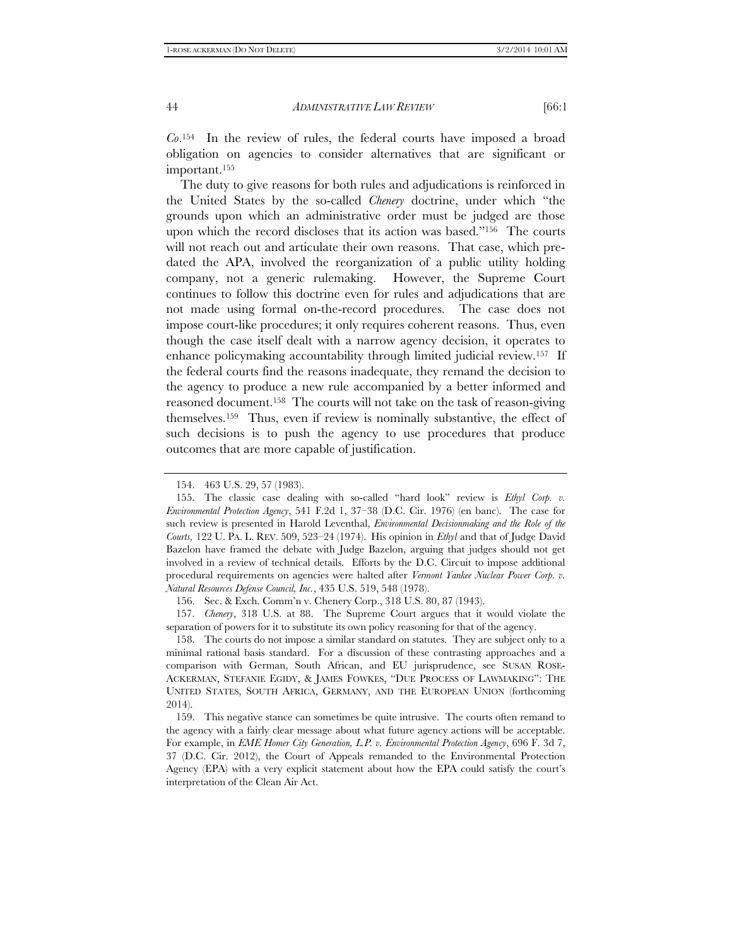*Co*.154 In the review of rules, the federal courts have imposed a broad obligation on agencies to consider alternatives that are significant or important.155

The duty to give reasons for both rules and adjudications is reinforced in the United States by the so-called *Chenery* doctrine, under which "the grounds upon which an administrative order must be judged are those upon which the record discloses that its action was based."156 The courts will not reach out and articulate their own reasons. That case, which predated the APA, involved the reorganization of a public utility holding company, not a generic rulemaking. However, the Supreme Court continues to follow this doctrine even for rules and adjudications that are not made using formal on-the-record procedures. The case does not impose court-like procedures; it only requires coherent reasons. Thus, even though the case itself dealt with a narrow agency decision, it operates to enhance policymaking accountability through limited judicial review.157 If the federal courts find the reasons inadequate, they remand the decision to the agency to produce a new rule accompanied by a better informed and reasoned document.158 The courts will not take on the task of reason-giving themselves.159 Thus, even if review is nominally substantive, the effect of such decisions is to push the agency to use procedures that produce outcomes that are more capable of justification.

 157. *Chenery*, 318 U.S. at 88. The Supreme Court argues that it would violate the separation of powers for it to substitute its own policy reasoning for that of the agency.

 158. The courts do not impose a similar standard on statutes. They are subject only to a minimal rational basis standard. For a discussion of these contrasting approaches and a comparison with German, South African, and EU jurisprudence, see SUSAN ROSE-ACKERMAN, STEFANIE EGIDY, & JAMES FOWKES, "DUE PROCESS OF LAWMAKING": THE UNITED STATES, SOUTH AFRICA, GERMANY, AND THE EUROPEAN UNION (forthcoming 2014).

 159. This negative stance can sometimes be quite intrusive. The courts often remand to the agency with a fairly clear message about what future agency actions will be acceptable. For example, in *EME Homer City Generation, L.P. v. Environmental Protection Agency*, 696 F. 3d 7, 37 (D.C. Cir. 2012), the Court of Appeals remanded to the Environmental Protection Agency (EPA) with a very explicit statement about how the EPA could satisfy the court's interpretation of the Clean Air Act.

 <sup>154. 463</sup> U.S. 29, 57 (1983).

 <sup>155.</sup> The classic case dealing with so-called "hard look" review is *Ethyl Corp. v. Environmental Protection Agency*, 541 F.2d 1, 37–38 (D.C. Cir. 1976) (en banc). The case for such review is presented in Harold Leventhal, *Environmental Decisionmaking and the Role of the Courts,* 122 U. PA. L. REV. 509, 523–24 (1974). His opinion in *Ethyl* and that of Judge David Bazelon have framed the debate with Judge Bazelon, arguing that judges should not get involved in a review of technical details. Efforts by the D.C. Circuit to impose additional procedural requirements on agencies were halted after *Vermont Yankee Nuclear Power Corp. v. Natural Resources Defense Council, Inc.*, 435 U.S. 519, 548 (1978).

 <sup>156.</sup> Sec. & Exch. Comm'n v. Chenery Corp., 318 U.S. 80, 87 (1943).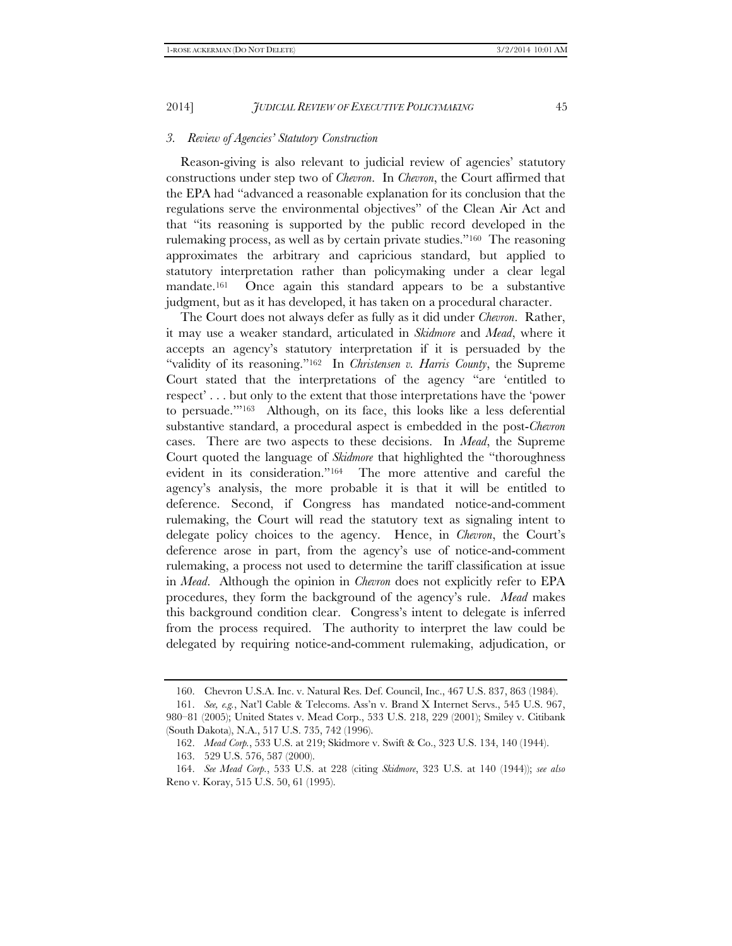## *3. Review of Agencies' Statutory Construction*

Reason-giving is also relevant to judicial review of agencies' statutory constructions under step two of *Chevron*. In *Chevron*, the Court affirmed that the EPA had "advanced a reasonable explanation for its conclusion that the regulations serve the environmental objectives" of the Clean Air Act and that "its reasoning is supported by the public record developed in the rulemaking process, as well as by certain private studies."160 The reasoning approximates the arbitrary and capricious standard, but applied to statutory interpretation rather than policymaking under a clear legal mandate.161 Once again this standard appears to be a substantive judgment, but as it has developed, it has taken on a procedural character.

The Court does not always defer as fully as it did under *Chevron*. Rather, it may use a weaker standard, articulated in *Skidmore* and *Mead*, where it accepts an agency's statutory interpretation if it is persuaded by the "validity of its reasoning."162 In *Christensen v. Harris County*, the Supreme Court stated that the interpretations of the agency "are 'entitled to respect' . . . but only to the extent that those interpretations have the 'power to persuade.'"163 Although, on its face, this looks like a less deferential substantive standard, a procedural aspect is embedded in the post-*Chevron* cases. There are two aspects to these decisions. In *Mead*, the Supreme Court quoted the language of *Skidmore* that highlighted the "thoroughness evident in its consideration."164 The more attentive and careful the agency's analysis, the more probable it is that it will be entitled to deference. Second, if Congress has mandated notice-and-comment rulemaking, the Court will read the statutory text as signaling intent to delegate policy choices to the agency. Hence, in *Chevron*, the Court's deference arose in part, from the agency's use of notice-and-comment rulemaking, a process not used to determine the tariff classification at issue in *Mead*. Although the opinion in *Chevron* does not explicitly refer to EPA procedures, they form the background of the agency's rule. *Mead* makes this background condition clear. Congress's intent to delegate is inferred from the process required. The authority to interpret the law could be delegated by requiring notice-and-comment rulemaking, adjudication, or

 <sup>160.</sup> Chevron U.S.A. Inc. v. Natural Res. Def. Council, Inc., 467 U.S. 837, 863 (1984).

 <sup>161.</sup> *See, e.g.*, Nat'l Cable & Telecoms. Ass'n v. Brand X Internet Servs., 545 U.S. 967, 980–81 (2005); United States v. Mead Corp., 533 U.S. 218, 229 (2001); Smiley v. Citibank (South Dakota), N.A., 517 U.S. 735, 742 (1996).

 <sup>162.</sup> *Mead Corp.*, 533 U.S. at 219; Skidmore v. Swift & Co., 323 U.S. 134, 140 (1944).

 <sup>163. 529</sup> U.S. 576, 587 (2000).

 <sup>164.</sup> *See Mead Corp.*, 533 U.S. at 228 (citing *Skidmore*, 323 U.S. at 140 (1944)); *see also* Reno v. Koray, 515 U.S. 50, 61 (1995).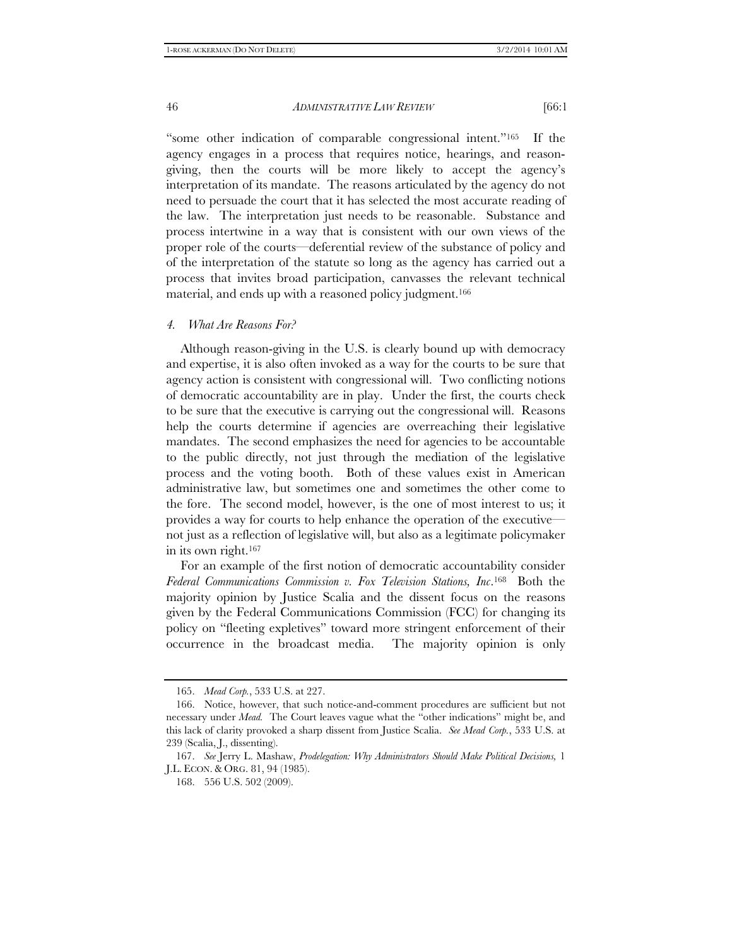"some other indication of comparable congressional intent."165 If the agency engages in a process that requires notice, hearings, and reasongiving, then the courts will be more likely to accept the agency's interpretation of its mandate. The reasons articulated by the agency do not need to persuade the court that it has selected the most accurate reading of the law. The interpretation just needs to be reasonable. Substance and process intertwine in a way that is consistent with our own views of the proper role of the courts—deferential review of the substance of policy and of the interpretation of the statute so long as the agency has carried out a process that invites broad participation, canvasses the relevant technical material, and ends up with a reasoned policy judgment.<sup>166</sup>

## *4. What Are Reasons For?*

Although reason-giving in the U.S. is clearly bound up with democracy and expertise, it is also often invoked as a way for the courts to be sure that agency action is consistent with congressional will. Two conflicting notions of democratic accountability are in play. Under the first, the courts check to be sure that the executive is carrying out the congressional will. Reasons help the courts determine if agencies are overreaching their legislative mandates. The second emphasizes the need for agencies to be accountable to the public directly, not just through the mediation of the legislative process and the voting booth. Both of these values exist in American administrative law, but sometimes one and sometimes the other come to the fore. The second model, however, is the one of most interest to us; it provides a way for courts to help enhance the operation of the executive not just as a reflection of legislative will, but also as a legitimate policymaker in its own right.167

For an example of the first notion of democratic accountability consider *Federal Communications Commission v. Fox Television Stations, Inc*.168 Both the majority opinion by Justice Scalia and the dissent focus on the reasons given by the Federal Communications Commission (FCC) for changing its policy on "fleeting expletives" toward more stringent enforcement of their occurrence in the broadcast media. The majority opinion is only

 <sup>165.</sup> *Mead Corp.*, 533 U.S. at 227.

 <sup>166.</sup> Notice, however, that such notice-and-comment procedures are sufficient but not necessary under *Mead.* The Court leaves vague what the "other indications" might be, and this lack of clarity provoked a sharp dissent from Justice Scalia. *See Mead Corp.*, 533 U.S. at 239 (Scalia, J., dissenting).

 <sup>167.</sup> *See* Jerry L. Mashaw, *Prodelegation: Why Administrators Should Make Political Decisions,* 1 J.L. ECON. & ORG. 81, 94 (1985).

 <sup>168. 556</sup> U.S. 502 (2009).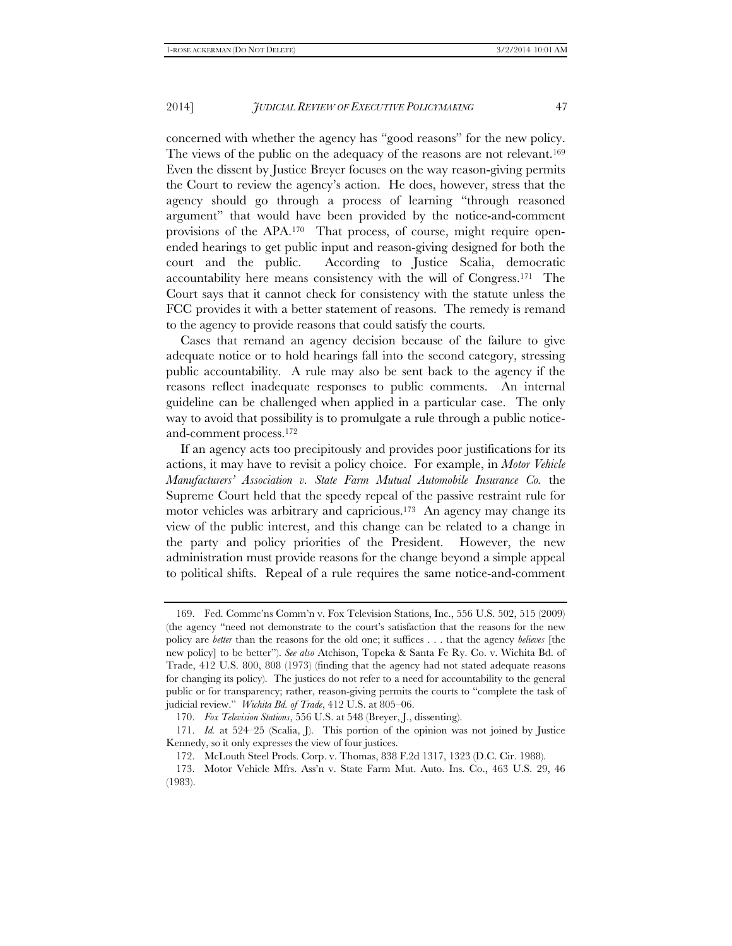concerned with whether the agency has "good reasons" for the new policy. The views of the public on the adequacy of the reasons are not relevant.<sup>169</sup> Even the dissent by Justice Breyer focuses on the way reason-giving permits the Court to review the agency's action. He does, however, stress that the agency should go through a process of learning "through reasoned argument" that would have been provided by the notice-and-comment provisions of the APA.170 That process, of course, might require openended hearings to get public input and reason-giving designed for both the court and the public. According to Justice Scalia, democratic accountability here means consistency with the will of Congress.171 The Court says that it cannot check for consistency with the statute unless the FCC provides it with a better statement of reasons. The remedy is remand to the agency to provide reasons that could satisfy the courts.

Cases that remand an agency decision because of the failure to give adequate notice or to hold hearings fall into the second category, stressing public accountability. A rule may also be sent back to the agency if the reasons reflect inadequate responses to public comments. An internal guideline can be challenged when applied in a particular case. The only way to avoid that possibility is to promulgate a rule through a public noticeand-comment process.172

If an agency acts too precipitously and provides poor justifications for its actions, it may have to revisit a policy choice. For example, in *Motor Vehicle Manufacturers' Association v. State Farm Mutual Automobile Insurance Co.* the Supreme Court held that the speedy repeal of the passive restraint rule for motor vehicles was arbitrary and capricious.173 An agency may change its view of the public interest, and this change can be related to a change in the party and policy priorities of the President. However, the new administration must provide reasons for the change beyond a simple appeal to political shifts. Repeal of a rule requires the same notice-and-comment

 <sup>169.</sup> Fed. Commc'ns Comm'n v. Fox Television Stations, Inc., 556 U.S. 502, 515 (2009) (the agency "need not demonstrate to the court's satisfaction that the reasons for the new policy are *better* than the reasons for the old one; it suffices . . . that the agency *believes* [the new policy] to be better"). *See also* Atchison, Topeka & Santa Fe Ry. Co. v. Wichita Bd. of Trade, 412 U.S. 800, 808 (1973) (finding that the agency had not stated adequate reasons for changing its policy). The justices do not refer to a need for accountability to the general public or for transparency; rather, reason-giving permits the courts to "complete the task of judicial review." *Wichita Bd. of Trade*, 412 U.S. at 805–06.

 <sup>170.</sup> *Fox Television Stations*, 556 U.S. at 548 (Breyer, J., dissenting).

 <sup>171.</sup> *Id.* at 524–25 (Scalia, J). This portion of the opinion was not joined by Justice Kennedy, so it only expresses the view of four justices.

 <sup>172.</sup> McLouth Steel Prods. Corp. v. Thomas, 838 F.2d 1317, 1323 (D.C. Cir. 1988).

 <sup>173.</sup> Motor Vehicle Mfrs. Ass'n v. State Farm Mut. Auto. Ins. Co., 463 U.S. 29, 46 (1983).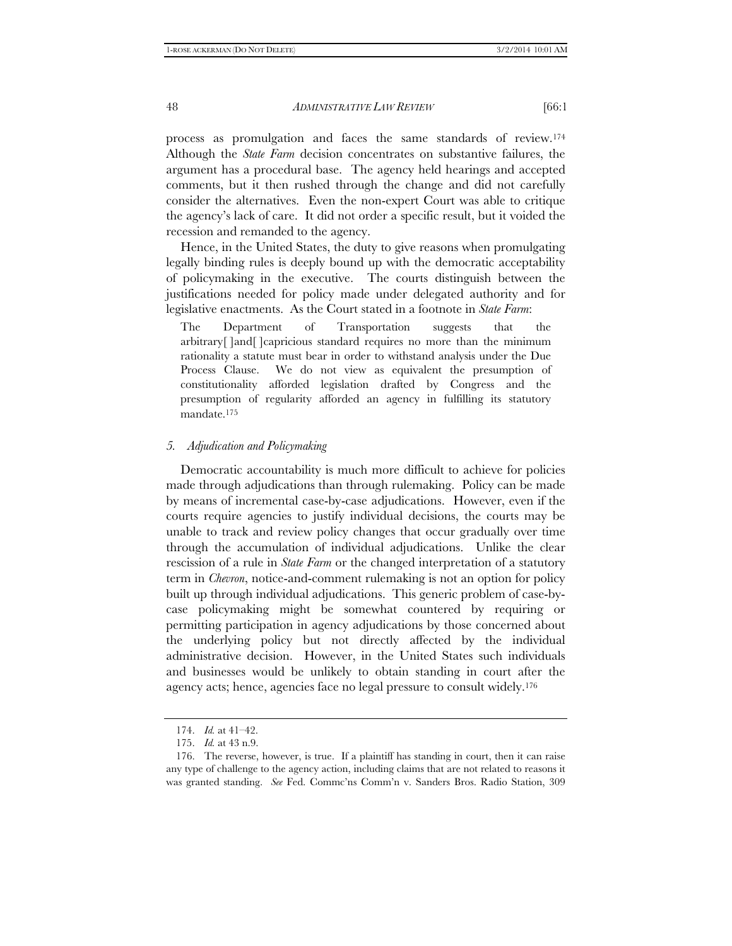process as promulgation and faces the same standards of review.174 Although the *State Farm* decision concentrates on substantive failures, the argument has a procedural base. The agency held hearings and accepted comments, but it then rushed through the change and did not carefully consider the alternatives. Even the non-expert Court was able to critique the agency's lack of care. It did not order a specific result, but it voided the recession and remanded to the agency.

Hence, in the United States, the duty to give reasons when promulgating legally binding rules is deeply bound up with the democratic acceptability of policymaking in the executive. The courts distinguish between the justifications needed for policy made under delegated authority and for legislative enactments. As the Court stated in a footnote in *State Farm*:

The Department of Transportation suggests that the arbitrary[ ]and[ ]capricious standard requires no more than the minimum rationality a statute must bear in order to withstand analysis under the Due Process Clause. We do not view as equivalent the presumption of constitutionality afforded legislation drafted by Congress and the presumption of regularity afforded an agency in fulfilling its statutory mandate.175

## *5. Adjudication and Policymaking*

Democratic accountability is much more difficult to achieve for policies made through adjudications than through rulemaking. Policy can be made by means of incremental case-by-case adjudications. However, even if the courts require agencies to justify individual decisions, the courts may be unable to track and review policy changes that occur gradually over time through the accumulation of individual adjudications. Unlike the clear rescission of a rule in *State Farm* or the changed interpretation of a statutory term in *Chevron*, notice-and-comment rulemaking is not an option for policy built up through individual adjudications. This generic problem of case-bycase policymaking might be somewhat countered by requiring or permitting participation in agency adjudications by those concerned about the underlying policy but not directly affected by the individual administrative decision. However, in the United States such individuals and businesses would be unlikely to obtain standing in court after the agency acts; hence, agencies face no legal pressure to consult widely.176

 <sup>174.</sup> *Id.* at 41–42.

 <sup>175.</sup> *Id.* at 43 n.9.

 <sup>176.</sup> The reverse, however, is true. If a plaintiff has standing in court, then it can raise any type of challenge to the agency action, including claims that are not related to reasons it was granted standing. *See* Fed. Commc'ns Comm'n v. Sanders Bros. Radio Station, 309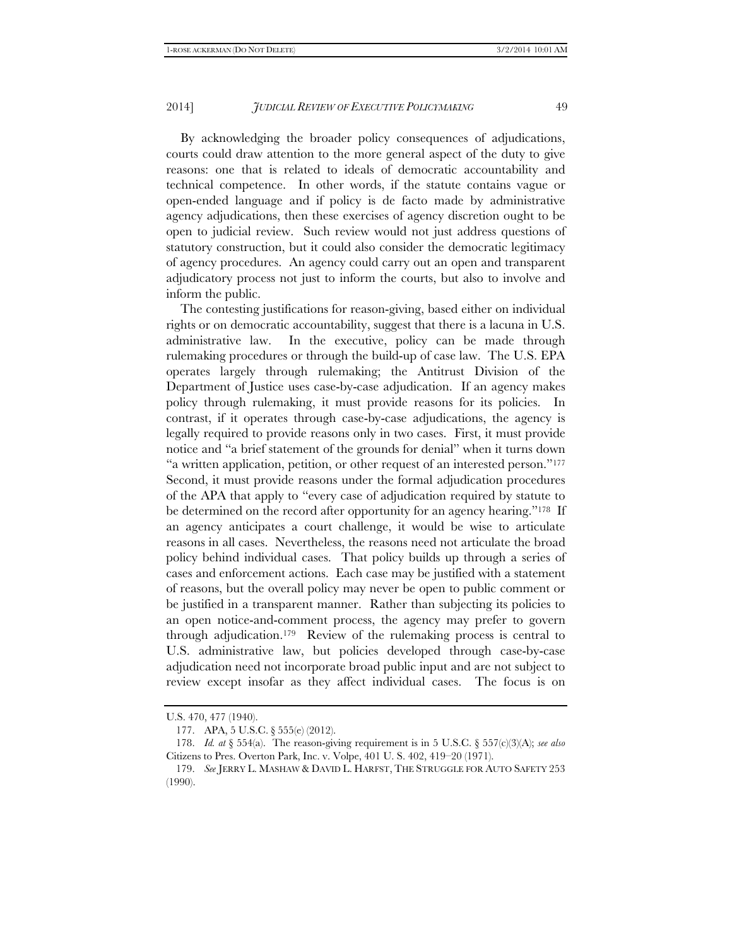By acknowledging the broader policy consequences of adjudications, courts could draw attention to the more general aspect of the duty to give reasons: one that is related to ideals of democratic accountability and technical competence. In other words, if the statute contains vague or open-ended language and if policy is de facto made by administrative agency adjudications, then these exercises of agency discretion ought to be open to judicial review. Such review would not just address questions of statutory construction, but it could also consider the democratic legitimacy of agency procedures. An agency could carry out an open and transparent adjudicatory process not just to inform the courts, but also to involve and inform the public.

The contesting justifications for reason-giving, based either on individual rights or on democratic accountability, suggest that there is a lacuna in U.S. administrative law. In the executive, policy can be made through rulemaking procedures or through the build-up of case law. The U.S. EPA operates largely through rulemaking; the Antitrust Division of the Department of Justice uses case-by-case adjudication. If an agency makes policy through rulemaking, it must provide reasons for its policies. In contrast, if it operates through case-by-case adjudications, the agency is legally required to provide reasons only in two cases. First, it must provide notice and "a brief statement of the grounds for denial" when it turns down "a written application, petition, or other request of an interested person."177 Second, it must provide reasons under the formal adjudication procedures of the APA that apply to "every case of adjudication required by statute to be determined on the record after opportunity for an agency hearing."<sup>178</sup> If an agency anticipates a court challenge, it would be wise to articulate reasons in all cases. Nevertheless, the reasons need not articulate the broad policy behind individual cases. That policy builds up through a series of cases and enforcement actions. Each case may be justified with a statement of reasons, but the overall policy may never be open to public comment or be justified in a transparent manner. Rather than subjecting its policies to an open notice-and-comment process, the agency may prefer to govern through adjudication.179 Review of the rulemaking process is central to U.S. administrative law, but policies developed through case-by-case adjudication need not incorporate broad public input and are not subject to review except insofar as they affect individual cases. The focus is on

U.S. 470, 477 (1940).

 <sup>177.</sup> APA, 5 U.S.C. § 555(e) (2012).

 <sup>178.</sup> *Id. at* § 554(a). The reason-giving requirement is in 5 U.S.C. § 557(c)(3)(A); *see also* Citizens to Pres. Overton Park, Inc. v. Volpe, 401 U. S. 402, 419–20 (1971).

 <sup>179.</sup> *See* JERRY L. MASHAW & DAVID L. HARFST, THE STRUGGLE FOR AUTO SAFETY 253 (1990).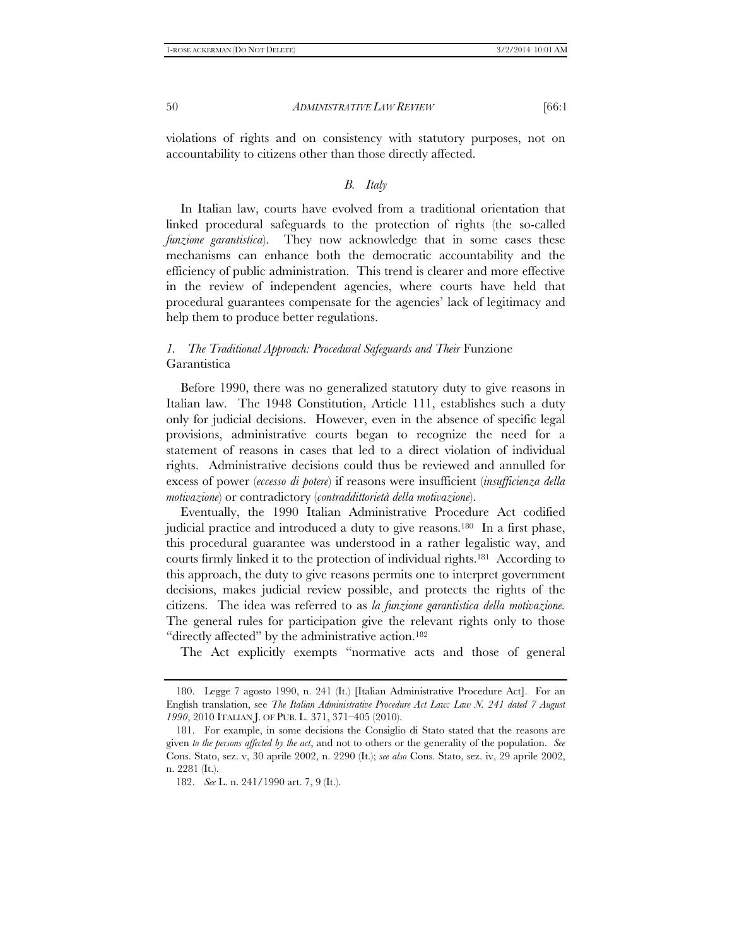violations of rights and on consistency with statutory purposes, not on accountability to citizens other than those directly affected.

## *B. Italy*

In Italian law, courts have evolved from a traditional orientation that linked procedural safeguards to the protection of rights (the so-called *funzione garantistica*). They now acknowledge that in some cases these mechanisms can enhance both the democratic accountability and the efficiency of public administration. This trend is clearer and more effective in the review of independent agencies, where courts have held that procedural guarantees compensate for the agencies' lack of legitimacy and help them to produce better regulations.

# *1. The Traditional Approach: Procedural Safeguards and Their* Funzione Garantistica

Before 1990, there was no generalized statutory duty to give reasons in Italian law. The 1948 Constitution, Article 111, establishes such a duty only for judicial decisions. However, even in the absence of specific legal provisions, administrative courts began to recognize the need for a statement of reasons in cases that led to a direct violation of individual rights. Administrative decisions could thus be reviewed and annulled for excess of power (*eccesso di potere*) if reasons were insufficient (*insufficienza della motivazione*) or contradictory (*contraddittorietà della motivazione*).

Eventually, the 1990 Italian Administrative Procedure Act codified judicial practice and introduced a duty to give reasons.180 In a first phase, this procedural guarantee was understood in a rather legalistic way, and courts firmly linked it to the protection of individual rights.181 According to this approach, the duty to give reasons permits one to interpret government decisions, makes judicial review possible, and protects the rights of the citizens. The idea was referred to as *la funzione garantistica della motivazione.* The general rules for participation give the relevant rights only to those "directly affected" by the administrative action.182

The Act explicitly exempts "normative acts and those of general

 <sup>180.</sup> Legge 7 agosto 1990, n. 241 (It.) [Italian Administrative Procedure Act]. For an English translation, see *The Italian Administrative Procedure Act Law: Law N. 241 dated 7 August 1990*, 2010 ITALIAN J. OF PUB. L. 371, 371–405 (2010).

 <sup>181.</sup> For example, in some decisions the Consiglio di Stato stated that the reasons are given *to the persons affected by the act*, and not to others or the generality of the population. *See* Cons. Stato, sez. v, 30 aprile 2002, n. 2290 (It.); *see also* Cons. Stato, sez. iv, 29 aprile 2002, n. 2281 (It.).

 <sup>182.</sup> *See* L. n. 241/1990 art. 7, 9 (It.).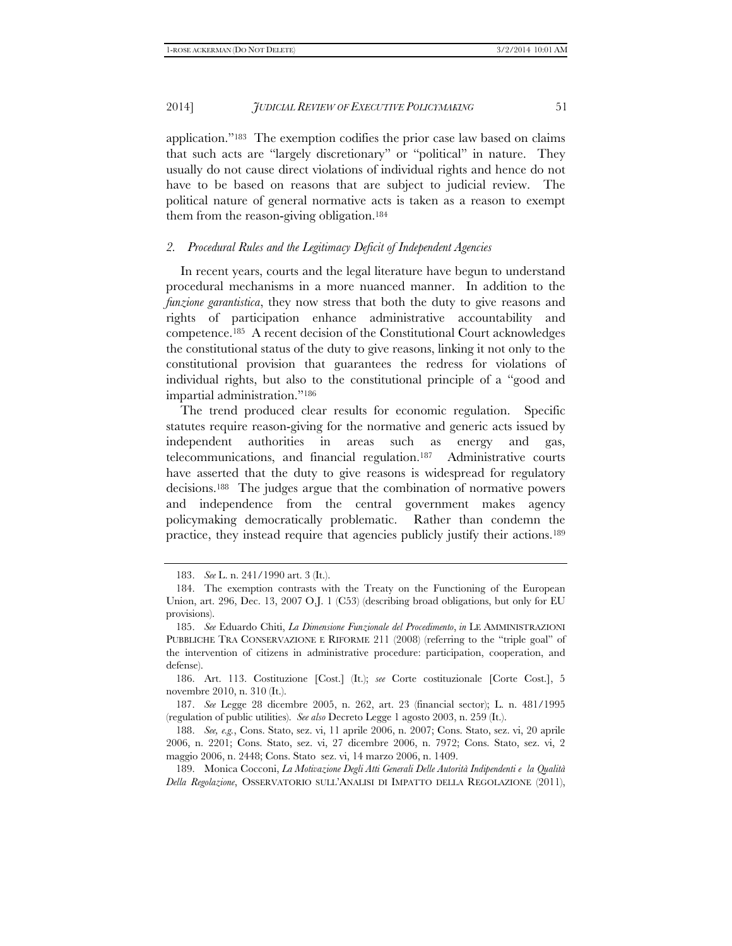application."183 The exemption codifies the prior case law based on claims that such acts are "largely discretionary" or "political" in nature. They usually do not cause direct violations of individual rights and hence do not have to be based on reasons that are subject to judicial review. The political nature of general normative acts is taken as a reason to exempt them from the reason-giving obligation.184

## *2. Procedural Rules and the Legitimacy Deficit of Independent Agencies*

In recent years, courts and the legal literature have begun to understand procedural mechanisms in a more nuanced manner. In addition to the *funzione garantistica*, they now stress that both the duty to give reasons and rights of participation enhance administrative accountability and competence.185 A recent decision of the Constitutional Court acknowledges the constitutional status of the duty to give reasons, linking it not only to the constitutional provision that guarantees the redress for violations of individual rights, but also to the constitutional principle of a "good and impartial administration."186

The trend produced clear results for economic regulation. Specific statutes require reason-giving for the normative and generic acts issued by independent authorities in areas such as energy and gas, telecommunications, and financial regulation.187 Administrative courts have asserted that the duty to give reasons is widespread for regulatory decisions.188 The judges argue that the combination of normative powers and independence from the central government makes agency policymaking democratically problematic. Rather than condemn the practice, they instead require that agencies publicly justify their actions.189

 <sup>183.</sup> *See* L. n. 241/1990 art. 3 (It.).

 <sup>184.</sup> The exemption contrasts with the Treaty on the Functioning of the European Union, art. 296, Dec. 13, 2007 O.J. 1 (C53) (describing broad obligations, but only for EU provisions).

 <sup>185.</sup> *See* Eduardo Chiti, *La Dimensione Funzionale del Procedimento*, *in* LE AMMINISTRAZIONI PUBBLICHE TRA CONSERVAZIONE E RIFORME 211 (2008) (referring to the "triple goal" of the intervention of citizens in administrative procedure: participation, cooperation, and defense).

 <sup>186.</sup> Art. 113. Costituzione [Cost.] (It.); *see* Corte costituzionale [Corte Cost.], 5 novembre 2010, n. 310 (It.).

 <sup>187.</sup> *See* Legge 28 dicembre 2005, n. 262, art. 23 (financial sector); L. n. 481/1995 (regulation of public utilities). *See also* Decreto Legge 1 agosto 2003, n. 259 (It.).

 <sup>188.</sup> *See, e.g.*, Cons. Stato, sez. vi, 11 aprile 2006, n. 2007; Cons. Stato, sez. vi, 20 aprile 2006, n. 2201; Cons. Stato, sez. vi, 27 dicembre 2006, n. 7972; Cons. Stato, sez. vi, 2 maggio 2006, n. 2448; Cons. Stato sez. vi, 14 marzo 2006, n. 1409.

 <sup>189.</sup> Monica Cocconi, *La Motivazione Degli Atti Generali Delle Autorità Indipendenti e la Qualità Della Regolazione*, OSSERVATORIO SULL'ANALISI DI IMPATTO DELLA REGOLAZIONE (2011),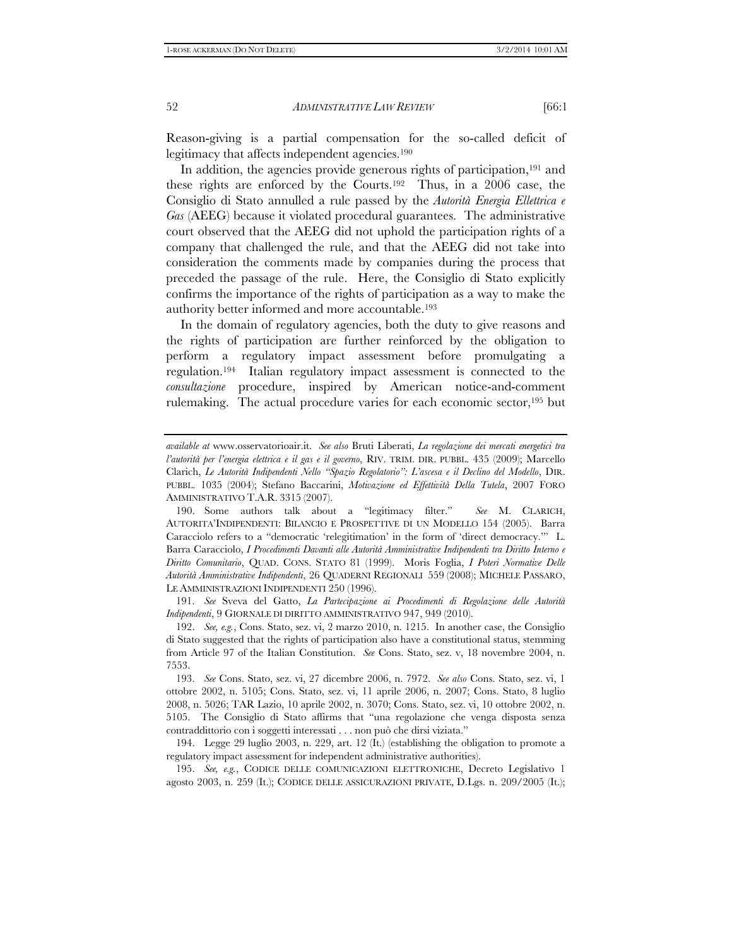Reason-giving is a partial compensation for the so-called deficit of legitimacy that affects independent agencies.<sup>190</sup>

In addition, the agencies provide generous rights of participation,<sup>191</sup> and these rights are enforced by the Courts.192 Thus, in a 2006 case, the Consiglio di Stato annulled a rule passed by the *Autorità Energia Ellettrica e Gas* (AEEG) because it violated procedural guarantees. The administrative court observed that the AEEG did not uphold the participation rights of a company that challenged the rule, and that the AEEG did not take into consideration the comments made by companies during the process that preceded the passage of the rule. Here, the Consiglio di Stato explicitly confirms the importance of the rights of participation as a way to make the authority better informed and more accountable.193

In the domain of regulatory agencies, both the duty to give reasons and the rights of participation are further reinforced by the obligation to perform a regulatory impact assessment before promulgating a regulation.194 Italian regulatory impact assessment is connected to the *consultazione* procedure, inspired by American notice-and-comment rulemaking. The actual procedure varies for each economic sector,195 but

 191. *See* Sveva del Gatto, *La Partecipazione ai Procedimenti di Regolazione delle Autorità Indipendenti*, 9 GIORNALE DI DIRITTO AMMINISTRATIVO 947, 949 (2010).

 194. Legge 29 luglio 2003, n. 229, art. 12 (It.) (establishing the obligation to promote a regulatory impact assessment for independent administrative authorities).

 195. *See, e.g.*, CODICE DELLE COMUNICAZIONI ELETTRONICHE, Decreto Legislativo 1 agosto 2003, n. 259 (It.); CODICE DELLE ASSICURAZIONI PRIVATE, D.Lgs. n. 209/2005 (It.);

*available at* www.osservatorioair.it. *See also* Bruti Liberati, *La regolazione dei mercati energetici tra l'autorità per l'energia elettrica e il gas e il governo*, RIV. TRIM. DIR. PUBBL. 435 (2009); Marcello Clarich, *Le Autorità Indipendenti Nello "Spazio Regolatorio": L'ascesa e il Declino del Modello*, DIR. PUBBL. 1035 (2004); Stefano Baccarini, *Motivazione ed Effettività Della Tutela*, 2007 FORO AMMINISTRATIVO T.A.R. 3315 (2007).

 <sup>190.</sup> Some authors talk about a "legitimacy filter." *See* M. CLARICH, AUTORITA'INDIPENDENTI: BILANCIO E PROSPETTIVE DI UN MODELLO 154 (2005). Barra Caracciolo refers to a "democratic 'relegitimation' in the form of 'direct democracy.'" L. Barra Caracciolo, *I Procedimenti Davanti alle Autorità Amministrative Indipendenti tra Diritto Interno e Diritto Comunitario*, QUAD. CONS. STATO 81 (1999). Moris Foglia, *I Poteri Normative Delle Autorità Amministrative Indipendenti*, 26 QUADERNI REGIONALI 559 (2008); MICHELE PASSARO, LE AMMINISTRAZIONI INDIPENDENTI 250 (1996).

 <sup>192.</sup> *See, e.g.*, Cons. Stato, sez. vi, 2 marzo 2010, n. 1215. In another case, the Consiglio di Stato suggested that the rights of participation also have a constitutional status, stemming from Article 97 of the Italian Constitution. *See* Cons. Stato, sez. v, 18 novembre 2004, n. 7553.

 <sup>193.</sup> *See* Cons. Stato, sez. vi, 27 dicembre 2006, n. 7972. *See also* Cons. Stato, sez. vi, 1 ottobre 2002, n. 5105; Cons. Stato, sez. vi, 11 aprile 2006, n. 2007; Cons. Stato, 8 luglio 2008, n. 5026; TAR Lazio, 10 aprile 2002, n. 3070; Cons. Stato, sez. vi, 10 ottobre 2002, n. 5105. The Consiglio di Stato affirms that "una regolazione che venga disposta senza contraddittorio con i soggetti interessati . . . non può che dirsi viziata."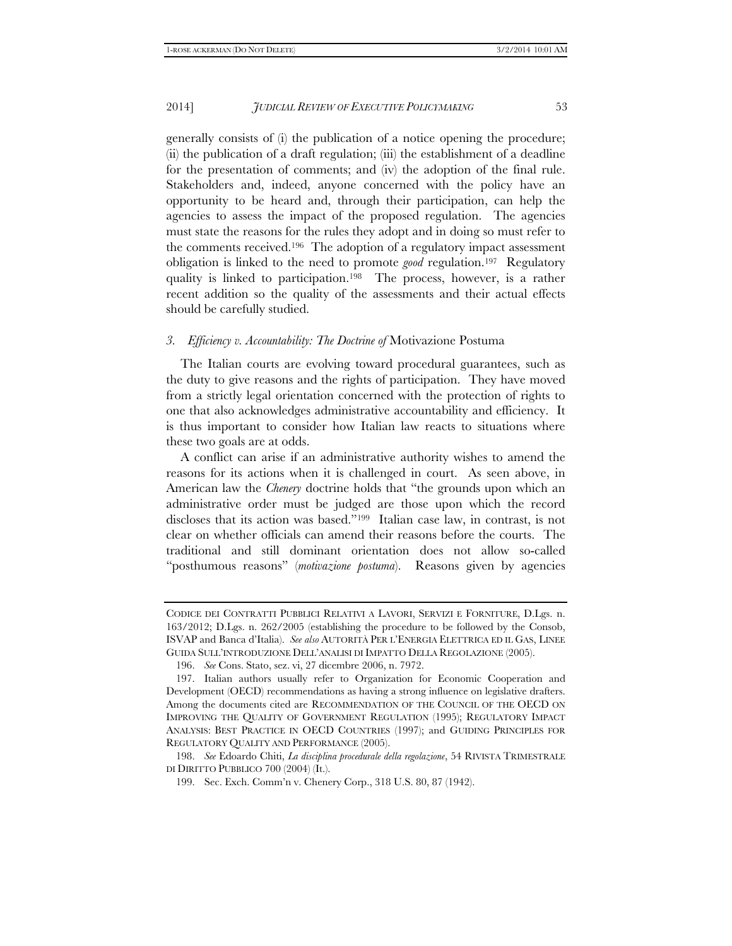generally consists of (i) the publication of a notice opening the procedure; (ii) the publication of a draft regulation; (iii) the establishment of a deadline for the presentation of comments; and (iv) the adoption of the final rule. Stakeholders and, indeed, anyone concerned with the policy have an opportunity to be heard and, through their participation, can help the agencies to assess the impact of the proposed regulation. The agencies must state the reasons for the rules they adopt and in doing so must refer to the comments received.196 The adoption of a regulatory impact assessment obligation is linked to the need to promote *good* regulation.197 Regulatory quality is linked to participation.198 The process, however, is a rather recent addition so the quality of the assessments and their actual effects should be carefully studied.

## *3. Efficiency v. Accountability: The Doctrine of* Motivazione Postuma

The Italian courts are evolving toward procedural guarantees, such as the duty to give reasons and the rights of participation. They have moved from a strictly legal orientation concerned with the protection of rights to one that also acknowledges administrative accountability and efficiency. It is thus important to consider how Italian law reacts to situations where these two goals are at odds.

A conflict can arise if an administrative authority wishes to amend the reasons for its actions when it is challenged in court. As seen above, in American law the *Chenery* doctrine holds that "the grounds upon which an administrative order must be judged are those upon which the record discloses that its action was based."199 Italian case law, in contrast, is not clear on whether officials can amend their reasons before the courts. The traditional and still dominant orientation does not allow so-called "posthumous reasons" (*motivazione postuma*). Reasons given by agencies

CODICE DEI CONTRATTI PUBBLICI RELATIVI A LAVORI, SERVIZI E FORNITURE, D.Lgs. n. 163/2012; D.Lgs. n. 262/2005 (establishing the procedure to be followed by the Consob, ISVAP and Banca d'Italia). *See also* AUTORITÀ PER L'ENERGIA ELETTRICA ED IL GAS, LINEE GUIDA SULL'INTRODUZIONE DELL'ANALISI DI IMPATTO DELLA REGOLAZIONE (2005).

 <sup>196.</sup> *See* Cons. Stato, sez. vi, 27 dicembre 2006, n. 7972.

 <sup>197.</sup> Italian authors usually refer to Organization for Economic Cooperation and Development (OECD) recommendations as having a strong influence on legislative drafters. Among the documents cited are RECOMMENDATION OF THE COUNCIL OF THE OECD ON IMPROVING THE QUALITY OF GOVERNMENT REGULATION (1995); REGULATORY IMPACT ANALYSIS: BEST PRACTICE IN OECD COUNTRIES (1997); and GUIDING PRINCIPLES FOR REGULATORY QUALITY AND PERFORMANCE (2005).

 <sup>198.</sup> *See* Edoardo Chiti, *La disciplina procedurale della regolazione*, 54 RIVISTA TRIMESTRALE DI DIRITTO PUBBLICO 700 (2004) (It.).

 <sup>199.</sup> Sec. Exch. Comm'n v. Chenery Corp., 318 U.S. 80, 87 (1942).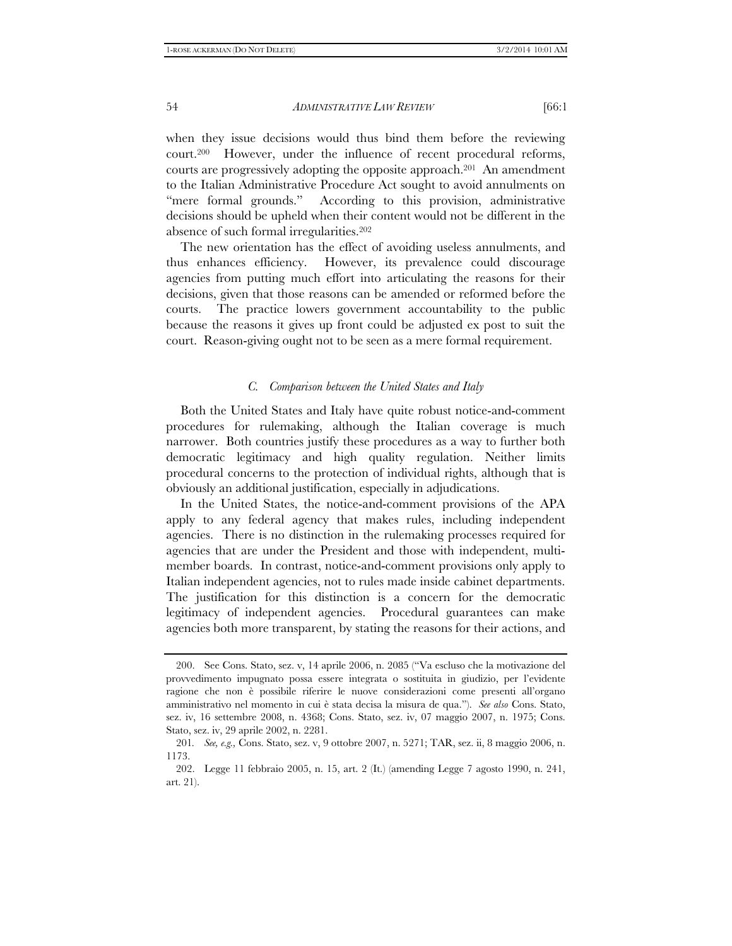when they issue decisions would thus bind them before the reviewing court.200 However, under the influence of recent procedural reforms, courts are progressively adopting the opposite approach.201 An amendment to the Italian Administrative Procedure Act sought to avoid annulments on "mere formal grounds." According to this provision, administrative decisions should be upheld when their content would not be different in the absence of such formal irregularities.202

The new orientation has the effect of avoiding useless annulments, and thus enhances efficiency. However, its prevalence could discourage agencies from putting much effort into articulating the reasons for their decisions, given that those reasons can be amended or reformed before the courts. The practice lowers government accountability to the public because the reasons it gives up front could be adjusted ex post to suit the court. Reason-giving ought not to be seen as a mere formal requirement.

## *C. Comparison between the United States and Italy*

Both the United States and Italy have quite robust notice-and-comment procedures for rulemaking, although the Italian coverage is much narrower. Both countries justify these procedures as a way to further both democratic legitimacy and high quality regulation. Neither limits procedural concerns to the protection of individual rights, although that is obviously an additional justification, especially in adjudications.

In the United States, the notice-and-comment provisions of the APA apply to any federal agency that makes rules, including independent agencies. There is no distinction in the rulemaking processes required for agencies that are under the President and those with independent, multimember boards. In contrast, notice-and-comment provisions only apply to Italian independent agencies, not to rules made inside cabinet departments. The justification for this distinction is a concern for the democratic legitimacy of independent agencies. Procedural guarantees can make agencies both more transparent, by stating the reasons for their actions, and

 <sup>200.</sup> See Cons. Stato, sez. v, 14 aprile 2006, n. 2085 ("Va escluso che la motivazione del provvedimento impugnato possa essere integrata o sostituita in giudizio, per l'evidente ragione che non è possibile riferire le nuove considerazioni come presenti all'organo amministrativo nel momento in cui è stata decisa la misura de qua."). *See also* Cons. Stato, sez. iv, 16 settembre 2008, n. 4368; Cons. Stato, sez. iv, 07 maggio 2007, n. 1975; Cons. Stato, sez. iv, 29 aprile 2002, n. 2281.

<sup>201</sup>*. See, e.g.,* Cons. Stato, sez. v, 9 ottobre 2007, n. 5271; TAR, sez. ii, 8 maggio 2006, n. 1173.

 <sup>202.</sup> Legge 11 febbraio 2005, n. 15, art. 2 (It.) (amending Legge 7 agosto 1990, n. 241, art. 21).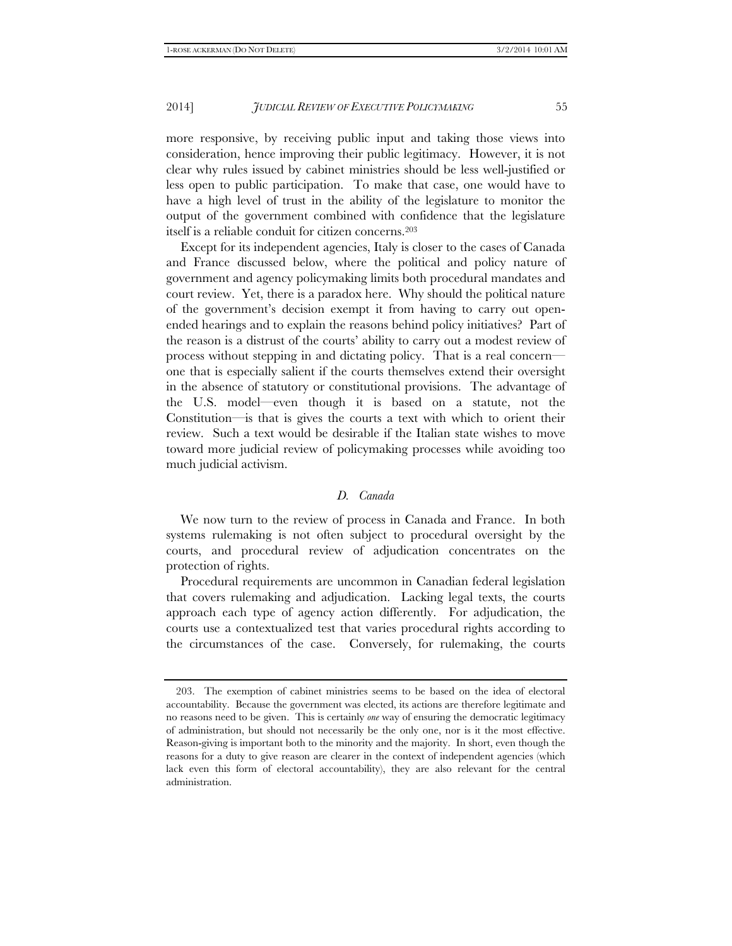more responsive, by receiving public input and taking those views into consideration, hence improving their public legitimacy. However, it is not clear why rules issued by cabinet ministries should be less well-justified or less open to public participation. To make that case, one would have to have a high level of trust in the ability of the legislature to monitor the output of the government combined with confidence that the legislature itself is a reliable conduit for citizen concerns.203

Except for its independent agencies, Italy is closer to the cases of Canada and France discussed below, where the political and policy nature of government and agency policymaking limits both procedural mandates and court review. Yet, there is a paradox here. Why should the political nature of the government's decision exempt it from having to carry out openended hearings and to explain the reasons behind policy initiatives? Part of the reason is a distrust of the courts' ability to carry out a modest review of process without stepping in and dictating policy. That is a real concern one that is especially salient if the courts themselves extend their oversight in the absence of statutory or constitutional provisions. The advantage of the U.S. model—even though it is based on a statute, not the Constitution—is that is gives the courts a text with which to orient their review. Such a text would be desirable if the Italian state wishes to move toward more judicial review of policymaking processes while avoiding too much judicial activism.

## *D. Canada*

We now turn to the review of process in Canada and France. In both systems rulemaking is not often subject to procedural oversight by the courts, and procedural review of adjudication concentrates on the protection of rights.

Procedural requirements are uncommon in Canadian federal legislation that covers rulemaking and adjudication. Lacking legal texts, the courts approach each type of agency action differently. For adjudication, the courts use a contextualized test that varies procedural rights according to the circumstances of the case. Conversely, for rulemaking, the courts

 <sup>203.</sup> The exemption of cabinet ministries seems to be based on the idea of electoral accountability. Because the government was elected, its actions are therefore legitimate and no reasons need to be given. This is certainly *one* way of ensuring the democratic legitimacy of administration, but should not necessarily be the only one, nor is it the most effective. Reason-giving is important both to the minority and the majority. In short, even though the reasons for a duty to give reason are clearer in the context of independent agencies (which lack even this form of electoral accountability), they are also relevant for the central administration.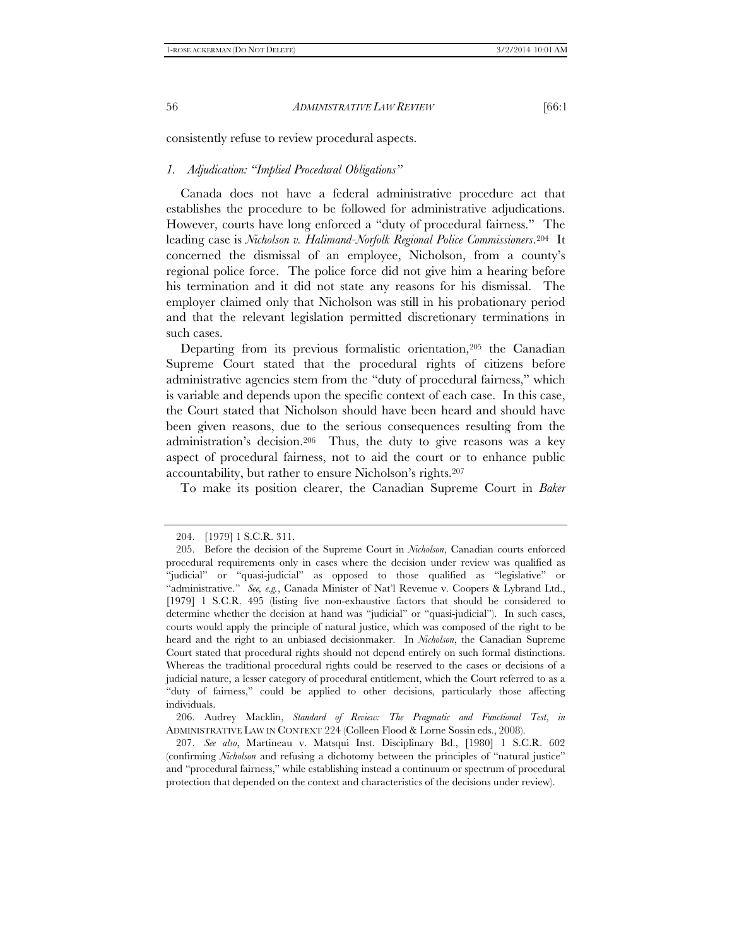consistently refuse to review procedural aspects.

#### *1. Adjudication: "Implied Procedural Obligations"*

Canada does not have a federal administrative procedure act that establishes the procedure to be followed for administrative adjudications. However, courts have long enforced a "duty of procedural fairness." The leading case is *Nicholson v. Halimand-Norfolk Regional Police Commissioners*.204 It concerned the dismissal of an employee, Nicholson, from a county's regional police force. The police force did not give him a hearing before his termination and it did not state any reasons for his dismissal. The employer claimed only that Nicholson was still in his probationary period and that the relevant legislation permitted discretionary terminations in such cases.

Departing from its previous formalistic orientation,<sup>205</sup> the Canadian Supreme Court stated that the procedural rights of citizens before administrative agencies stem from the "duty of procedural fairness," which is variable and depends upon the specific context of each case. In this case, the Court stated that Nicholson should have been heard and should have been given reasons, due to the serious consequences resulting from the administration's decision.206 Thus, the duty to give reasons was a key aspect of procedural fairness, not to aid the court or to enhance public accountability, but rather to ensure Nicholson's rights.207

To make its position clearer, the Canadian Supreme Court in *Baker*

 <sup>204. [1979] 1</sup> S.C.R. 311.

 <sup>205.</sup> Before the decision of the Supreme Court in *Nicholson*, Canadian courts enforced procedural requirements only in cases where the decision under review was qualified as "judicial" or "quasi-judicial" as opposed to those qualified as "legislative" or "administrative." *See, e.g.*, Canada Minister of Nat'l Revenue v. Coopers & Lybrand Ltd., [1979] 1 S.C.R. 495 (listing five non-exhaustive factors that should be considered to determine whether the decision at hand was "judicial" or "quasi-judicial"). In such cases, courts would apply the principle of natural justice, which was composed of the right to be heard and the right to an unbiased decisionmaker. In *Nicholson*, the Canadian Supreme Court stated that procedural rights should not depend entirely on such formal distinctions. Whereas the traditional procedural rights could be reserved to the cases or decisions of a judicial nature, a lesser category of procedural entitlement, which the Court referred to as a "duty of fairness," could be applied to other decisions, particularly those affecting individuals.

 <sup>206.</sup> Audrey Macklin, *Standard of Review: The Pragmatic and Functional Test*, *in* ADMINISTRATIVE LAW IN CONTEXT 224 (Colleen Flood & Lorne Sossin eds., 2008).

 <sup>207.</sup> *See also*, Martineau v. Matsqui Inst. Disciplinary Bd., [1980] 1 S.C.R. 602 (confirming *Nicholson* and refusing a dichotomy between the principles of "natural justice" and "procedural fairness," while establishing instead a continuum or spectrum of procedural protection that depended on the context and characteristics of the decisions under review).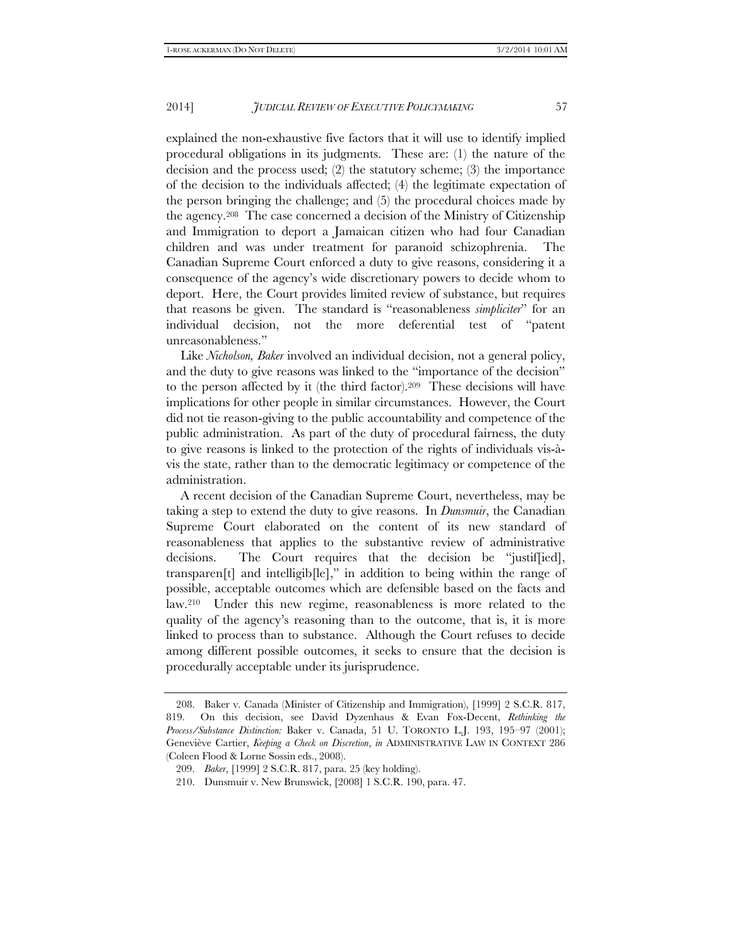explained the non-exhaustive five factors that it will use to identify implied procedural obligations in its judgments. These are: (1) the nature of the decision and the process used; (2) the statutory scheme; (3) the importance of the decision to the individuals affected; (4) the legitimate expectation of the person bringing the challenge; and (5) the procedural choices made by the agency.208 The case concerned a decision of the Ministry of Citizenship and Immigration to deport a Jamaican citizen who had four Canadian children and was under treatment for paranoid schizophrenia. The Canadian Supreme Court enforced a duty to give reasons, considering it a consequence of the agency's wide discretionary powers to decide whom to deport. Here, the Court provides limited review of substance, but requires that reasons be given. The standard is "reasonableness *simpliciter*" for an individual decision, not the more deferential test of "patent unreasonableness."

Like *Nicholson, Baker* involved an individual decision, not a general policy, and the duty to give reasons was linked to the "importance of the decision" to the person affected by it (the third factor).209 These decisions will have implications for other people in similar circumstances. However, the Court did not tie reason-giving to the public accountability and competence of the public administration. As part of the duty of procedural fairness, the duty to give reasons is linked to the protection of the rights of individuals vis-àvis the state, rather than to the democratic legitimacy or competence of the administration.

A recent decision of the Canadian Supreme Court, nevertheless, may be taking a step to extend the duty to give reasons. In *Dunsmuir*, the Canadian Supreme Court elaborated on the content of its new standard of reasonableness that applies to the substantive review of administrative decisions. The Court requires that the decision be "justiffied], transparen[t] and intelligib[le]," in addition to being within the range of possible, acceptable outcomes which are defensible based on the facts and law.210 Under this new regime, reasonableness is more related to the quality of the agency's reasoning than to the outcome, that is, it is more linked to process than to substance. Although the Court refuses to decide among different possible outcomes, it seeks to ensure that the decision is procedurally acceptable under its jurisprudence.

 <sup>208.</sup> Baker v. Canada (Minister of Citizenship and Immigration), [1999] 2 S.C.R. 817, 819. On this decision, see David Dyzenhaus & Evan Fox-Decent, *Rethinking the Process/Substance Distinction:* Baker v. Canada, 51 U. TORONTO L.J. 193, 195–97 (2001); Geneviève Cartier, *Keeping a Check on Discretion*, *in* ADMINISTRATIVE LAW IN CONTEXT 286 (Coleen Flood & Lorne Sossin eds., 2008).

 <sup>209.</sup> *Baker*, [1999] 2 S.C.R. 817, para. 25 (key holding).

 <sup>210.</sup> Dunsmuir v. New Brunswick, [2008] 1 S.C.R. 190, para. 47.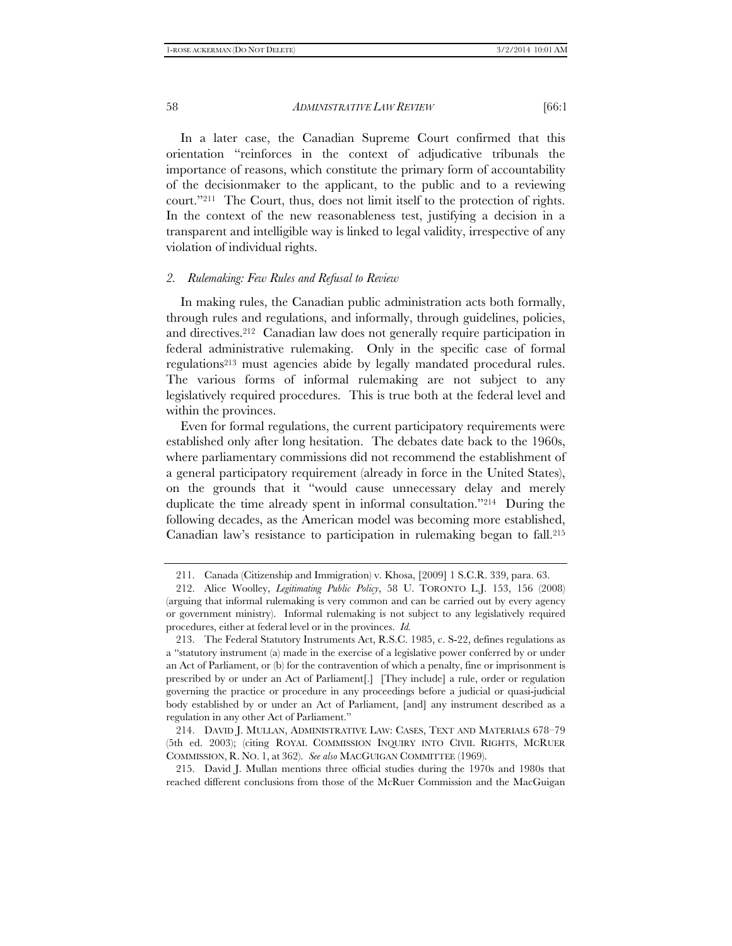In a later case, the Canadian Supreme Court confirmed that this orientation "reinforces in the context of adjudicative tribunals the importance of reasons, which constitute the primary form of accountability of the decisionmaker to the applicant, to the public and to a reviewing court."211 The Court, thus, does not limit itself to the protection of rights. In the context of the new reasonableness test, justifying a decision in a transparent and intelligible way is linked to legal validity, irrespective of any violation of individual rights.

#### *2. Rulemaking: Few Rules and Refusal to Review*

In making rules, the Canadian public administration acts both formally, through rules and regulations, and informally, through guidelines, policies, and directives.212 Canadian law does not generally require participation in federal administrative rulemaking. Only in the specific case of formal regulations213 must agencies abide by legally mandated procedural rules. The various forms of informal rulemaking are not subject to any legislatively required procedures. This is true both at the federal level and within the provinces.

Even for formal regulations, the current participatory requirements were established only after long hesitation. The debates date back to the 1960s, where parliamentary commissions did not recommend the establishment of a general participatory requirement (already in force in the United States), on the grounds that it "would cause unnecessary delay and merely duplicate the time already spent in informal consultation."214 During the following decades, as the American model was becoming more established, Canadian law's resistance to participation in rulemaking began to fall.215

 215. David J. Mullan mentions three official studies during the 1970s and 1980s that reached different conclusions from those of the McRuer Commission and the MacGuigan

 <sup>211.</sup> Canada (Citizenship and Immigration) v. Khosa, [2009] 1 S.C.R. 339, para. 63.

 <sup>212.</sup> Alice Woolley, *Legitimating Public Policy*, 58 U. TORONTO L.J. 153, 156 (2008) (arguing that informal rulemaking is very common and can be carried out by every agency or government ministry). Informal rulemaking is not subject to any legislatively required procedures, either at federal level or in the provinces. *Id.* 

 <sup>213.</sup> The Federal Statutory Instruments Act, R.S.C. 1985, c. S-22, defines regulations as a "statutory instrument (a) made in the exercise of a legislative power conferred by or under an Act of Parliament, or (b) for the contravention of which a penalty, fine or imprisonment is prescribed by or under an Act of Parliament[.] [They include] a rule, order or regulation governing the practice or procedure in any proceedings before a judicial or quasi-judicial body established by or under an Act of Parliament, [and] any instrument described as a regulation in any other Act of Parliament."

 <sup>214.</sup> DAVID J. MULLAN, ADMINISTRATIVE LAW: CASES, TEXT AND MATERIALS 678–79 (5th ed. 2003); (citing ROYAL COMMISSION INQUIRY INTO CIVIL RIGHTS, MCRUER COMMISSION, R. NO. 1, at 362). *See also* MACGUIGAN COMMITTEE (1969).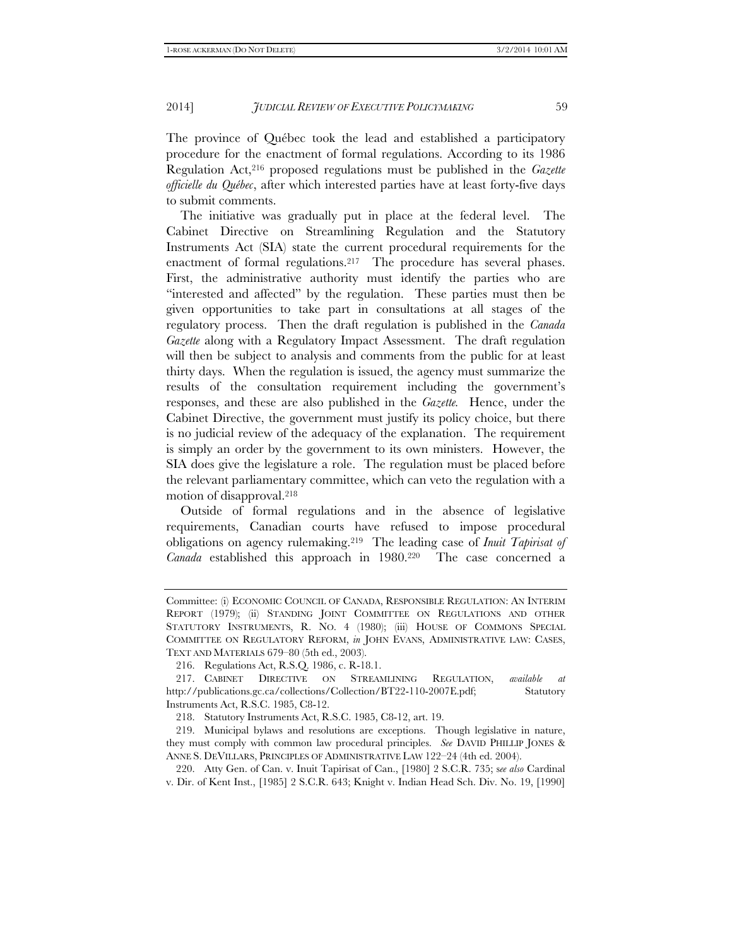The province of Québec took the lead and established a participatory procedure for the enactment of formal regulations. According to its 1986 Regulation Act,216 proposed regulations must be published in the *Gazette officielle du Québec*, after which interested parties have at least forty-five days to submit comments.

The initiative was gradually put in place at the federal level. The Cabinet Directive on Streamlining Regulation and the Statutory Instruments Act (SIA) state the current procedural requirements for the enactment of formal regulations.217 The procedure has several phases. First, the administrative authority must identify the parties who are "interested and affected" by the regulation. These parties must then be given opportunities to take part in consultations at all stages of the regulatory process. Then the draft regulation is published in the *Canada Gazette* along with a Regulatory Impact Assessment. The draft regulation will then be subject to analysis and comments from the public for at least thirty days. When the regulation is issued, the agency must summarize the results of the consultation requirement including the government's responses, and these are also published in the *Gazette.* Hence, under the Cabinet Directive, the government must justify its policy choice, but there is no judicial review of the adequacy of the explanation. The requirement is simply an order by the government to its own ministers. However, the SIA does give the legislature a role. The regulation must be placed before the relevant parliamentary committee, which can veto the regulation with a motion of disapproval.218

Outside of formal regulations and in the absence of legislative requirements, Canadian courts have refused to impose procedural obligations on agency rulemaking.219 The leading case of *Inuit Tapirisat of Canada* established this approach in 1980.220 The case concerned a

Committee: (i) ECONOMIC COUNCIL OF CANADA, RESPONSIBLE REGULATION: AN INTERIM REPORT (1979); (ii) STANDING JOINT COMMITTEE ON REGULATIONS AND OTHER STATUTORY INSTRUMENTS, R. NO. 4 (1980); (iii) HOUSE OF COMMONS SPECIAL COMMITTEE ON REGULATORY REFORM, *in* JOHN EVANS, ADMINISTRATIVE LAW: CASES, TEXT AND MATERIALS 679–80 (5th ed., 2003).

 <sup>216.</sup> Regulations Act, R.S.Q. 1986, c. R-18.1.

 <sup>217.</sup> CABINET DIRECTIVE ON STREAMLINING REGULATION, *available at* http://publications.gc.ca/collections/Collection/BT22-110-2007E.pdf; Statutory Instruments Act, R.S.C. 1985, C8-12.

 <sup>218.</sup> Statutory Instruments Act, R.S.C. 1985, C8-12, art. 19.

 <sup>219.</sup> Municipal bylaws and resolutions are exceptions. Though legislative in nature, they must comply with common law procedural principles. *See* DAVID PHILLIP JONES & ANNE S. DEVILLARS, PRINCIPLES OF ADMINISTRATIVE LAW 122–24 (4th ed. 2004).

 <sup>220.</sup> Atty Gen. of Can. v. Inuit Tapirisat of Can., [1980] 2 S.C.R. 735; s*ee also* Cardinal v. Dir. of Kent Inst., [1985] 2 S.C.R. 643; Knight v. Indian Head Sch. Div. No. 19, [1990]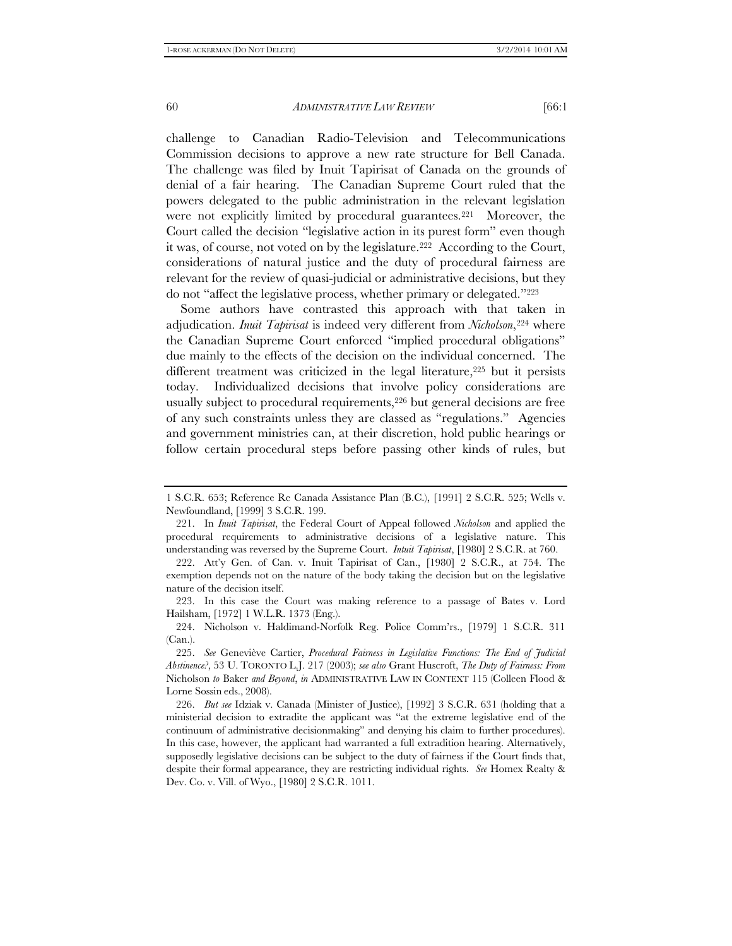challenge to Canadian Radio-Television and Telecommunications Commission decisions to approve a new rate structure for Bell Canada. The challenge was filed by Inuit Tapirisat of Canada on the grounds of denial of a fair hearing. The Canadian Supreme Court ruled that the powers delegated to the public administration in the relevant legislation were not explicitly limited by procedural guarantees.<sup>221</sup> Moreover, the Court called the decision "legislative action in its purest form" even though it was, of course, not voted on by the legislature.222 According to the Court, considerations of natural justice and the duty of procedural fairness are relevant for the review of quasi-judicial or administrative decisions, but they do not "affect the legislative process, whether primary or delegated."223

Some authors have contrasted this approach with that taken in adjudication. *Inuit Tapirisat* is indeed very different from *Nicholson*,<sup>224</sup> where the Canadian Supreme Court enforced "implied procedural obligations" due mainly to the effects of the decision on the individual concerned. The different treatment was criticized in the legal literature,  $225$  but it persists today. Individualized decisions that involve policy considerations are usually subject to procedural requirements,226 but general decisions are free of any such constraints unless they are classed as "regulations." Agencies and government ministries can, at their discretion, hold public hearings or follow certain procedural steps before passing other kinds of rules, but

<sup>1</sup> S.C.R. 653; Reference Re Canada Assistance Plan (B.C.), [1991] 2 S.C.R. 525; Wells v. Newfoundland, [1999] 3 S.C.R. 199.

 <sup>221.</sup> In *Inuit Tapirisat*, the Federal Court of Appeal followed *Nicholson* and applied the procedural requirements to administrative decisions of a legislative nature. This understanding was reversed by the Supreme Court. *Intuit Tapirisat*, [1980] 2 S.C.R. at 760.

 <sup>222.</sup> Att'y Gen. of Can. v. Inuit Tapirisat of Can., [1980] 2 S.C.R., at 754. The exemption depends not on the nature of the body taking the decision but on the legislative nature of the decision itself.

 <sup>223.</sup> In this case the Court was making reference to a passage of Bates v. Lord Hailsham, [1972] 1 W.L.R. 1373 (Eng.).

 <sup>224.</sup> Nicholson v. Haldimand-Norfolk Reg. Police Comm'rs., [1979] 1 S.C.R. 311 (Can.).

 <sup>225.</sup> *See* Geneviève Cartier, *Procedural Fairness in Legislative Functions: The End of Judicial Abstinence?*, 53 U. TORONTO L.J. 217 (2003); *see also* Grant Huscroft, *The Duty of Fairness: From*  Nicholson *to* Baker *and Beyond*, *in* ADMINISTRATIVE LAW IN CONTEXT 115 (Colleen Flood & Lorne Sossin eds., 2008).

 <sup>226.</sup> *But see* Idziak v. Canada (Minister of Justice), [1992] 3 S.C.R. 631 (holding that a ministerial decision to extradite the applicant was "at the extreme legislative end of the continuum of administrative decisionmaking" and denying his claim to further procedures). In this case, however, the applicant had warranted a full extradition hearing. Alternatively, supposedly legislative decisions can be subject to the duty of fairness if the Court finds that, despite their formal appearance, they are restricting individual rights. *See* Homex Realty & Dev. Co. v. Vill. of Wyo., [1980] 2 S.C.R. 1011.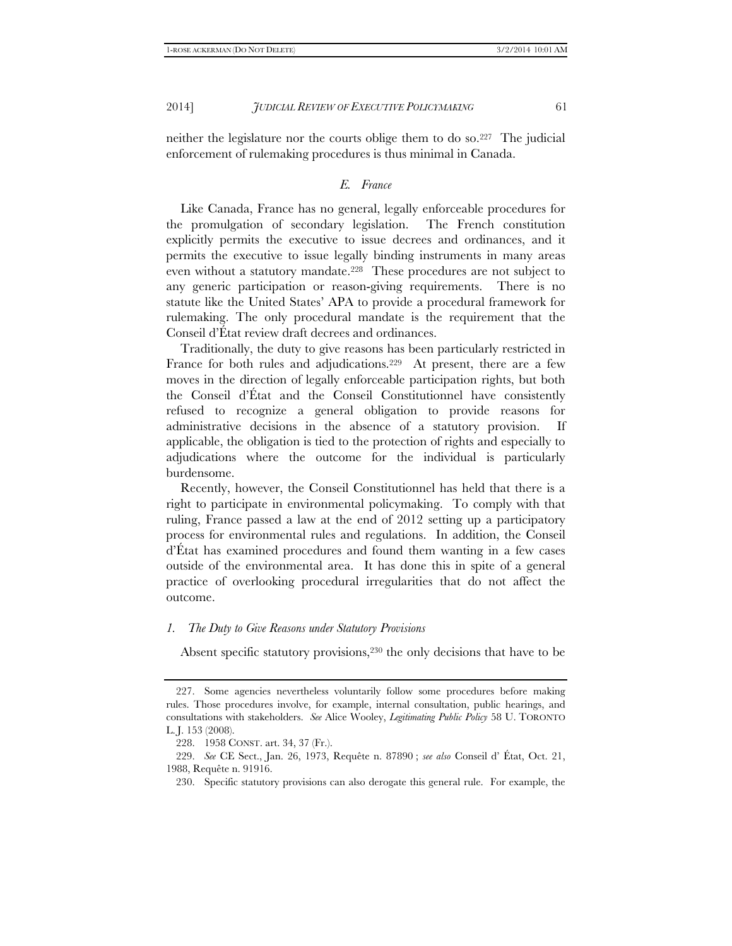neither the legislature nor the courts oblige them to do so.<sup>227</sup> The judicial enforcement of rulemaking procedures is thus minimal in Canada.

## *E. France*

Like Canada, France has no general, legally enforceable procedures for the promulgation of secondary legislation. The French constitution explicitly permits the executive to issue decrees and ordinances, and it permits the executive to issue legally binding instruments in many areas even without a statutory mandate.<sup>228</sup> These procedures are not subject to any generic participation or reason-giving requirements. There is no statute like the United States' APA to provide a procedural framework for rulemaking. The only procedural mandate is the requirement that the Conseil d'État review draft decrees and ordinances.

Traditionally, the duty to give reasons has been particularly restricted in France for both rules and adjudications.<sup>229</sup> At present, there are a few moves in the direction of legally enforceable participation rights, but both the Conseil d'État and the Conseil Constitutionnel have consistently refused to recognize a general obligation to provide reasons for administrative decisions in the absence of a statutory provision. If applicable, the obligation is tied to the protection of rights and especially to adjudications where the outcome for the individual is particularly burdensome.

Recently, however, the Conseil Constitutionnel has held that there is a right to participate in environmental policymaking. To comply with that ruling, France passed a law at the end of 2012 setting up a participatory process for environmental rules and regulations. In addition, the Conseil d'État has examined procedures and found them wanting in a few cases outside of the environmental area. It has done this in spite of a general practice of overlooking procedural irregularities that do not affect the outcome.

## *1. The Duty to Give Reasons under Statutory Provisions*

Absent specific statutory provisions,<sup>230</sup> the only decisions that have to be

 <sup>227.</sup> Some agencies nevertheless voluntarily follow some procedures before making rules. Those procedures involve, for example, internal consultation, public hearings, and consultations with stakeholders. *See* Alice Wooley, *Legitimating Public Policy* 58 U. TORONTO L. J. 153 (2008).

 <sup>228. 1958</sup> CONST. art. 34, 37 (Fr.).

 <sup>229.</sup> *See* CE Sect., Jan. 26, 1973, Requête n. 87890 ; *see also* Conseil d' État, Oct. 21, 1988, Requête n. 91916.

 <sup>230.</sup> Specific statutory provisions can also derogate this general rule. For example, the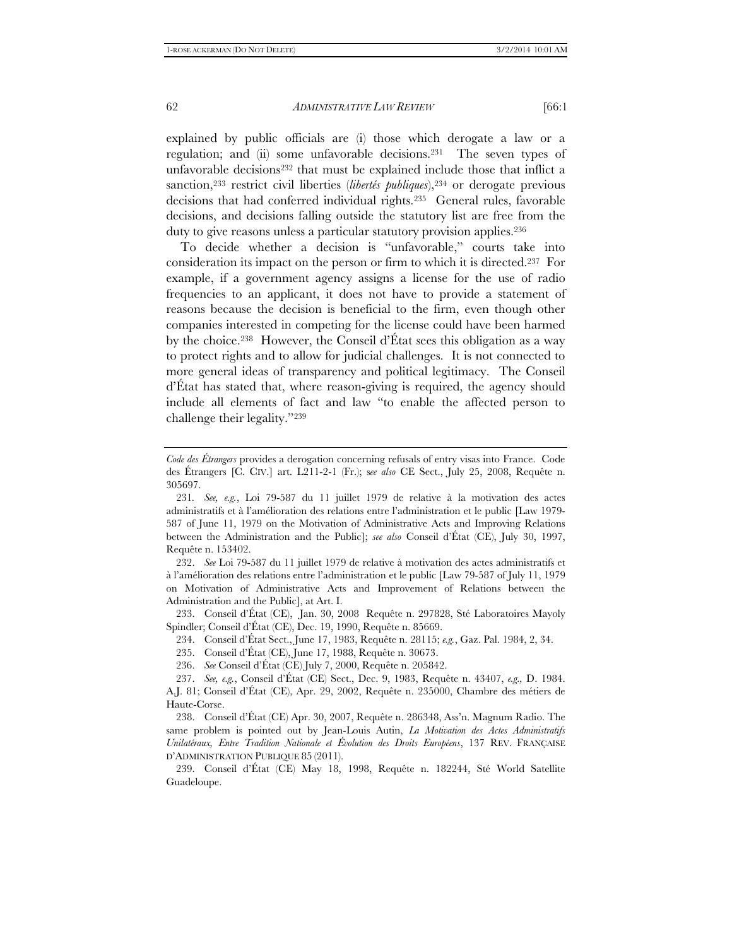explained by public officials are (i) those which derogate a law or a regulation; and (ii) some unfavorable decisions.231 The seven types of unfavorable decisions232 that must be explained include those that inflict a sanction,233 restrict civil liberties (*libertés publiques*),234 or derogate previous decisions that had conferred individual rights.235 General rules, favorable decisions, and decisions falling outside the statutory list are free from the duty to give reasons unless a particular statutory provision applies.236

To decide whether a decision is "unfavorable," courts take into consideration its impact on the person or firm to which it is directed.237 For example, if a government agency assigns a license for the use of radio frequencies to an applicant, it does not have to provide a statement of reasons because the decision is beneficial to the firm, even though other companies interested in competing for the license could have been harmed by the choice.238 However, the Conseil d'État sees this obligation as a way to protect rights and to allow for judicial challenges. It is not connected to more general ideas of transparency and political legitimacy. The Conseil d'État has stated that, where reason-giving is required, the agency should include all elements of fact and law "to enable the affected person to challenge their legality."239

 232. *See* Loi 79-587 du 11 juillet 1979 de relative à motivation des actes administratifs et à l'amélioration des relations entre l'administration et le public [Law 79-587 of July 11, 1979 on Motivation of Administrative Acts and Improvement of Relations between the Administration and the Public], at Art. I.

 233. Conseil d'État (CE), Jan. 30, 2008 Requête n. 297828, Sté Laboratoires Mayoly Spindler; Conseil d'État (CE), Dec. 19, 1990, Requête n. 85669.

234. Conseil d'État Sect., June 17, 1983, Requête n. 28115; *e.g.*, Gaz. Pal. 1984, 2, 34.

235. Conseil d'État (CE), June 17, 1988, Requête n. 30673.

236. *See* Conseil d'État (CE) July 7, 2000, Requête n. 205842.

 237. *See, e.g.*, Conseil d'État (CE) Sect., Dec. 9, 1983, Requête n. 43407, *e.g.,* D. 1984. A.J. 81; Conseil d'État (CE), Apr. 29, 2002, Requête n. 235000, Chambre des métiers de Haute-Corse.

 238. Conseil d'État (CE) Apr. 30, 2007, Requête n. 286348, Ass'n. Magnum Radio. The same problem is pointed out by Jean-Louis Autin, *La Motivation des Actes Administratifs Unilatéraux, Entre Tradition Nationale et Évolution des Droits Européens*, 137 REV. FRANÇAISE D'ADMINISTRATION PUBLIQUE 85 (2011).

 239. Conseil d'État (CE) May 18, 1998, Requête n. 182244, Sté World Satellite Guadeloupe.

*Code des Étrangers* provides a derogation concerning refusals of entry visas into France. Code des Étrangers [C. CIV.] art. L211-2-1 (Fr.); s*ee also* CE Sect., July 25, 2008, Requête n. 305697.

<sup>231</sup>*. See, e.g.*, Loi 79-587 du 11 juillet 1979 de relative à la motivation des actes administratifs et à l'amélioration des relations entre l'administration et le public [Law 1979- 587 of June 11, 1979 on the Motivation of Administrative Acts and Improving Relations between the Administration and the Public]; *see also* Conseil d'État (CE), July 30, 1997, Requête n. 153402.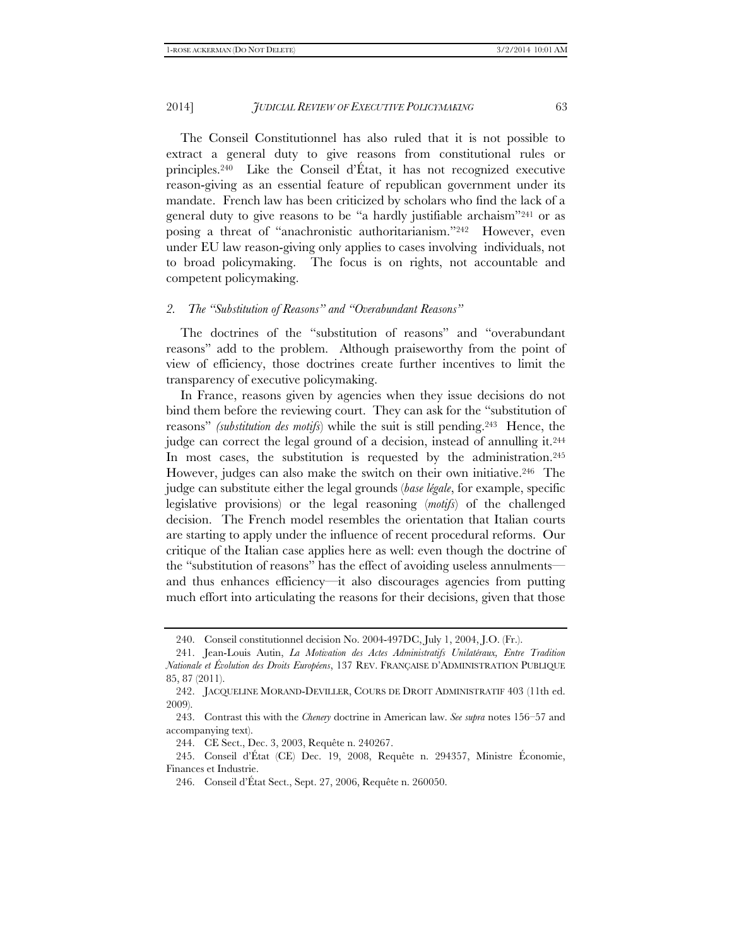The Conseil Constitutionnel has also ruled that it is not possible to extract a general duty to give reasons from constitutional rules or principles.240 Like the Conseil d'État, it has not recognized executive reason-giving as an essential feature of republican government under its mandate. French law has been criticized by scholars who find the lack of a general duty to give reasons to be "a hardly justifiable archaism"241 or as posing a threat of "anachronistic authoritarianism."242 However, even under EU law reason-giving only applies to cases involving individuals, not to broad policymaking. The focus is on rights, not accountable and competent policymaking.

# *2. The "Substitution of Reasons" and "Overabundant Reasons"*

The doctrines of the "substitution of reasons" and "overabundant reasons" add to the problem. Although praiseworthy from the point of view of efficiency, those doctrines create further incentives to limit the transparency of executive policymaking.

In France, reasons given by agencies when they issue decisions do not bind them before the reviewing court. They can ask for the "substitution of reasons" *(substitution des motifs*) while the suit is still pending.243 Hence, the judge can correct the legal ground of a decision, instead of annulling it.244 In most cases, the substitution is requested by the administration.<sup>245</sup> However, judges can also make the switch on their own initiative.246 The judge can substitute either the legal grounds (*base légale*, for example, specific legislative provisions) or the legal reasoning (*motifs*) of the challenged decision. The French model resembles the orientation that Italian courts are starting to apply under the influence of recent procedural reforms. Our critique of the Italian case applies here as well: even though the doctrine of the "substitution of reasons" has the effect of avoiding useless annulments and thus enhances efficiency—it also discourages agencies from putting much effort into articulating the reasons for their decisions, given that those

 <sup>240.</sup> Conseil constitutionnel decision No. 2004-497DC, July 1, 2004, J.O. (Fr.).

 <sup>241.</sup> Jean-Louis Autin, *La Motivation des Actes Administratifs Unilatéraux, Entre Tradition Nationale et Évolution des Droits Européens*, 137 REV. FRANÇAISE D'ADMINISTRATION PUBLIQUE 85, 87 (2011).

 <sup>242.</sup> JACQUELINE MORAND-DEVILLER, COURS DE DROIT ADMINISTRATIF 403 (11th ed. 2009).

 <sup>243.</sup> Contrast this with the *Chenery* doctrine in American law. *See supra* notes 156–57 and accompanying text).

 <sup>244.</sup> CE Sect., Dec. 3, 2003, Requête n. 240267.

 <sup>245.</sup> Conseil d'État (CE) Dec. 19, 2008, Requête n. 294357, Ministre Économie, Finances et Industrie.

 <sup>246.</sup> Conseil d'État Sect., Sept. 27, 2006, Requête n. 260050.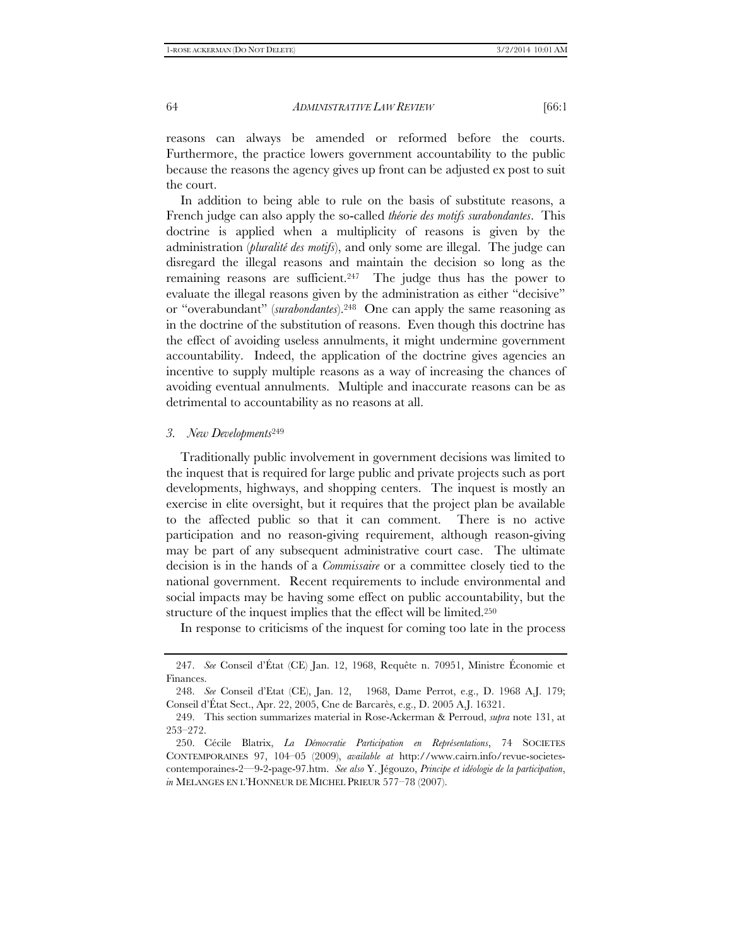reasons can always be amended or reformed before the courts. Furthermore, the practice lowers government accountability to the public because the reasons the agency gives up front can be adjusted ex post to suit the court.

In addition to being able to rule on the basis of substitute reasons, a French judge can also apply the so-called *théorie des motifs surabondantes*. This doctrine is applied when a multiplicity of reasons is given by the administration (*pluralité des motifs*), and only some are illegal. The judge can disregard the illegal reasons and maintain the decision so long as the remaining reasons are sufficient.<sup>247</sup> The judge thus has the power to evaluate the illegal reasons given by the administration as either "decisive" or "overabundant" (*surabondantes*).248 One can apply the same reasoning as in the doctrine of the substitution of reasons. Even though this doctrine has the effect of avoiding useless annulments, it might undermine government accountability. Indeed, the application of the doctrine gives agencies an incentive to supply multiple reasons as a way of increasing the chances of avoiding eventual annulments. Multiple and inaccurate reasons can be as detrimental to accountability as no reasons at all.

#### *3. New Developments*<sup>249</sup>

Traditionally public involvement in government decisions was limited to the inquest that is required for large public and private projects such as port developments, highways, and shopping centers. The inquest is mostly an exercise in elite oversight, but it requires that the project plan be available to the affected public so that it can comment. There is no active participation and no reason-giving requirement, although reason-giving may be part of any subsequent administrative court case. The ultimate decision is in the hands of a *Commissaire* or a committee closely tied to the national government. Recent requirements to include environmental and social impacts may be having some effect on public accountability, but the structure of the inquest implies that the effect will be limited.250

In response to criticisms of the inquest for coming too late in the process

 <sup>247.</sup> *See* Conseil d'État (CE) Jan. 12, 1968, Requête n. 70951, Ministre Économie et Finances.

 <sup>248.</sup> *See* Conseil d'Etat (CE), Jan. 12, 1968, Dame Perrot, e.g., D. 1968 A.J. 179; Conseil d'État Sect., Apr. 22, 2005, Cne de Barcarès, e.g., D. 2005 A.J. 16321.

 <sup>249.</sup> This section summarizes material in Rose-Ackerman & Perroud, *supra* note 131, at 253–272.

 <sup>250.</sup> Cécile Blatrix, *La Démocratie Participation en Représentations*, 74 SOCIETES CONTEMPORAINES 97, 104–05 (2009), *available at* http://www.cairn.info/revue-societescontemporaines-2—9-2-page-97.htm. *See also* Y. Jégouzo, *Principe et idéologie de la participation*, *in* MELANGES EN L'HONNEUR DE MICHEL PRIEUR 577–78 (2007).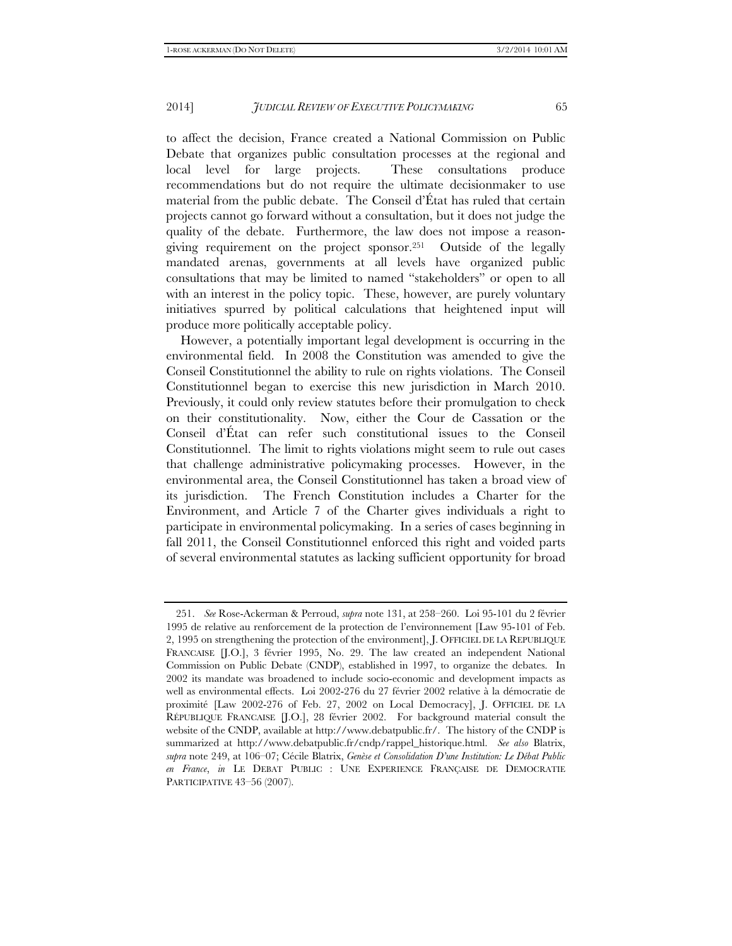to affect the decision, France created a National Commission on Public Debate that organizes public consultation processes at the regional and local level for large projects. These consultations produce recommendations but do not require the ultimate decisionmaker to use material from the public debate. The Conseil d'État has ruled that certain projects cannot go forward without a consultation, but it does not judge the quality of the debate. Furthermore, the law does not impose a reasongiving requirement on the project sponsor.251 Outside of the legally mandated arenas, governments at all levels have organized public consultations that may be limited to named "stakeholders" or open to all with an interest in the policy topic. These, however, are purely voluntary initiatives spurred by political calculations that heightened input will produce more politically acceptable policy.

However, a potentially important legal development is occurring in the environmental field. In 2008 the Constitution was amended to give the Conseil Constitutionnel the ability to rule on rights violations. The Conseil Constitutionnel began to exercise this new jurisdiction in March 2010. Previously, it could only review statutes before their promulgation to check on their constitutionality. Now, either the Cour de Cassation or the Conseil d'État can refer such constitutional issues to the Conseil Constitutionnel. The limit to rights violations might seem to rule out cases that challenge administrative policymaking processes. However, in the environmental area, the Conseil Constitutionnel has taken a broad view of its jurisdiction. The French Constitution includes a Charter for the Environment, and Article 7 of the Charter gives individuals a right to participate in environmental policymaking. In a series of cases beginning in fall 2011, the Conseil Constitutionnel enforced this right and voided parts of several environmental statutes as lacking sufficient opportunity for broad

 <sup>251.</sup> *See* Rose-Ackerman & Perroud, *supra* note 131, at 258–260. Loi 95-101 du 2 février 1995 de relative au renforcement de la protection de l'environnement [Law 95-101 of Feb. 2, 1995 on strengthening the protection of the environment], J. OFFICIEL DE LA REPUBLIQUE FRANCAISE [J.O.], 3 février 1995, No. 29. The law created an independent National Commission on Public Debate (CNDP), established in 1997, to organize the debates. In 2002 its mandate was broadened to include socio-economic and development impacts as well as environmental effects. Loi 2002-276 du 27 février 2002 relative à la démocratie de proximité [Law 2002-276 of Feb. 27, 2002 on Local Democracy], J. OFFICIEL DE LA RÉPUBLIQUE FRANCAISE [J.O.], 28 février 2002. For background material consult the website of the CNDP, available at http://www.debatpublic.fr/. The history of the CNDP is summarized at http://www.debatpublic.fr/cndp/rappel\_historique.html. *See also* Blatrix, *supra* note 249, at 106–07; Cécile Blatrix, *Genèse et Consolidation D'une Institution: Le Débat Public en France*, *in* LE DEBAT PUBLIC : UNE EXPERIENCE FRANÇAISE DE DEMOCRATIE PARTICIPATIVE 43–56 (2007).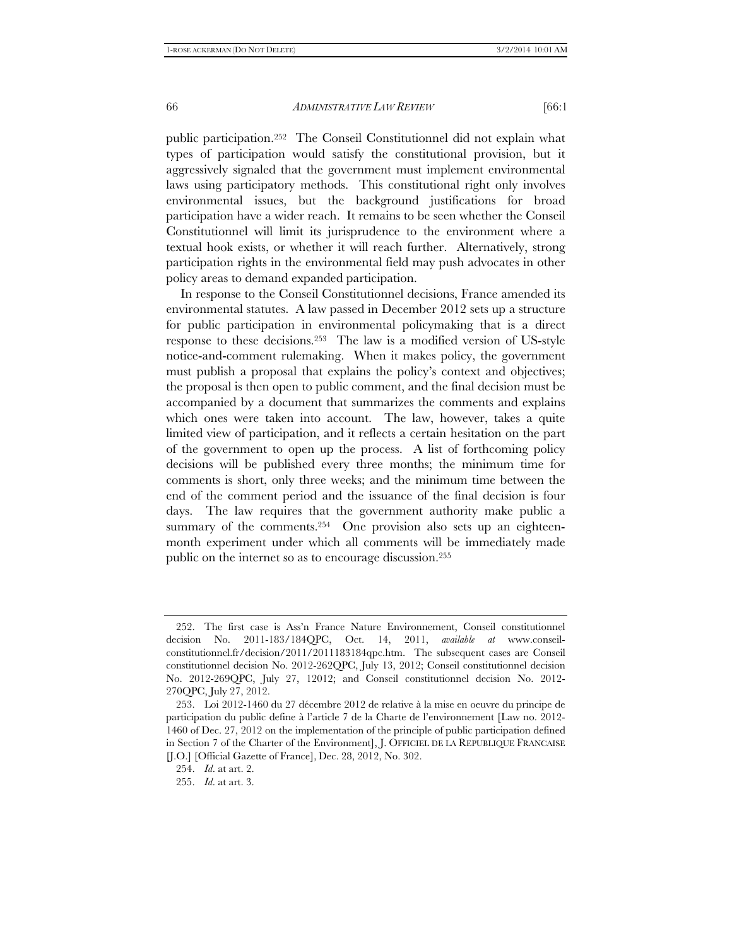public participation.252 The Conseil Constitutionnel did not explain what types of participation would satisfy the constitutional provision, but it aggressively signaled that the government must implement environmental laws using participatory methods. This constitutional right only involves environmental issues, but the background justifications for broad participation have a wider reach. It remains to be seen whether the Conseil Constitutionnel will limit its jurisprudence to the environment where a textual hook exists, or whether it will reach further. Alternatively, strong participation rights in the environmental field may push advocates in other policy areas to demand expanded participation.

In response to the Conseil Constitutionnel decisions, France amended its environmental statutes. A law passed in December 2012 sets up a structure for public participation in environmental policymaking that is a direct response to these decisions.253 The law is a modified version of US-style notice-and-comment rulemaking. When it makes policy, the government must publish a proposal that explains the policy's context and objectives; the proposal is then open to public comment, and the final decision must be accompanied by a document that summarizes the comments and explains which ones were taken into account. The law, however, takes a quite limited view of participation, and it reflects a certain hesitation on the part of the government to open up the process. A list of forthcoming policy decisions will be published every three months; the minimum time for comments is short, only three weeks; and the minimum time between the end of the comment period and the issuance of the final decision is four days. The law requires that the government authority make public a summary of the comments.<sup>254</sup> One provision also sets up an eighteenmonth experiment under which all comments will be immediately made public on the internet so as to encourage discussion.255

 <sup>252.</sup> The first case is Ass'n France Nature Environnement, Conseil constitutionnel decision No. 2011-183/184QPC, Oct. 14, 2011, *available at* www.conseilconstitutionnel.fr/decision/2011/2011183184qpc.htm. The subsequent cases are Conseil constitutionnel decision No. 2012-262QPC, July 13, 2012; Conseil constitutionnel decision No. 2012-269QPC, July 27, 12012; and Conseil constitutionnel decision No. 2012- 270QPC, July 27, 2012.

 <sup>253.</sup> Loi 2012-1460 du 27 décembre 2012 de relative à la mise en oeuvre du principe de participation du public define à l'article 7 de la Charte de l'environnement [Law no. 2012- 1460 of Dec. 27, 2012 on the implementation of the principle of public participation defined in Section 7 of the Charter of the Environment], J. OFFICIEL DE LA REPUBLIQUE FRANCAISE [J.O.] [Official Gazette of France], Dec. 28, 2012, No. 302.

 <sup>254.</sup> *Id*. at art. 2.

 <sup>255.</sup> *Id*. at art. 3.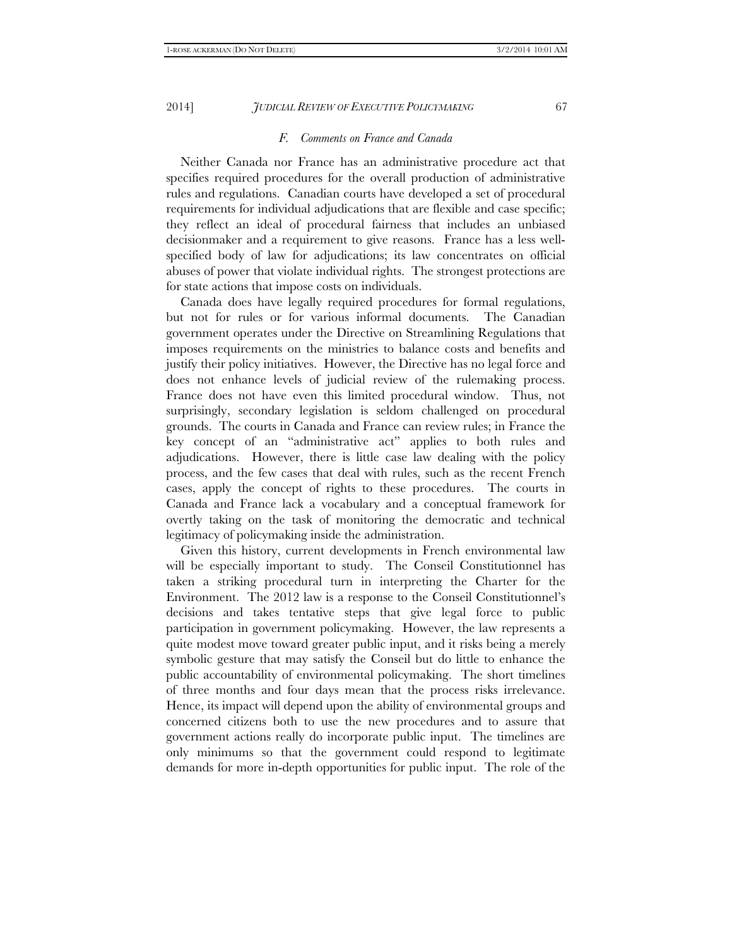## *F. Comments on France and Canada*

Neither Canada nor France has an administrative procedure act that specifies required procedures for the overall production of administrative rules and regulations. Canadian courts have developed a set of procedural requirements for individual adjudications that are flexible and case specific; they reflect an ideal of procedural fairness that includes an unbiased decisionmaker and a requirement to give reasons. France has a less wellspecified body of law for adjudications; its law concentrates on official abuses of power that violate individual rights. The strongest protections are for state actions that impose costs on individuals.

Canada does have legally required procedures for formal regulations, but not for rules or for various informal documents. The Canadian government operates under the Directive on Streamlining Regulations that imposes requirements on the ministries to balance costs and benefits and justify their policy initiatives. However, the Directive has no legal force and does not enhance levels of judicial review of the rulemaking process. France does not have even this limited procedural window. Thus, not surprisingly, secondary legislation is seldom challenged on procedural grounds. The courts in Canada and France can review rules; in France the key concept of an "administrative act" applies to both rules and adjudications. However, there is little case law dealing with the policy process, and the few cases that deal with rules, such as the recent French cases, apply the concept of rights to these procedures. The courts in Canada and France lack a vocabulary and a conceptual framework for overtly taking on the task of monitoring the democratic and technical legitimacy of policymaking inside the administration.

Given this history, current developments in French environmental law will be especially important to study. The Conseil Constitutionnel has taken a striking procedural turn in interpreting the Charter for the Environment. The 2012 law is a response to the Conseil Constitutionnel's decisions and takes tentative steps that give legal force to public participation in government policymaking. However, the law represents a quite modest move toward greater public input, and it risks being a merely symbolic gesture that may satisfy the Conseil but do little to enhance the public accountability of environmental policymaking. The short timelines of three months and four days mean that the process risks irrelevance. Hence, its impact will depend upon the ability of environmental groups and concerned citizens both to use the new procedures and to assure that government actions really do incorporate public input. The timelines are only minimums so that the government could respond to legitimate demands for more in-depth opportunities for public input. The role of the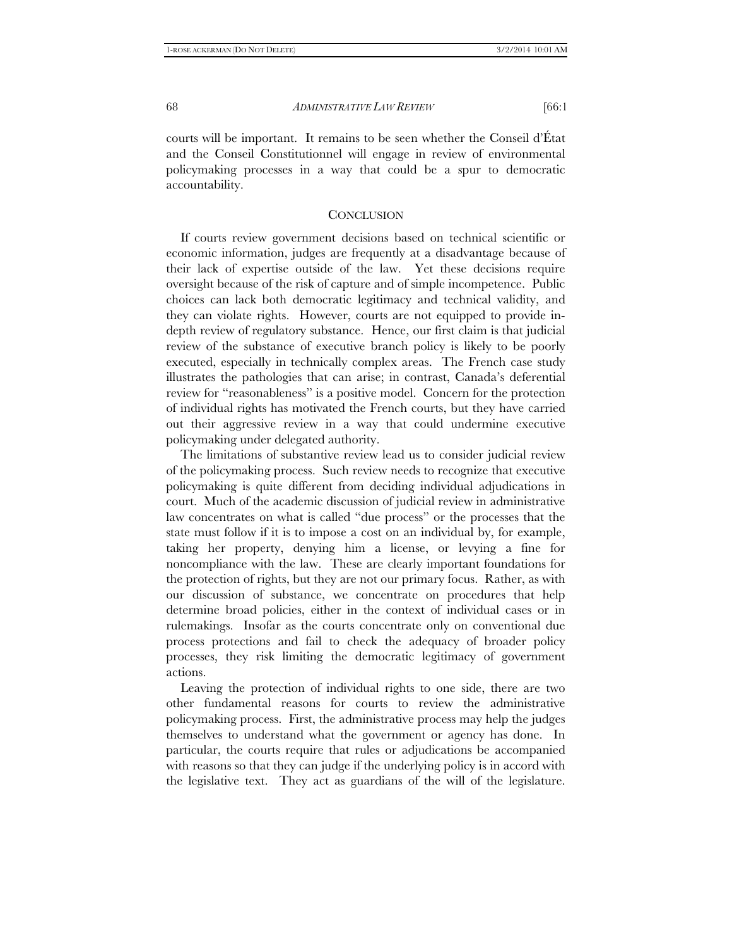courts will be important. It remains to be seen whether the Conseil d'État and the Conseil Constitutionnel will engage in review of environmental policymaking processes in a way that could be a spur to democratic accountability.

## **CONCLUSION**

If courts review government decisions based on technical scientific or economic information, judges are frequently at a disadvantage because of their lack of expertise outside of the law. Yet these decisions require oversight because of the risk of capture and of simple incompetence. Public choices can lack both democratic legitimacy and technical validity, and they can violate rights. However, courts are not equipped to provide indepth review of regulatory substance. Hence, our first claim is that judicial review of the substance of executive branch policy is likely to be poorly executed, especially in technically complex areas. The French case study illustrates the pathologies that can arise; in contrast, Canada's deferential review for "reasonableness" is a positive model. Concern for the protection of individual rights has motivated the French courts, but they have carried out their aggressive review in a way that could undermine executive policymaking under delegated authority.

The limitations of substantive review lead us to consider judicial review of the policymaking process. Such review needs to recognize that executive policymaking is quite different from deciding individual adjudications in court. Much of the academic discussion of judicial review in administrative law concentrates on what is called "due process" or the processes that the state must follow if it is to impose a cost on an individual by, for example, taking her property, denying him a license, or levying a fine for noncompliance with the law. These are clearly important foundations for the protection of rights, but they are not our primary focus. Rather, as with our discussion of substance, we concentrate on procedures that help determine broad policies, either in the context of individual cases or in rulemakings. Insofar as the courts concentrate only on conventional due process protections and fail to check the adequacy of broader policy processes, they risk limiting the democratic legitimacy of government actions.

Leaving the protection of individual rights to one side, there are two other fundamental reasons for courts to review the administrative policymaking process. First, the administrative process may help the judges themselves to understand what the government or agency has done. In particular, the courts require that rules or adjudications be accompanied with reasons so that they can judge if the underlying policy is in accord with the legislative text. They act as guardians of the will of the legislature.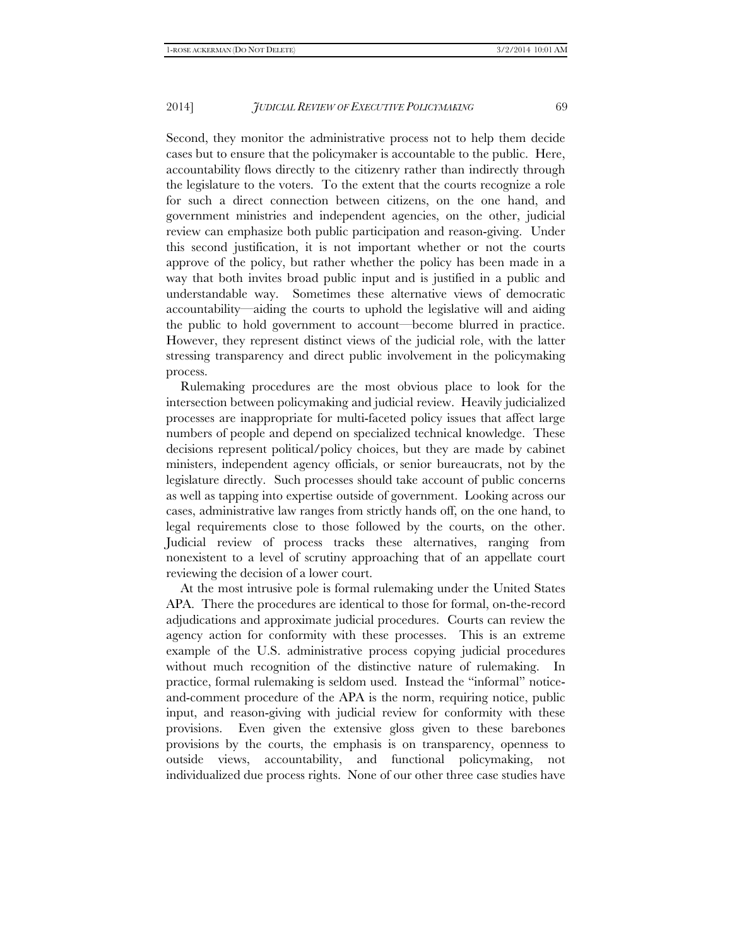Second, they monitor the administrative process not to help them decide cases but to ensure that the policymaker is accountable to the public. Here, accountability flows directly to the citizenry rather than indirectly through the legislature to the voters. To the extent that the courts recognize a role for such a direct connection between citizens, on the one hand, and government ministries and independent agencies, on the other, judicial review can emphasize both public participation and reason-giving. Under this second justification, it is not important whether or not the courts approve of the policy, but rather whether the policy has been made in a way that both invites broad public input and is justified in a public and understandable way. Sometimes these alternative views of democratic accountability—aiding the courts to uphold the legislative will and aiding the public to hold government to account—become blurred in practice. However, they represent distinct views of the judicial role, with the latter stressing transparency and direct public involvement in the policymaking process.

Rulemaking procedures are the most obvious place to look for the intersection between policymaking and judicial review. Heavily judicialized processes are inappropriate for multi-faceted policy issues that affect large numbers of people and depend on specialized technical knowledge. These decisions represent political/policy choices, but they are made by cabinet ministers, independent agency officials, or senior bureaucrats, not by the legislature directly. Such processes should take account of public concerns as well as tapping into expertise outside of government. Looking across our cases, administrative law ranges from strictly hands off, on the one hand, to legal requirements close to those followed by the courts, on the other. Judicial review of process tracks these alternatives, ranging from nonexistent to a level of scrutiny approaching that of an appellate court reviewing the decision of a lower court.

At the most intrusive pole is formal rulemaking under the United States APA. There the procedures are identical to those for formal, on-the-record adjudications and approximate judicial procedures. Courts can review the agency action for conformity with these processes. This is an extreme example of the U.S. administrative process copying judicial procedures without much recognition of the distinctive nature of rulemaking. In practice, formal rulemaking is seldom used. Instead the "informal" noticeand-comment procedure of the APA is the norm, requiring notice, public input, and reason-giving with judicial review for conformity with these provisions. Even given the extensive gloss given to these barebones provisions by the courts, the emphasis is on transparency, openness to outside views, accountability, and functional policymaking, not individualized due process rights. None of our other three case studies have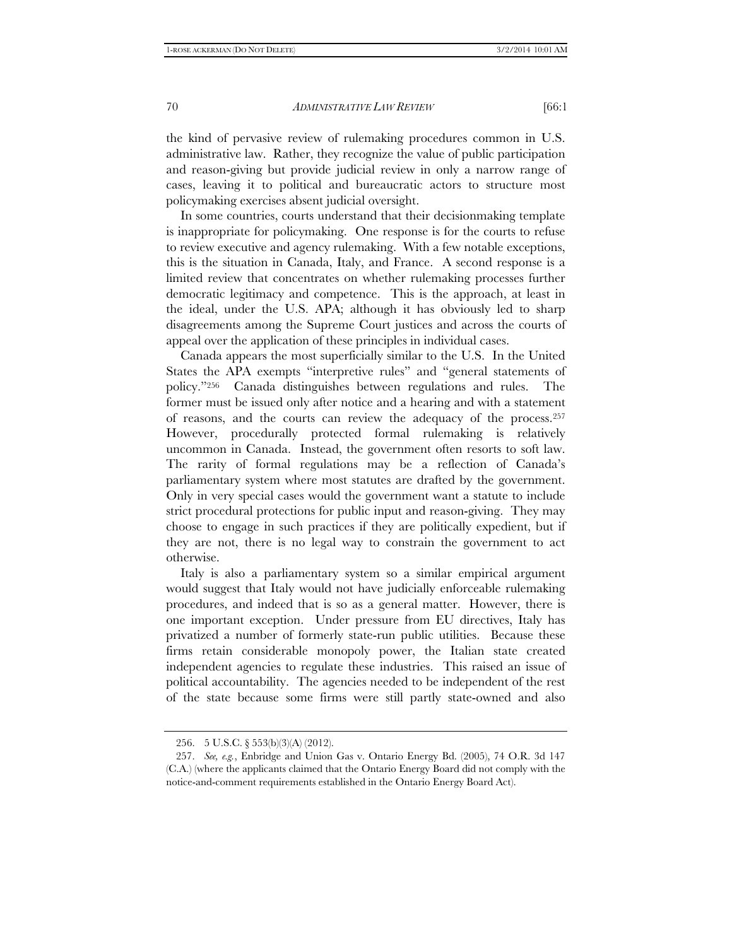the kind of pervasive review of rulemaking procedures common in U.S. administrative law. Rather, they recognize the value of public participation and reason-giving but provide judicial review in only a narrow range of cases, leaving it to political and bureaucratic actors to structure most policymaking exercises absent judicial oversight.

In some countries, courts understand that their decisionmaking template is inappropriate for policymaking. One response is for the courts to refuse to review executive and agency rulemaking. With a few notable exceptions, this is the situation in Canada, Italy, and France. A second response is a limited review that concentrates on whether rulemaking processes further democratic legitimacy and competence. This is the approach, at least in the ideal, under the U.S. APA; although it has obviously led to sharp disagreements among the Supreme Court justices and across the courts of appeal over the application of these principles in individual cases.

Canada appears the most superficially similar to the U.S. In the United States the APA exempts "interpretive rules" and "general statements of policy."256 Canada distinguishes between regulations and rules. The former must be issued only after notice and a hearing and with a statement of reasons, and the courts can review the adequacy of the process.257 However, procedurally protected formal rulemaking is relatively uncommon in Canada. Instead, the government often resorts to soft law. The rarity of formal regulations may be a reflection of Canada's parliamentary system where most statutes are drafted by the government. Only in very special cases would the government want a statute to include strict procedural protections for public input and reason-giving. They may choose to engage in such practices if they are politically expedient, but if they are not, there is no legal way to constrain the government to act otherwise.

Italy is also a parliamentary system so a similar empirical argument would suggest that Italy would not have judicially enforceable rulemaking procedures, and indeed that is so as a general matter. However, there is one important exception. Under pressure from EU directives, Italy has privatized a number of formerly state-run public utilities. Because these firms retain considerable monopoly power, the Italian state created independent agencies to regulate these industries. This raised an issue of political accountability. The agencies needed to be independent of the rest of the state because some firms were still partly state-owned and also

 <sup>256. 5</sup> U.S.C. § 553(b)(3)(A) (2012).

 <sup>257.</sup> *See, e.g.*, Enbridge and Union Gas v. Ontario Energy Bd. (2005), 74 O.R. 3d 147 (C.A.) (where the applicants claimed that the Ontario Energy Board did not comply with the notice-and-comment requirements established in the Ontario Energy Board Act).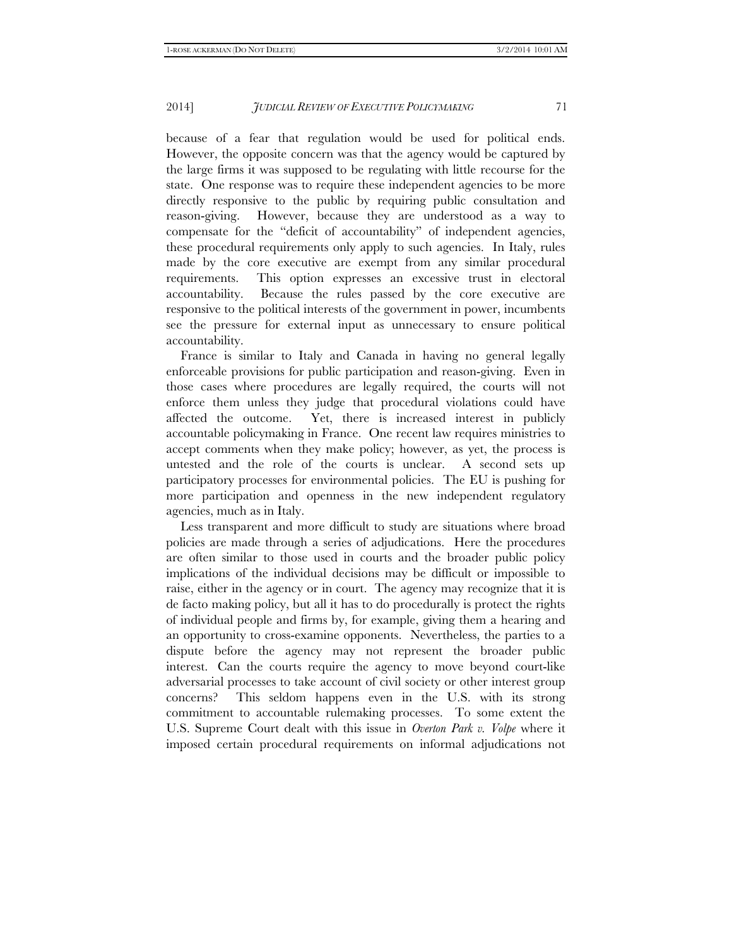because of a fear that regulation would be used for political ends. However, the opposite concern was that the agency would be captured by the large firms it was supposed to be regulating with little recourse for the state. One response was to require these independent agencies to be more directly responsive to the public by requiring public consultation and reason-giving. However, because they are understood as a way to compensate for the "deficit of accountability" of independent agencies, these procedural requirements only apply to such agencies. In Italy, rules made by the core executive are exempt from any similar procedural requirements. This option expresses an excessive trust in electoral accountability. Because the rules passed by the core executive are responsive to the political interests of the government in power, incumbents see the pressure for external input as unnecessary to ensure political accountability.

France is similar to Italy and Canada in having no general legally enforceable provisions for public participation and reason-giving. Even in those cases where procedures are legally required, the courts will not enforce them unless they judge that procedural violations could have affected the outcome. Yet, there is increased interest in publicly accountable policymaking in France. One recent law requires ministries to accept comments when they make policy; however, as yet, the process is untested and the role of the courts is unclear. A second sets up participatory processes for environmental policies. The EU is pushing for more participation and openness in the new independent regulatory agencies, much as in Italy.

Less transparent and more difficult to study are situations where broad policies are made through a series of adjudications. Here the procedures are often similar to those used in courts and the broader public policy implications of the individual decisions may be difficult or impossible to raise, either in the agency or in court. The agency may recognize that it is de facto making policy, but all it has to do procedurally is protect the rights of individual people and firms by, for example, giving them a hearing and an opportunity to cross-examine opponents. Nevertheless, the parties to a dispute before the agency may not represent the broader public interest. Can the courts require the agency to move beyond court-like adversarial processes to take account of civil society or other interest group concerns? This seldom happens even in the U.S. with its strong commitment to accountable rulemaking processes. To some extent the U.S. Supreme Court dealt with this issue in *Overton Park v. Volpe* where it imposed certain procedural requirements on informal adjudications not